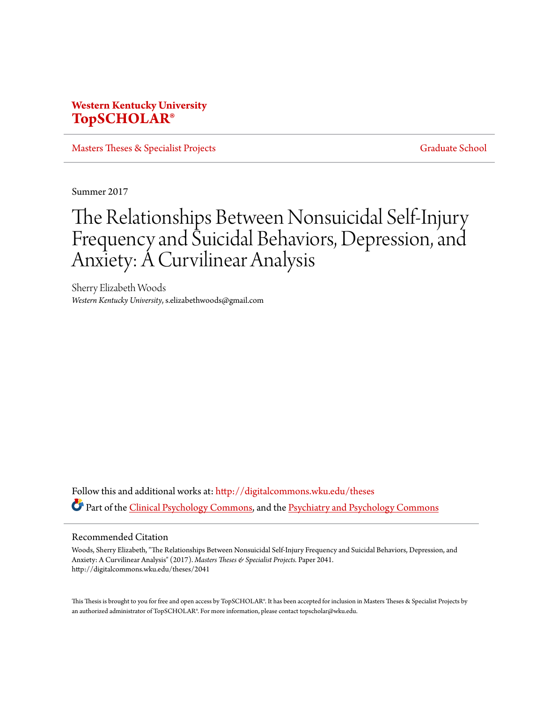# **Western Kentucky University [TopSCHOLAR®](http://digitalcommons.wku.edu?utm_source=digitalcommons.wku.edu%2Ftheses%2F2041&utm_medium=PDF&utm_campaign=PDFCoverPages)**

[Masters Theses & Specialist Projects](http://digitalcommons.wku.edu/theses?utm_source=digitalcommons.wku.edu%2Ftheses%2F2041&utm_medium=PDF&utm_campaign=PDFCoverPages) [Graduate School](http://digitalcommons.wku.edu/Graduate?utm_source=digitalcommons.wku.edu%2Ftheses%2F2041&utm_medium=PDF&utm_campaign=PDFCoverPages)

Summer 2017

# The Relationships Between Nonsuicidal Self-Injury Frequency and Suicidal Behaviors, Depression, and Anxiety: A Curvilinear Analysis

Sherry Elizabeth Woods *Western Kentucky University*, s.elizabethwoods@gmail.com

Follow this and additional works at: [http://digitalcommons.wku.edu/theses](http://digitalcommons.wku.edu/theses?utm_source=digitalcommons.wku.edu%2Ftheses%2F2041&utm_medium=PDF&utm_campaign=PDFCoverPages) Part of the [Clinical Psychology Commons,](http://network.bepress.com/hgg/discipline/406?utm_source=digitalcommons.wku.edu%2Ftheses%2F2041&utm_medium=PDF&utm_campaign=PDFCoverPages) and the [Psychiatry and Psychology Commons](http://network.bepress.com/hgg/discipline/908?utm_source=digitalcommons.wku.edu%2Ftheses%2F2041&utm_medium=PDF&utm_campaign=PDFCoverPages)

#### Recommended Citation

Woods, Sherry Elizabeth, "The Relationships Between Nonsuicidal Self-Injury Frequency and Suicidal Behaviors, Depression, and Anxiety: A Curvilinear Analysis" (2017). *Masters Theses & Specialist Projects.* Paper 2041. http://digitalcommons.wku.edu/theses/2041

This Thesis is brought to you for free and open access by TopSCHOLAR®. It has been accepted for inclusion in Masters Theses & Specialist Projects by an authorized administrator of TopSCHOLAR®. For more information, please contact topscholar@wku.edu.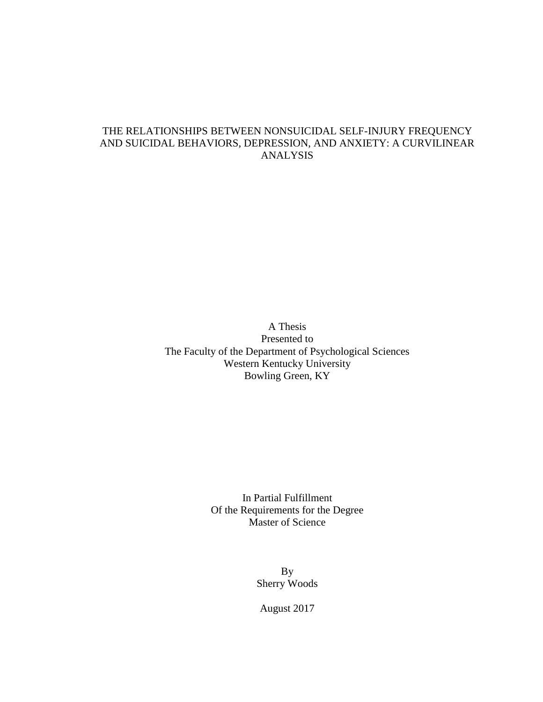## THE RELATIONSHIPS BETWEEN NONSUICIDAL SELF-INJURY FREQUENCY AND SUICIDAL BEHAVIORS, DEPRESSION, AND ANXIETY: A CURVILINEAR ANALYSIS

A Thesis Presented to The Faculty of the Department of Psychological Sciences Western Kentucky University Bowling Green, KY

> In Partial Fulfillment Of the Requirements for the Degree Master of Science

> > By Sherry Woods

August 2017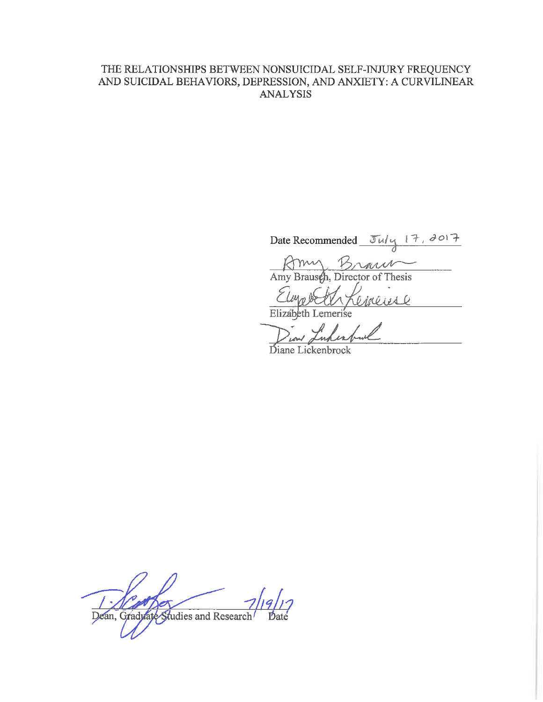## THE RELATIONSHIPS BETWEEN NONSUICIDAL SELF-INJURY FREQUENCY AND SUICIDAL BEHAVIORS, DEPRESSION, AND ANXIETY: A CURVILINEAR **ANALYSIS**

Date Recommended July 17, 2017<br>
Amy Brausch, Director of Thesis

Cineuse Elmobe

Elizabeth Lemerise

Diane Lickenbrock

b Dean, Gradylate Studies and Research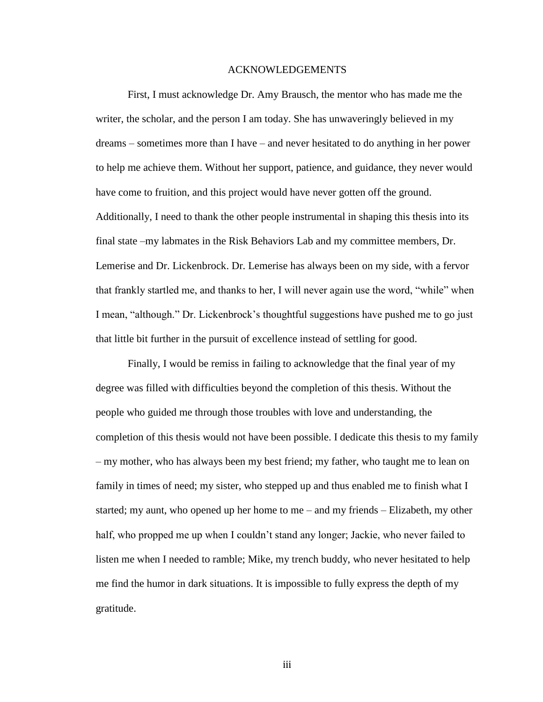#### ACKNOWLEDGEMENTS

First, I must acknowledge Dr. Amy Brausch, the mentor who has made me the writer, the scholar, and the person I am today. She has unwaveringly believed in my dreams – sometimes more than I have – and never hesitated to do anything in her power to help me achieve them. Without her support, patience, and guidance, they never would have come to fruition, and this project would have never gotten off the ground. Additionally, I need to thank the other people instrumental in shaping this thesis into its final state –my labmates in the Risk Behaviors Lab and my committee members, Dr. Lemerise and Dr. Lickenbrock. Dr. Lemerise has always been on my side, with a fervor that frankly startled me, and thanks to her, I will never again use the word, "while" when I mean, "although." Dr. Lickenbrock's thoughtful suggestions have pushed me to go just that little bit further in the pursuit of excellence instead of settling for good.

Finally, I would be remiss in failing to acknowledge that the final year of my degree was filled with difficulties beyond the completion of this thesis. Without the people who guided me through those troubles with love and understanding, the completion of this thesis would not have been possible. I dedicate this thesis to my family – my mother, who has always been my best friend; my father, who taught me to lean on family in times of need; my sister, who stepped up and thus enabled me to finish what I started; my aunt, who opened up her home to me – and my friends – Elizabeth, my other half, who propped me up when I couldn't stand any longer; Jackie, who never failed to listen me when I needed to ramble; Mike, my trench buddy, who never hesitated to help me find the humor in dark situations. It is impossible to fully express the depth of my gratitude.

iii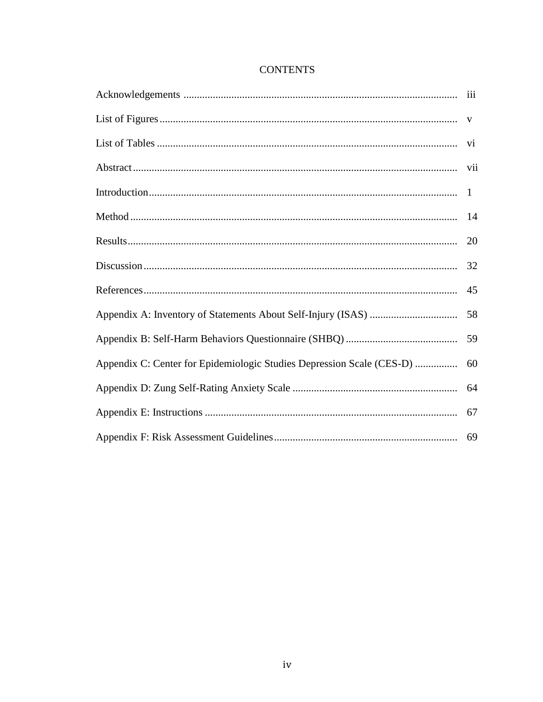|                                                                       | 20 |
|-----------------------------------------------------------------------|----|
|                                                                       | 32 |
|                                                                       | 45 |
|                                                                       | 58 |
|                                                                       | 59 |
| Appendix C: Center for Epidemiologic Studies Depression Scale (CES-D) | 60 |
|                                                                       | 64 |
|                                                                       | 67 |
|                                                                       |    |

## **CONTENTS**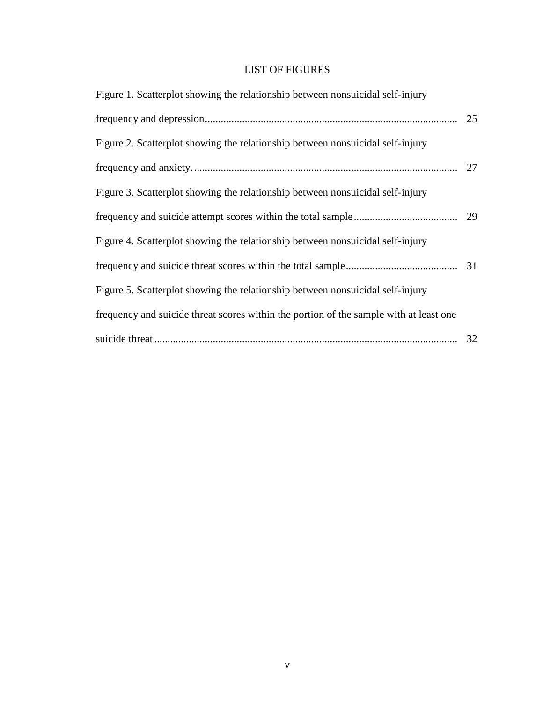## LIST OF FIGURES

| Figure 1. Scatterplot showing the relationship between nonsuicidal self-injury         |    |
|----------------------------------------------------------------------------------------|----|
|                                                                                        | 25 |
| Figure 2. Scatterplot showing the relationship between nonsuicidal self-injury         |    |
|                                                                                        | 27 |
| Figure 3. Scatterplot showing the relationship between nonsuicidal self-injury         |    |
|                                                                                        | 29 |
| Figure 4. Scatterplot showing the relationship between nonsuicidal self-injury         |    |
|                                                                                        | 31 |
| Figure 5. Scatterplot showing the relationship between nonsuicidal self-injury         |    |
| frequency and suicide threat scores within the portion of the sample with at least one |    |
|                                                                                        | 32 |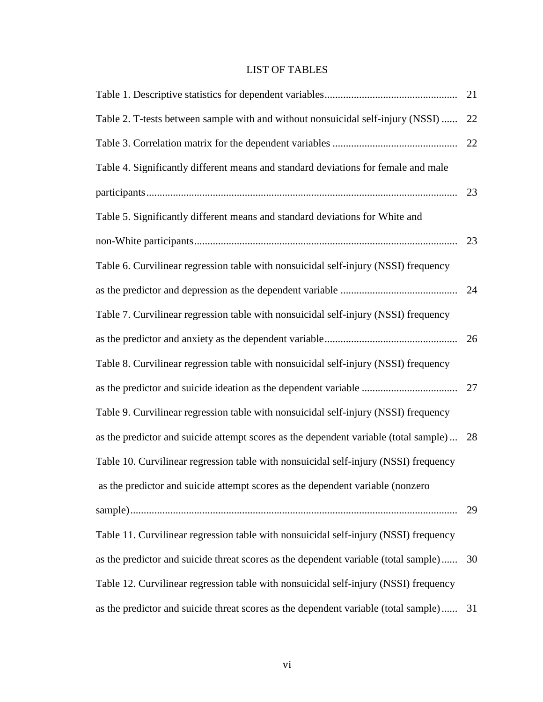## LIST OF TABLES

|                                                                                         | 21 |
|-----------------------------------------------------------------------------------------|----|
| Table 2. T-tests between sample with and without nonsuicidal self-injury (NSSI)         | 22 |
|                                                                                         | 22 |
| Table 4. Significantly different means and standard deviations for female and male      |    |
|                                                                                         | 23 |
| Table 5. Significantly different means and standard deviations for White and            |    |
|                                                                                         |    |
| Table 6. Curvilinear regression table with nonsuicidal self-injury (NSSI) frequency     |    |
|                                                                                         | 24 |
| Table 7. Curvilinear regression table with nonsuicidal self-injury (NSSI) frequency     |    |
|                                                                                         |    |
| Table 8. Curvilinear regression table with nonsuicidal self-injury (NSSI) frequency     |    |
|                                                                                         |    |
| Table 9. Curvilinear regression table with nonsuicidal self-injury (NSSI) frequency     |    |
| as the predictor and suicide attempt scores as the dependent variable (total sample) 28 |    |
| Table 10. Curvilinear regression table with nonsuicidal self-injury (NSSI) frequency    |    |
| as the predictor and suicide attempt scores as the dependent variable (nonzero          |    |
|                                                                                         | 29 |
| Table 11. Curvilinear regression table with nonsuicidal self-injury (NSSI) frequency    |    |
| as the predictor and suicide threat scores as the dependent variable (total sample)     | 30 |
| Table 12. Curvilinear regression table with nonsuicidal self-injury (NSSI) frequency    |    |
| as the predictor and suicide threat scores as the dependent variable (total sample) 31  |    |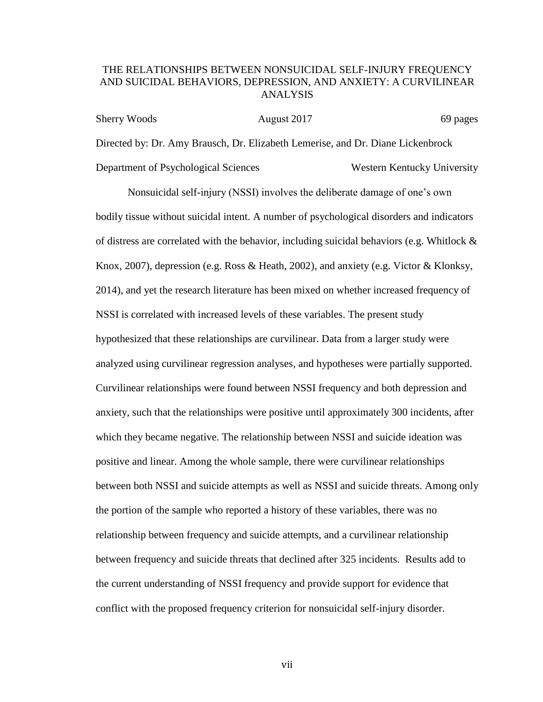## THE RELATIONSHIPS BETWEEN NONSUICIDAL SELF-INJURY FREQUENCY AND SUICIDAL BEHAVIORS, DEPRESSION, AND ANXIETY: A CURVILINEAR ANALYSIS

| <b>Sherry Woods</b>                  | August 2017                                                                     | 69 pages                    |
|--------------------------------------|---------------------------------------------------------------------------------|-----------------------------|
|                                      | Directed by: Dr. Amy Brausch, Dr. Elizabeth Lemerise, and Dr. Diane Lickenbrock |                             |
| Department of Psychological Sciences |                                                                                 | Western Kentucky University |

Nonsuicidal self-injury (NSSI) involves the deliberate damage of one's own bodily tissue without suicidal intent. A number of psychological disorders and indicators of distress are correlated with the behavior, including suicidal behaviors (e.g. Whitlock  $\&$ Knox, 2007), depression (e.g. Ross & Heath, 2002), and anxiety (e.g. Victor & Klonksy, 2014), and yet the research literature has been mixed on whether increased frequency of NSSI is correlated with increased levels of these variables. The present study hypothesized that these relationships are curvilinear. Data from a larger study were analyzed using curvilinear regression analyses, and hypotheses were partially supported. Curvilinear relationships were found between NSSI frequency and both depression and anxiety, such that the relationships were positive until approximately 300 incidents, after which they became negative. The relationship between NSSI and suicide ideation was positive and linear. Among the whole sample, there were curvilinear relationships between both NSSI and suicide attempts as well as NSSI and suicide threats. Among only the portion of the sample who reported a history of these variables, there was no relationship between frequency and suicide attempts, and a curvilinear relationship between frequency and suicide threats that declined after 325 incidents. Results add to the current understanding of NSSI frequency and provide support for evidence that conflict with the proposed frequency criterion for nonsuicidal self-injury disorder.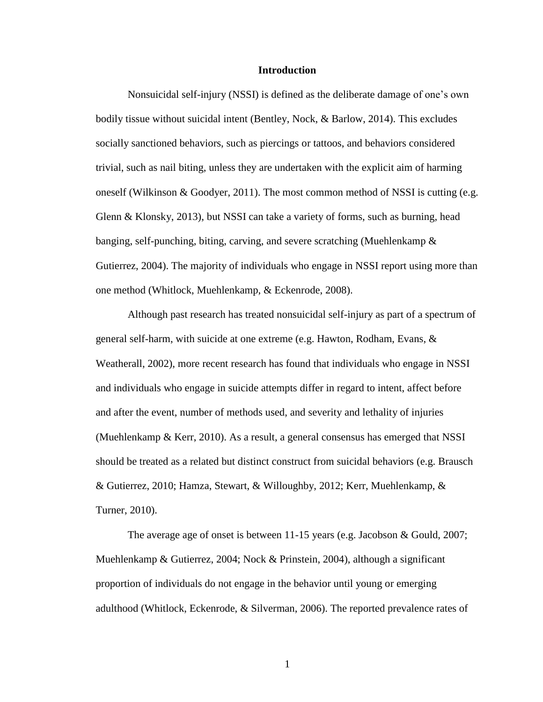#### **Introduction**

Nonsuicidal self-injury (NSSI) is defined as the deliberate damage of one's own bodily tissue without suicidal intent (Bentley, Nock, & Barlow, 2014). This excludes socially sanctioned behaviors, such as piercings or tattoos, and behaviors considered trivial, such as nail biting, unless they are undertaken with the explicit aim of harming oneself (Wilkinson & Goodyer, 2011). The most common method of NSSI is cutting (e.g. Glenn & Klonsky, 2013), but NSSI can take a variety of forms, such as burning, head banging, self-punching, biting, carving, and severe scratching (Muehlenkamp & Gutierrez, 2004). The majority of individuals who engage in NSSI report using more than one method (Whitlock, Muehlenkamp, & Eckenrode, 2008).

Although past research has treated nonsuicidal self-injury as part of a spectrum of general self-harm, with suicide at one extreme (e.g. Hawton, Rodham, Evans, & Weatherall, 2002), more recent research has found that individuals who engage in NSSI and individuals who engage in suicide attempts differ in regard to intent, affect before and after the event, number of methods used, and severity and lethality of injuries (Muehlenkamp & Kerr, 2010). As a result, a general consensus has emerged that NSSI should be treated as a related but distinct construct from suicidal behaviors (e.g. Brausch & Gutierrez, 2010; Hamza, Stewart, & Willoughby, 2012; Kerr, Muehlenkamp, & Turner, 2010).

The average age of onset is between 11-15 years (e.g. Jacobson & Gould, 2007; Muehlenkamp & Gutierrez, 2004; Nock & Prinstein, 2004), although a significant proportion of individuals do not engage in the behavior until young or emerging adulthood (Whitlock, Eckenrode, & Silverman, 2006). The reported prevalence rates of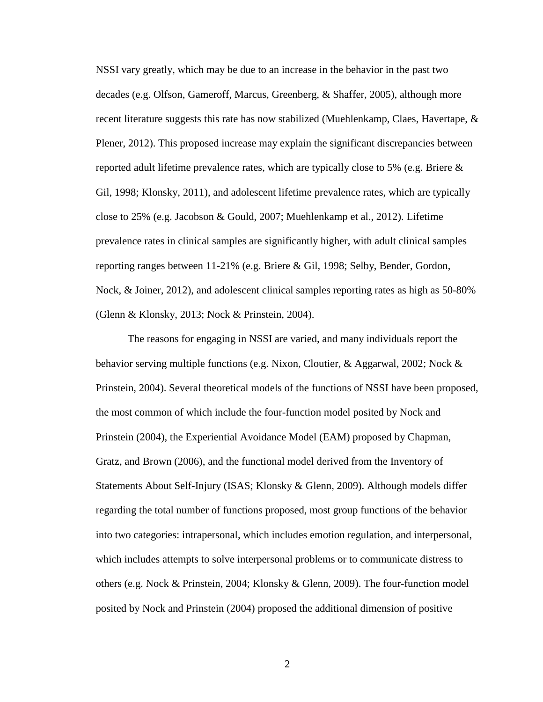NSSI vary greatly, which may be due to an increase in the behavior in the past two decades (e.g. Olfson, Gameroff, Marcus, Greenberg, & Shaffer, 2005), although more recent literature suggests this rate has now stabilized (Muehlenkamp, Claes, Havertape,  $\&$ Plener, 2012). This proposed increase may explain the significant discrepancies between reported adult lifetime prevalence rates, which are typically close to 5% (e.g. Briere  $\&$ Gil, 1998; Klonsky, 2011), and adolescent lifetime prevalence rates, which are typically close to 25% (e.g. Jacobson & Gould, 2007; Muehlenkamp et al., 2012). Lifetime prevalence rates in clinical samples are significantly higher, with adult clinical samples reporting ranges between 11-21% (e.g. Briere & Gil, 1998; Selby, Bender, Gordon, Nock, & Joiner, 2012), and adolescent clinical samples reporting rates as high as 50-80% (Glenn & Klonsky, 2013; Nock & Prinstein, 2004).

The reasons for engaging in NSSI are varied, and many individuals report the behavior serving multiple functions (e.g. Nixon, Cloutier, & Aggarwal, 2002; Nock & Prinstein, 2004). Several theoretical models of the functions of NSSI have been proposed, the most common of which include the four-function model posited by Nock and Prinstein (2004), the Experiential Avoidance Model (EAM) proposed by Chapman, Gratz, and Brown (2006), and the functional model derived from the Inventory of Statements About Self-Injury (ISAS; Klonsky & Glenn, 2009). Although models differ regarding the total number of functions proposed, most group functions of the behavior into two categories: intrapersonal, which includes emotion regulation, and interpersonal, which includes attempts to solve interpersonal problems or to communicate distress to others (e.g. Nock & Prinstein, 2004; Klonsky & Glenn, 2009). The four-function model posited by Nock and Prinstein (2004) proposed the additional dimension of positive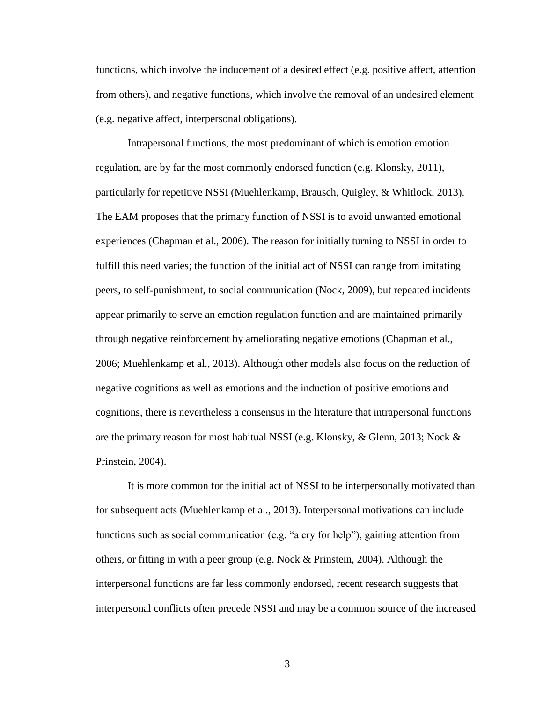functions, which involve the inducement of a desired effect (e.g. positive affect, attention from others), and negative functions, which involve the removal of an undesired element (e.g. negative affect, interpersonal obligations).

Intrapersonal functions, the most predominant of which is emotion emotion regulation, are by far the most commonly endorsed function (e.g. Klonsky, 2011), particularly for repetitive NSSI (Muehlenkamp, Brausch, Quigley, & Whitlock, 2013). The EAM proposes that the primary function of NSSI is to avoid unwanted emotional experiences (Chapman et al., 2006). The reason for initially turning to NSSI in order to fulfill this need varies; the function of the initial act of NSSI can range from imitating peers, to self-punishment, to social communication (Nock, 2009), but repeated incidents appear primarily to serve an emotion regulation function and are maintained primarily through negative reinforcement by ameliorating negative emotions (Chapman et al., 2006; Muehlenkamp et al., 2013). Although other models also focus on the reduction of negative cognitions as well as emotions and the induction of positive emotions and cognitions, there is nevertheless a consensus in the literature that intrapersonal functions are the primary reason for most habitual NSSI (e.g. Klonsky, & Glenn, 2013; Nock & Prinstein, 2004).

It is more common for the initial act of NSSI to be interpersonally motivated than for subsequent acts (Muehlenkamp et al., 2013). Interpersonal motivations can include functions such as social communication (e.g. "a cry for help"), gaining attention from others, or fitting in with a peer group (e.g. Nock & Prinstein, 2004). Although the interpersonal functions are far less commonly endorsed, recent research suggests that interpersonal conflicts often precede NSSI and may be a common source of the increased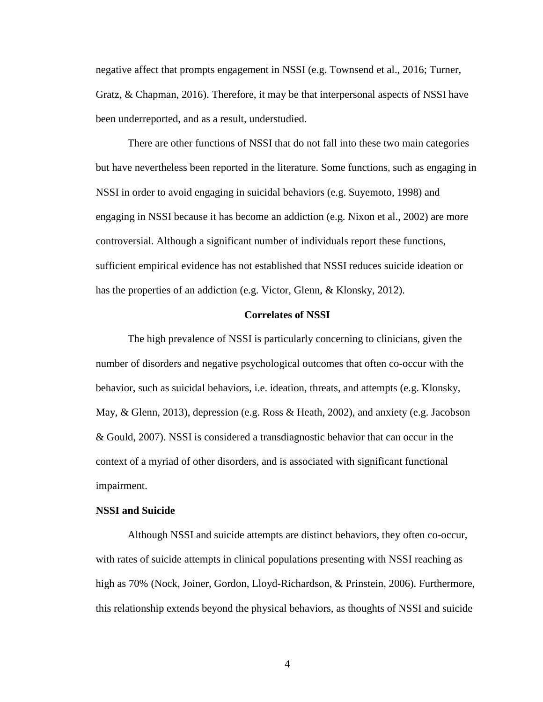negative affect that prompts engagement in NSSI (e.g. Townsend et al., 2016; Turner, Gratz, & Chapman, 2016). Therefore, it may be that interpersonal aspects of NSSI have been underreported, and as a result, understudied.

There are other functions of NSSI that do not fall into these two main categories but have nevertheless been reported in the literature. Some functions, such as engaging in NSSI in order to avoid engaging in suicidal behaviors (e.g. Suyemoto, 1998) and engaging in NSSI because it has become an addiction (e.g. Nixon et al., 2002) are more controversial. Although a significant number of individuals report these functions, sufficient empirical evidence has not established that NSSI reduces suicide ideation or has the properties of an addiction (e.g. Victor, Glenn, & Klonsky, 2012).

#### **Correlates of NSSI**

The high prevalence of NSSI is particularly concerning to clinicians, given the number of disorders and negative psychological outcomes that often co-occur with the behavior, such as suicidal behaviors, i.e. ideation, threats, and attempts (e.g. Klonsky, May, & Glenn, 2013), depression (e.g. Ross & Heath, 2002), and anxiety (e.g. Jacobson & Gould, 2007). NSSI is considered a transdiagnostic behavior that can occur in the context of a myriad of other disorders, and is associated with significant functional impairment.

#### **NSSI and Suicide**

Although NSSI and suicide attempts are distinct behaviors, they often co-occur, with rates of suicide attempts in clinical populations presenting with NSSI reaching as high as 70% (Nock, Joiner, Gordon, Lloyd-Richardson, & Prinstein, 2006). Furthermore, this relationship extends beyond the physical behaviors, as thoughts of NSSI and suicide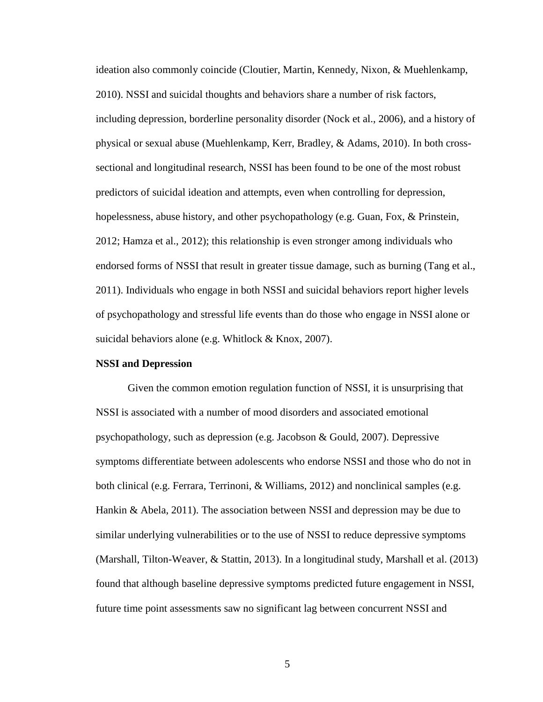ideation also commonly coincide (Cloutier, Martin, Kennedy, Nixon, & Muehlenkamp, 2010). NSSI and suicidal thoughts and behaviors share a number of risk factors, including depression, borderline personality disorder (Nock et al., 2006), and a history of physical or sexual abuse (Muehlenkamp, Kerr, Bradley, & Adams, 2010). In both crosssectional and longitudinal research, NSSI has been found to be one of the most robust predictors of suicidal ideation and attempts, even when controlling for depression, hopelessness, abuse history, and other psychopathology (e.g. Guan, Fox, & Prinstein, 2012; Hamza et al., 2012); this relationship is even stronger among individuals who endorsed forms of NSSI that result in greater tissue damage, such as burning (Tang et al., 2011). Individuals who engage in both NSSI and suicidal behaviors report higher levels of psychopathology and stressful life events than do those who engage in NSSI alone or suicidal behaviors alone (e.g. Whitlock & Knox, 2007).

#### **NSSI and Depression**

Given the common emotion regulation function of NSSI, it is unsurprising that NSSI is associated with a number of mood disorders and associated emotional psychopathology, such as depression (e.g. Jacobson & Gould, 2007). Depressive symptoms differentiate between adolescents who endorse NSSI and those who do not in both clinical (e.g. Ferrara, Terrinoni, & Williams, 2012) and nonclinical samples (e.g. Hankin & Abela, 2011). The association between NSSI and depression may be due to similar underlying vulnerabilities or to the use of NSSI to reduce depressive symptoms (Marshall, Tilton-Weaver, & Stattin, 2013). In a longitudinal study, Marshall et al. (2013) found that although baseline depressive symptoms predicted future engagement in NSSI, future time point assessments saw no significant lag between concurrent NSSI and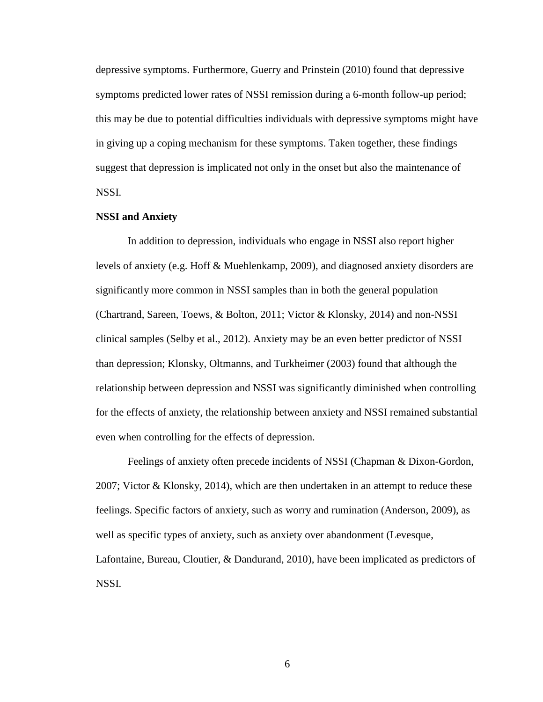depressive symptoms. Furthermore, Guerry and Prinstein (2010) found that depressive symptoms predicted lower rates of NSSI remission during a 6-month follow-up period; this may be due to potential difficulties individuals with depressive symptoms might have in giving up a coping mechanism for these symptoms. Taken together, these findings suggest that depression is implicated not only in the onset but also the maintenance of NSSI.

#### **NSSI and Anxiety**

In addition to depression, individuals who engage in NSSI also report higher levels of anxiety (e.g. Hoff & Muehlenkamp, 2009), and diagnosed anxiety disorders are significantly more common in NSSI samples than in both the general population (Chartrand, Sareen, Toews, & Bolton, 2011; Victor & Klonsky, 2014) and non-NSSI clinical samples (Selby et al., 2012). Anxiety may be an even better predictor of NSSI than depression; Klonsky, Oltmanns, and Turkheimer (2003) found that although the relationship between depression and NSSI was significantly diminished when controlling for the effects of anxiety, the relationship between anxiety and NSSI remained substantial even when controlling for the effects of depression.

Feelings of anxiety often precede incidents of NSSI (Chapman & Dixon-Gordon, 2007; Victor & Klonsky, 2014), which are then undertaken in an attempt to reduce these feelings. Specific factors of anxiety, such as worry and rumination (Anderson, 2009), as well as specific types of anxiety, such as anxiety over abandonment (Levesque, Lafontaine, Bureau, Cloutier, & Dandurand, 2010), have been implicated as predictors of NSSI.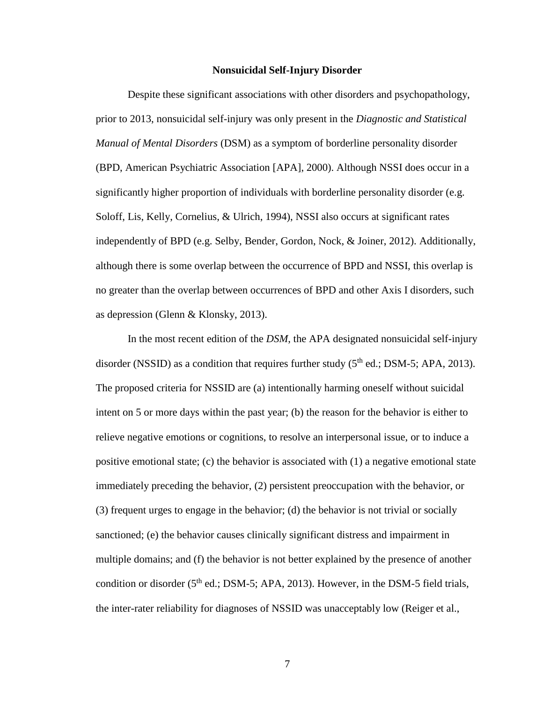#### **Nonsuicidal Self-Injury Disorder**

Despite these significant associations with other disorders and psychopathology, prior to 2013, nonsuicidal self-injury was only present in the *Diagnostic and Statistical Manual of Mental Disorders* (DSM) as a symptom of borderline personality disorder (BPD, American Psychiatric Association [APA], 2000). Although NSSI does occur in a significantly higher proportion of individuals with borderline personality disorder (e.g. Soloff, Lis, Kelly, Cornelius, & Ulrich, 1994), NSSI also occurs at significant rates independently of BPD (e.g. Selby, Bender, Gordon, Nock, & Joiner, 2012). Additionally, although there is some overlap between the occurrence of BPD and NSSI, this overlap is no greater than the overlap between occurrences of BPD and other Axis I disorders, such as depression (Glenn & Klonsky, 2013).

In the most recent edition of the *DSM*, the APA designated nonsuicidal self-injury disorder (NSSID) as a condition that requires further study  $(5<sup>th</sup>$  ed.; DSM-5; APA, 2013). The proposed criteria for NSSID are (a) intentionally harming oneself without suicidal intent on 5 or more days within the past year; (b) the reason for the behavior is either to relieve negative emotions or cognitions, to resolve an interpersonal issue, or to induce a positive emotional state; (c) the behavior is associated with (1) a negative emotional state immediately preceding the behavior, (2) persistent preoccupation with the behavior, or (3) frequent urges to engage in the behavior; (d) the behavior is not trivial or socially sanctioned; (e) the behavior causes clinically significant distress and impairment in multiple domains; and (f) the behavior is not better explained by the presence of another condition or disorder ( $5<sup>th</sup>$  ed.; DSM-5; APA, 2013). However, in the DSM-5 field trials, the inter-rater reliability for diagnoses of NSSID was unacceptably low (Reiger et al.,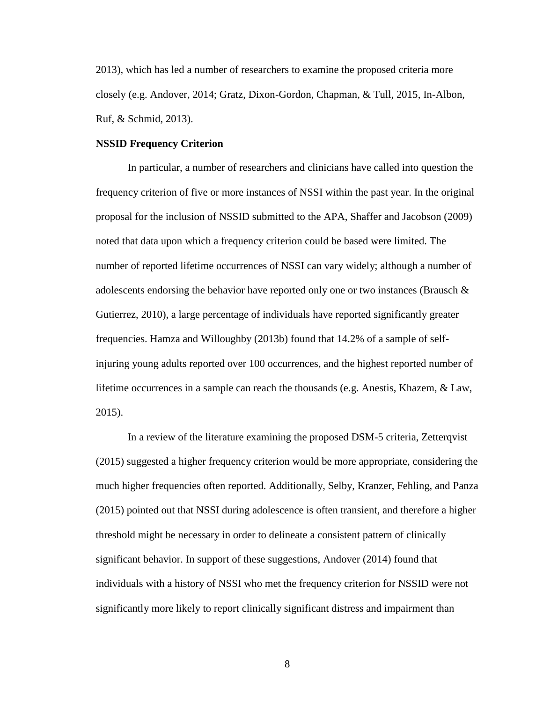2013), which has led a number of researchers to examine the proposed criteria more closely (e.g. Andover, 2014; Gratz, Dixon-Gordon, Chapman, & Tull, 2015, In-Albon, Ruf, & Schmid, 2013).

#### **NSSID Frequency Criterion**

In particular, a number of researchers and clinicians have called into question the frequency criterion of five or more instances of NSSI within the past year. In the original proposal for the inclusion of NSSID submitted to the APA, Shaffer and Jacobson (2009) noted that data upon which a frequency criterion could be based were limited. The number of reported lifetime occurrences of NSSI can vary widely; although a number of adolescents endorsing the behavior have reported only one or two instances (Brausch  $\&$ Gutierrez, 2010), a large percentage of individuals have reported significantly greater frequencies. Hamza and Willoughby (2013b) found that 14.2% of a sample of selfinjuring young adults reported over 100 occurrences, and the highest reported number of lifetime occurrences in a sample can reach the thousands (e.g. Anestis, Khazem, & Law, 2015).

In a review of the literature examining the proposed DSM-5 criteria, Zetterqvist (2015) suggested a higher frequency criterion would be more appropriate, considering the much higher frequencies often reported. Additionally, Selby, Kranzer, Fehling, and Panza (2015) pointed out that NSSI during adolescence is often transient, and therefore a higher threshold might be necessary in order to delineate a consistent pattern of clinically significant behavior. In support of these suggestions, Andover (2014) found that individuals with a history of NSSI who met the frequency criterion for NSSID were not significantly more likely to report clinically significant distress and impairment than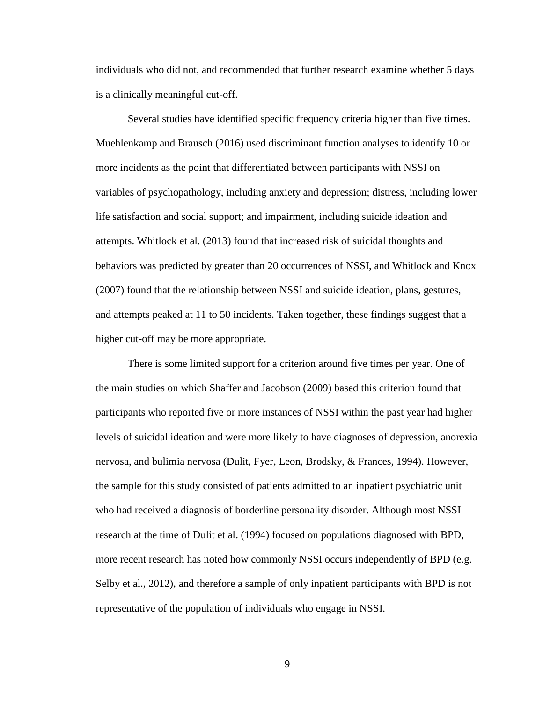individuals who did not, and recommended that further research examine whether 5 days is a clinically meaningful cut-off.

Several studies have identified specific frequency criteria higher than five times. Muehlenkamp and Brausch (2016) used discriminant function analyses to identify 10 or more incidents as the point that differentiated between participants with NSSI on variables of psychopathology, including anxiety and depression; distress, including lower life satisfaction and social support; and impairment, including suicide ideation and attempts. Whitlock et al. (2013) found that increased risk of suicidal thoughts and behaviors was predicted by greater than 20 occurrences of NSSI, and Whitlock and Knox (2007) found that the relationship between NSSI and suicide ideation, plans, gestures, and attempts peaked at 11 to 50 incidents. Taken together, these findings suggest that a higher cut-off may be more appropriate.

There is some limited support for a criterion around five times per year. One of the main studies on which Shaffer and Jacobson (2009) based this criterion found that participants who reported five or more instances of NSSI within the past year had higher levels of suicidal ideation and were more likely to have diagnoses of depression, anorexia nervosa, and bulimia nervosa (Dulit, Fyer, Leon, Brodsky, & Frances, 1994). However, the sample for this study consisted of patients admitted to an inpatient psychiatric unit who had received a diagnosis of borderline personality disorder. Although most NSSI research at the time of Dulit et al. (1994) focused on populations diagnosed with BPD, more recent research has noted how commonly NSSI occurs independently of BPD (e.g. Selby et al., 2012), and therefore a sample of only inpatient participants with BPD is not representative of the population of individuals who engage in NSSI.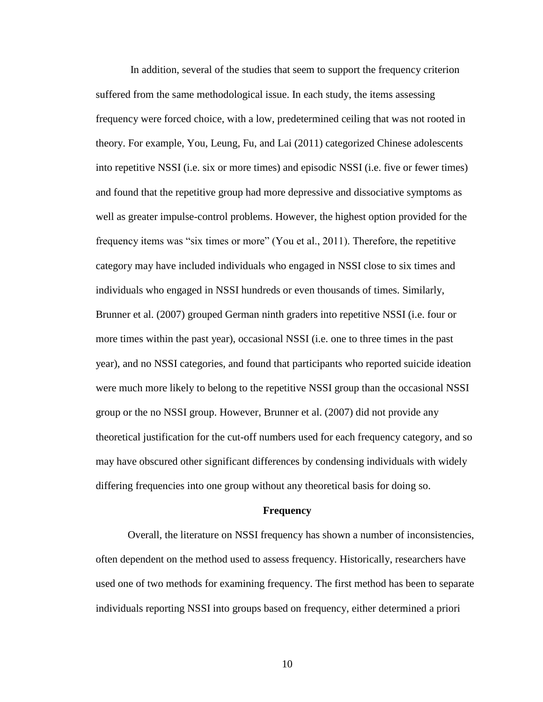In addition, several of the studies that seem to support the frequency criterion suffered from the same methodological issue. In each study, the items assessing frequency were forced choice, with a low, predetermined ceiling that was not rooted in theory. For example, You, Leung, Fu, and Lai (2011) categorized Chinese adolescents into repetitive NSSI (i.e. six or more times) and episodic NSSI (i.e. five or fewer times) and found that the repetitive group had more depressive and dissociative symptoms as well as greater impulse-control problems. However, the highest option provided for the frequency items was "six times or more" (You et al., 2011). Therefore, the repetitive category may have included individuals who engaged in NSSI close to six times and individuals who engaged in NSSI hundreds or even thousands of times. Similarly, Brunner et al. (2007) grouped German ninth graders into repetitive NSSI (i.e. four or more times within the past year), occasional NSSI (i.e. one to three times in the past year), and no NSSI categories, and found that participants who reported suicide ideation were much more likely to belong to the repetitive NSSI group than the occasional NSSI group or the no NSSI group. However, Brunner et al. (2007) did not provide any theoretical justification for the cut-off numbers used for each frequency category, and so may have obscured other significant differences by condensing individuals with widely differing frequencies into one group without any theoretical basis for doing so.

#### **Frequency**

Overall, the literature on NSSI frequency has shown a number of inconsistencies, often dependent on the method used to assess frequency. Historically, researchers have used one of two methods for examining frequency. The first method has been to separate individuals reporting NSSI into groups based on frequency, either determined a priori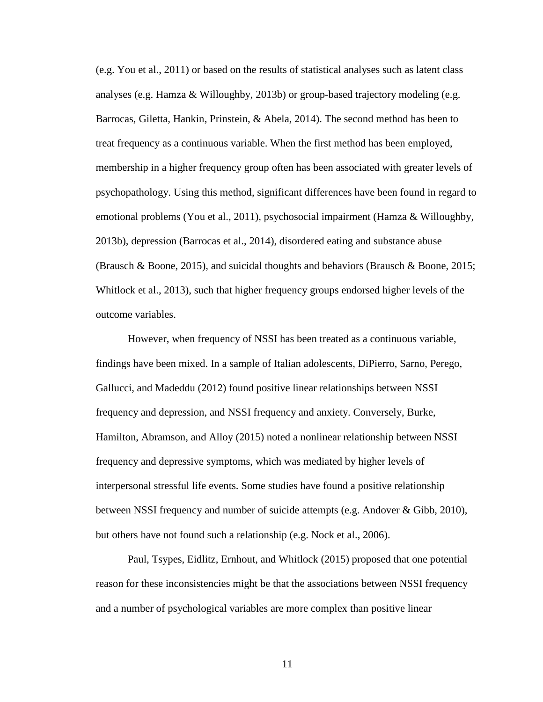(e.g. You et al., 2011) or based on the results of statistical analyses such as latent class analyses (e.g. Hamza & Willoughby, 2013b) or group-based trajectory modeling (e.g. Barrocas, Giletta, Hankin, Prinstein, & Abela, 2014). The second method has been to treat frequency as a continuous variable. When the first method has been employed, membership in a higher frequency group often has been associated with greater levels of psychopathology. Using this method, significant differences have been found in regard to emotional problems (You et al., 2011), psychosocial impairment (Hamza & Willoughby, 2013b), depression (Barrocas et al., 2014), disordered eating and substance abuse (Brausch & Boone, 2015), and suicidal thoughts and behaviors (Brausch & Boone, 2015; Whitlock et al., 2013), such that higher frequency groups endorsed higher levels of the outcome variables.

However, when frequency of NSSI has been treated as a continuous variable, findings have been mixed. In a sample of Italian adolescents, DiPierro, Sarno, Perego, Gallucci, and Madeddu (2012) found positive linear relationships between NSSI frequency and depression, and NSSI frequency and anxiety. Conversely, Burke, Hamilton, Abramson, and Alloy (2015) noted a nonlinear relationship between NSSI frequency and depressive symptoms, which was mediated by higher levels of interpersonal stressful life events. Some studies have found a positive relationship between NSSI frequency and number of suicide attempts (e.g. Andover & Gibb, 2010), but others have not found such a relationship (e.g. Nock et al., 2006).

Paul, Tsypes, Eidlitz, Ernhout, and Whitlock (2015) proposed that one potential reason for these inconsistencies might be that the associations between NSSI frequency and a number of psychological variables are more complex than positive linear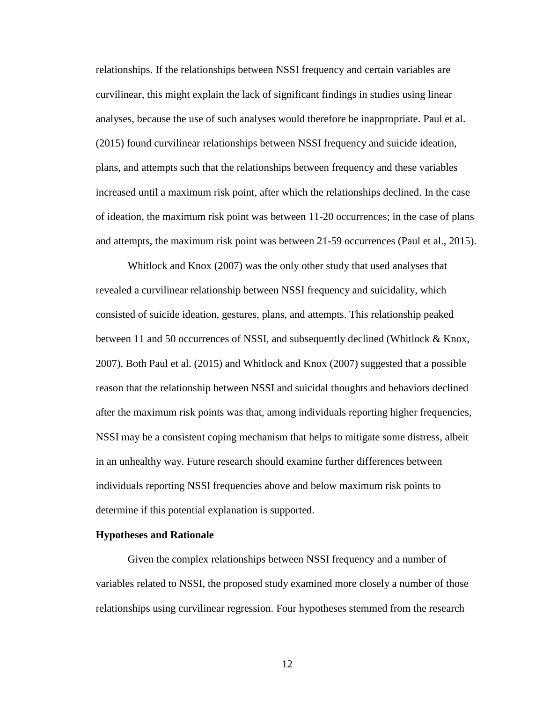relationships. If the relationships between NSSI frequency and certain variables are curvilinear, this might explain the lack of significant findings in studies using linear analyses, because the use of such analyses would therefore be inappropriate. Paul et al. (2015) found curvilinear relationships between NSSI frequency and suicide ideation, plans, and attempts such that the relationships between frequency and these variables increased until a maximum risk point, after which the relationships declined. In the case of ideation, the maximum risk point was between 11-20 occurrences; in the case of plans and attempts, the maximum risk point was between 21-59 occurrences (Paul et al., 2015).

Whitlock and Knox (2007) was the only other study that used analyses that revealed a curvilinear relationship between NSSI frequency and suicidality, which consisted of suicide ideation, gestures, plans, and attempts. This relationship peaked between 11 and 50 occurrences of NSSI, and subsequently declined (Whitlock & Knox, 2007). Both Paul et al. (2015) and Whitlock and Knox (2007) suggested that a possible reason that the relationship between NSSI and suicidal thoughts and behaviors declined after the maximum risk points was that, among individuals reporting higher frequencies, NSSI may be a consistent coping mechanism that helps to mitigate some distress, albeit in an unhealthy way. Future research should examine further differences between individuals reporting NSSI frequencies above and below maximum risk points to determine if this potential explanation is supported.

#### **Hypotheses and Rationale**

Given the complex relationships between NSSI frequency and a number of variables related to NSSI, the proposed study examined more closely a number of those relationships using curvilinear regression. Four hypotheses stemmed from the research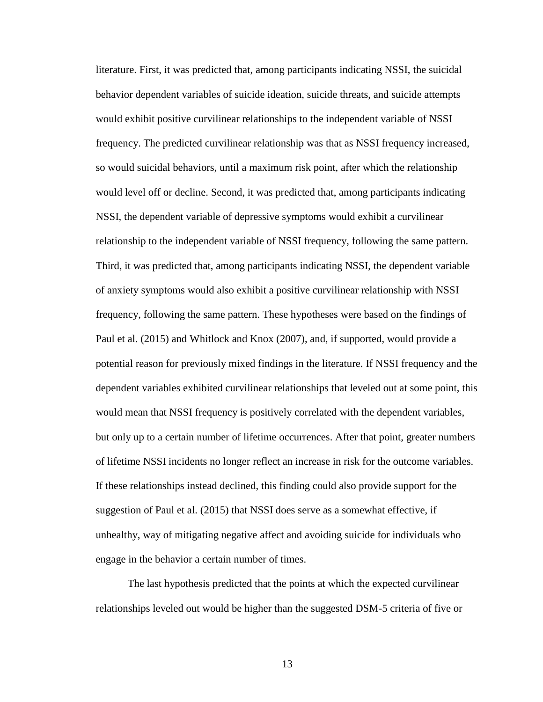literature. First, it was predicted that, among participants indicating NSSI, the suicidal behavior dependent variables of suicide ideation, suicide threats, and suicide attempts would exhibit positive curvilinear relationships to the independent variable of NSSI frequency. The predicted curvilinear relationship was that as NSSI frequency increased, so would suicidal behaviors, until a maximum risk point, after which the relationship would level off or decline. Second, it was predicted that, among participants indicating NSSI, the dependent variable of depressive symptoms would exhibit a curvilinear relationship to the independent variable of NSSI frequency, following the same pattern. Third, it was predicted that, among participants indicating NSSI, the dependent variable of anxiety symptoms would also exhibit a positive curvilinear relationship with NSSI frequency, following the same pattern. These hypotheses were based on the findings of Paul et al. (2015) and Whitlock and Knox (2007), and, if supported, would provide a potential reason for previously mixed findings in the literature. If NSSI frequency and the dependent variables exhibited curvilinear relationships that leveled out at some point, this would mean that NSSI frequency is positively correlated with the dependent variables, but only up to a certain number of lifetime occurrences. After that point, greater numbers of lifetime NSSI incidents no longer reflect an increase in risk for the outcome variables. If these relationships instead declined, this finding could also provide support for the suggestion of Paul et al. (2015) that NSSI does serve as a somewhat effective, if unhealthy, way of mitigating negative affect and avoiding suicide for individuals who engage in the behavior a certain number of times.

The last hypothesis predicted that the points at which the expected curvilinear relationships leveled out would be higher than the suggested DSM-5 criteria of five or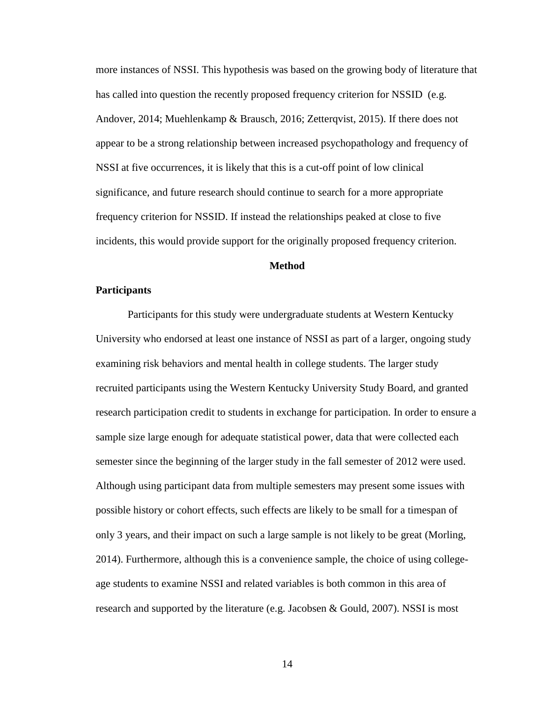more instances of NSSI. This hypothesis was based on the growing body of literature that has called into question the recently proposed frequency criterion for NSSID (e.g. Andover, 2014; Muehlenkamp & Brausch, 2016; Zetterqvist, 2015). If there does not appear to be a strong relationship between increased psychopathology and frequency of NSSI at five occurrences, it is likely that this is a cut-off point of low clinical significance, and future research should continue to search for a more appropriate frequency criterion for NSSID. If instead the relationships peaked at close to five incidents, this would provide support for the originally proposed frequency criterion.

#### **Method**

#### **Participants**

Participants for this study were undergraduate students at Western Kentucky University who endorsed at least one instance of NSSI as part of a larger, ongoing study examining risk behaviors and mental health in college students. The larger study recruited participants using the Western Kentucky University Study Board, and granted research participation credit to students in exchange for participation. In order to ensure a sample size large enough for adequate statistical power, data that were collected each semester since the beginning of the larger study in the fall semester of 2012 were used. Although using participant data from multiple semesters may present some issues with possible history or cohort effects, such effects are likely to be small for a timespan of only 3 years, and their impact on such a large sample is not likely to be great (Morling, 2014). Furthermore, although this is a convenience sample, the choice of using collegeage students to examine NSSI and related variables is both common in this area of research and supported by the literature (e.g. Jacobsen & Gould, 2007). NSSI is most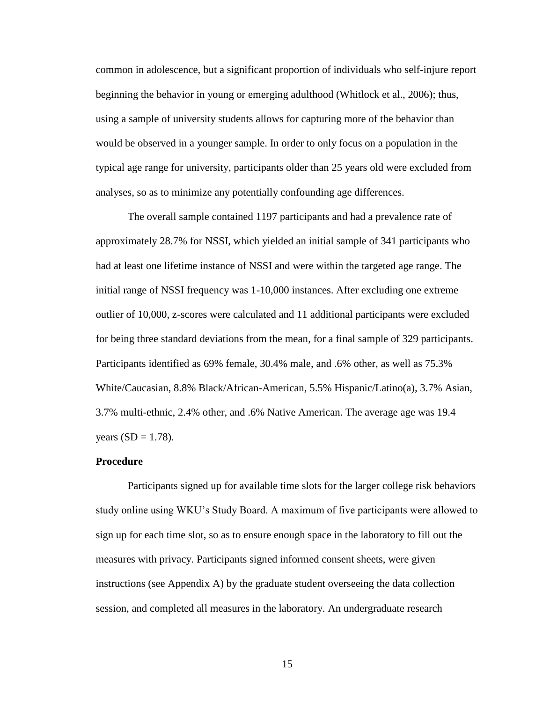common in adolescence, but a significant proportion of individuals who self-injure report beginning the behavior in young or emerging adulthood (Whitlock et al., 2006); thus, using a sample of university students allows for capturing more of the behavior than would be observed in a younger sample. In order to only focus on a population in the typical age range for university, participants older than 25 years old were excluded from analyses, so as to minimize any potentially confounding age differences.

The overall sample contained 1197 participants and had a prevalence rate of approximately 28.7% for NSSI, which yielded an initial sample of 341 participants who had at least one lifetime instance of NSSI and were within the targeted age range. The initial range of NSSI frequency was 1-10,000 instances. After excluding one extreme outlier of 10,000, z-scores were calculated and 11 additional participants were excluded for being three standard deviations from the mean, for a final sample of 329 participants. Participants identified as 69% female, 30.4% male, and .6% other, as well as 75.3% White/Caucasian, 8.8% Black/African-American, 5.5% Hispanic/Latino(a), 3.7% Asian, 3.7% multi-ethnic, 2.4% other, and .6% Native American. The average age was 19.4 years  $(SD = 1.78)$ .

#### **Procedure**

Participants signed up for available time slots for the larger college risk behaviors study online using WKU's Study Board. A maximum of five participants were allowed to sign up for each time slot, so as to ensure enough space in the laboratory to fill out the measures with privacy. Participants signed informed consent sheets, were given instructions (see Appendix A) by the graduate student overseeing the data collection session, and completed all measures in the laboratory. An undergraduate research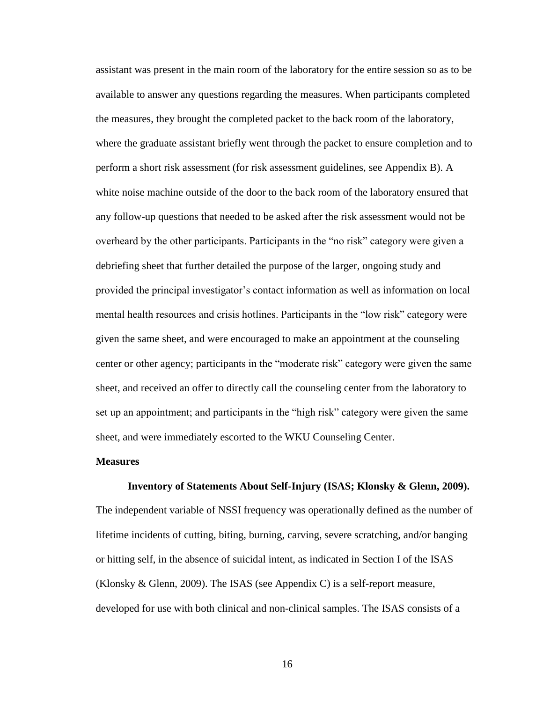assistant was present in the main room of the laboratory for the entire session so as to be available to answer any questions regarding the measures. When participants completed the measures, they brought the completed packet to the back room of the laboratory, where the graduate assistant briefly went through the packet to ensure completion and to perform a short risk assessment (for risk assessment guidelines, see Appendix B). A white noise machine outside of the door to the back room of the laboratory ensured that any follow-up questions that needed to be asked after the risk assessment would not be overheard by the other participants. Participants in the "no risk" category were given a debriefing sheet that further detailed the purpose of the larger, ongoing study and provided the principal investigator's contact information as well as information on local mental health resources and crisis hotlines. Participants in the "low risk" category were given the same sheet, and were encouraged to make an appointment at the counseling center or other agency; participants in the "moderate risk" category were given the same sheet, and received an offer to directly call the counseling center from the laboratory to set up an appointment; and participants in the "high risk" category were given the same sheet, and were immediately escorted to the WKU Counseling Center.

#### **Measures**

#### **Inventory of Statements About Self-Injury (ISAS; Klonsky & Glenn, 2009).**

The independent variable of NSSI frequency was operationally defined as the number of lifetime incidents of cutting, biting, burning, carving, severe scratching, and/or banging or hitting self, in the absence of suicidal intent, as indicated in Section I of the ISAS (Klonsky & Glenn, 2009). The ISAS (see Appendix C) is a self-report measure, developed for use with both clinical and non-clinical samples. The ISAS consists of a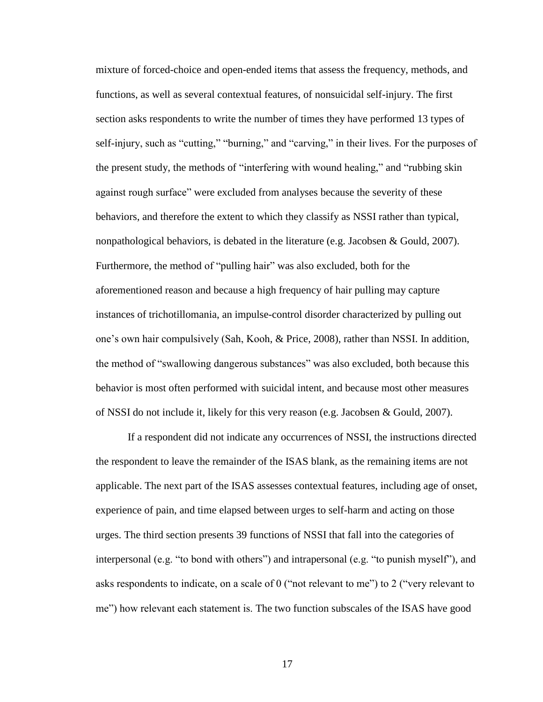mixture of forced-choice and open-ended items that assess the frequency, methods, and functions, as well as several contextual features, of nonsuicidal self-injury. The first section asks respondents to write the number of times they have performed 13 types of self-injury, such as "cutting," "burning," and "carving," in their lives. For the purposes of the present study, the methods of "interfering with wound healing," and "rubbing skin against rough surface" were excluded from analyses because the severity of these behaviors, and therefore the extent to which they classify as NSSI rather than typical, nonpathological behaviors, is debated in the literature (e.g. Jacobsen & Gould, 2007). Furthermore, the method of "pulling hair" was also excluded, both for the aforementioned reason and because a high frequency of hair pulling may capture instances of trichotillomania, an impulse-control disorder characterized by pulling out one's own hair compulsively (Sah, Kooh, & Price, 2008), rather than NSSI. In addition, the method of "swallowing dangerous substances" was also excluded, both because this behavior is most often performed with suicidal intent, and because most other measures of NSSI do not include it, likely for this very reason (e.g. Jacobsen & Gould, 2007).

If a respondent did not indicate any occurrences of NSSI, the instructions directed the respondent to leave the remainder of the ISAS blank, as the remaining items are not applicable. The next part of the ISAS assesses contextual features, including age of onset, experience of pain, and time elapsed between urges to self-harm and acting on those urges. The third section presents 39 functions of NSSI that fall into the categories of interpersonal (e.g. "to bond with others") and intrapersonal (e.g. "to punish myself"), and asks respondents to indicate, on a scale of 0 ("not relevant to me") to 2 ("very relevant to me") how relevant each statement is. The two function subscales of the ISAS have good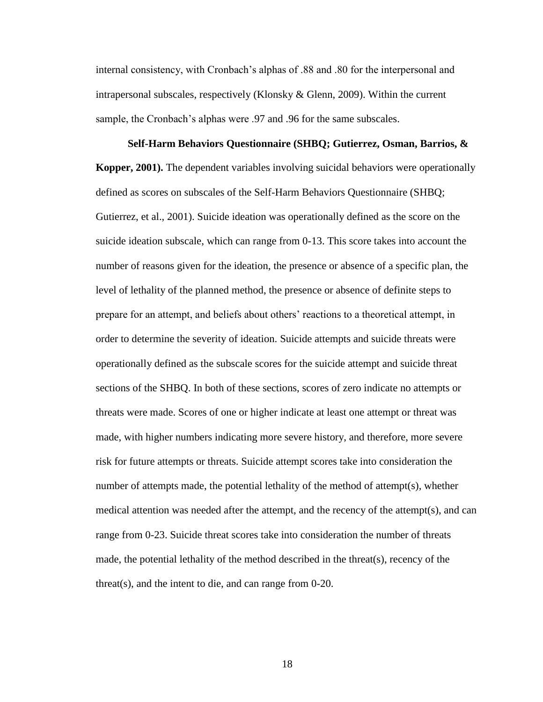internal consistency, with Cronbach's alphas of .88 and .80 for the interpersonal and intrapersonal subscales, respectively (Klonsky & Glenn, 2009). Within the current sample, the Cronbach's alphas were .97 and .96 for the same subscales.

**Self-Harm Behaviors Questionnaire (SHBQ; Gutierrez, Osman, Barrios, & Kopper, 2001).** The dependent variables involving suicidal behaviors were operationally defined as scores on subscales of the Self-Harm Behaviors Questionnaire (SHBQ; Gutierrez, et al., 2001). Suicide ideation was operationally defined as the score on the suicide ideation subscale, which can range from 0-13. This score takes into account the number of reasons given for the ideation, the presence or absence of a specific plan, the level of lethality of the planned method, the presence or absence of definite steps to prepare for an attempt, and beliefs about others' reactions to a theoretical attempt, in order to determine the severity of ideation. Suicide attempts and suicide threats were operationally defined as the subscale scores for the suicide attempt and suicide threat sections of the SHBQ. In both of these sections, scores of zero indicate no attempts or threats were made. Scores of one or higher indicate at least one attempt or threat was made, with higher numbers indicating more severe history, and therefore, more severe risk for future attempts or threats. Suicide attempt scores take into consideration the number of attempts made, the potential lethality of the method of attempt(s), whether medical attention was needed after the attempt, and the recency of the attempt(s), and can range from 0-23. Suicide threat scores take into consideration the number of threats made, the potential lethality of the method described in the threat(s), recency of the threat(s), and the intent to die, and can range from 0-20.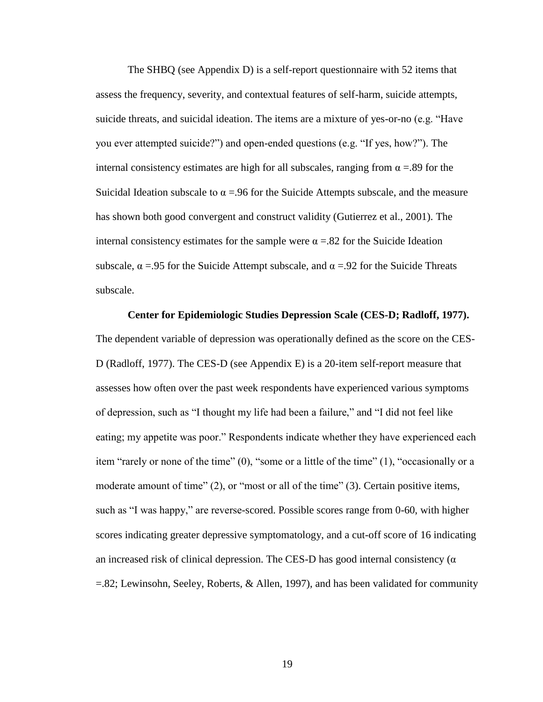The SHBQ (see Appendix D) is a self-report questionnaire with 52 items that assess the frequency, severity, and contextual features of self-harm, suicide attempts, suicide threats, and suicidal ideation. The items are a mixture of yes-or-no (e.g. "Have you ever attempted suicide?") and open-ended questions (e.g. "If yes, how?"). The internal consistency estimates are high for all subscales, ranging from  $\alpha = 0.89$  for the Suicidal Ideation subscale to  $\alpha = 96$  for the Suicide Attempts subscale, and the measure has shown both good convergent and construct validity (Gutierrez et al., 2001). The internal consistency estimates for the sample were  $\alpha = 0.82$  for the Suicide Ideation subscale,  $\alpha$  =.95 for the Suicide Attempt subscale, and  $\alpha$  =.92 for the Suicide Threats subscale.

**Center for Epidemiologic Studies Depression Scale (CES-D; Radloff, 1977).**  The dependent variable of depression was operationally defined as the score on the CES-D (Radloff, 1977). The CES-D (see Appendix E) is a 20-item self-report measure that assesses how often over the past week respondents have experienced various symptoms of depression, such as "I thought my life had been a failure," and "I did not feel like eating; my appetite was poor." Respondents indicate whether they have experienced each item "rarely or none of the time" (0), "some or a little of the time" (1), "occasionally or a moderate amount of time" (2), or "most or all of the time" (3). Certain positive items, such as "I was happy," are reverse-scored. Possible scores range from 0-60, with higher scores indicating greater depressive symptomatology, and a cut-off score of 16 indicating an increased risk of clinical depression. The CES-D has good internal consistency ( $\alpha$ ) =.82; Lewinsohn, Seeley, Roberts, & Allen, 1997), and has been validated for community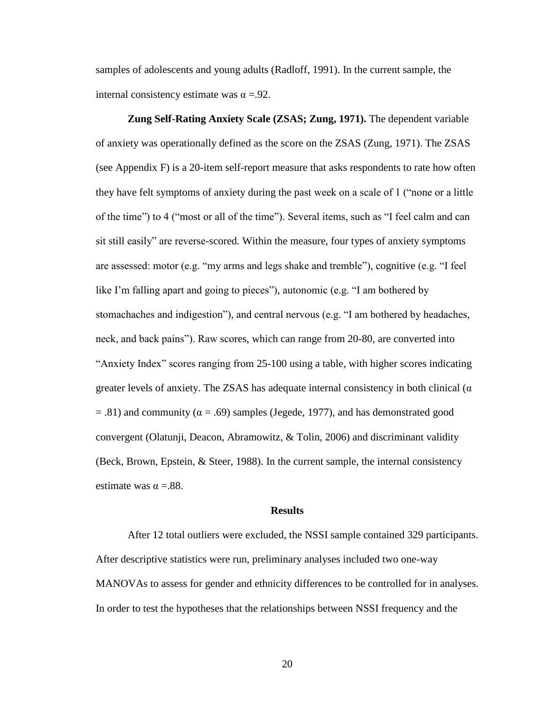samples of adolescents and young adults (Radloff, 1991). In the current sample, the internal consistency estimate was  $\alpha = .92$ .

**Zung Self-Rating Anxiety Scale (ZSAS; Zung, 1971).** The dependent variable of anxiety was operationally defined as the score on the ZSAS (Zung, 1971). The ZSAS (see Appendix F) is a 20-item self-report measure that asks respondents to rate how often they have felt symptoms of anxiety during the past week on a scale of 1 ("none or a little of the time") to 4 ("most or all of the time"). Several items, such as "I feel calm and can sit still easily" are reverse-scored. Within the measure, four types of anxiety symptoms are assessed: motor (e.g. "my arms and legs shake and tremble"), cognitive (e.g. "I feel like I'm falling apart and going to pieces"), autonomic (e.g. "I am bothered by stomachaches and indigestion"), and central nervous (e.g. "I am bothered by headaches, neck, and back pains"). Raw scores, which can range from 20-80, are converted into "Anxiety Index" scores ranging from 25-100 using a table, with higher scores indicating greater levels of anxiety. The ZSAS has adequate internal consistency in both clinical  $(\alpha$  $=$  .81) and community ( $\alpha$  = .69) samples (Jegede, 1977), and has demonstrated good convergent (Olatunji, Deacon, Abramowitz, & Tolin, 2006) and discriminant validity (Beck, Brown, Epstein, & Steer, 1988). In the current sample, the internal consistency estimate was  $\alpha = .88$ .

#### **Results**

After 12 total outliers were excluded, the NSSI sample contained 329 participants. After descriptive statistics were run, preliminary analyses included two one-way MANOVAs to assess for gender and ethnicity differences to be controlled for in analyses. In order to test the hypotheses that the relationships between NSSI frequency and the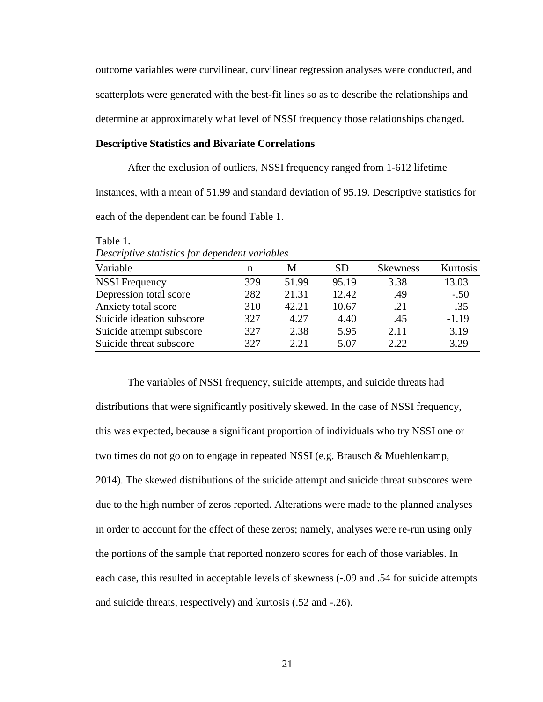outcome variables were curvilinear, curvilinear regression analyses were conducted, and scatterplots were generated with the best-fit lines so as to describe the relationships and determine at approximately what level of NSSI frequency those relationships changed.

#### **Descriptive Statistics and Bivariate Correlations**

After the exclusion of outliers, NSSI frequency ranged from 1-612 lifetime instances, with a mean of 51.99 and standard deviation of 95.19. Descriptive statistics for each of the dependent can be found Table 1.

| <i>Descriptive statistics for aependent variables</i> |     |       |           |                 |          |  |  |  |  |
|-------------------------------------------------------|-----|-------|-----------|-----------------|----------|--|--|--|--|
| Variable                                              | n   | М     | <b>SD</b> | <b>Skewness</b> | Kurtosis |  |  |  |  |
| <b>NSSI</b> Frequency                                 | 329 | 51.99 | 95.19     | 3.38            | 13.03    |  |  |  |  |
| Depression total score                                | 282 | 21.31 | 12.42     | .49             | $-.50$   |  |  |  |  |
| Anxiety total score                                   | 310 | 42.21 | 10.67     | .21             | .35      |  |  |  |  |
| Suicide ideation subscore                             | 327 | 4.27  | 4.40      | .45             | $-1.19$  |  |  |  |  |
| Suicide attempt subscore                              | 327 | 2.38  | 5.95      | 2.11            | 3.19     |  |  |  |  |
| Suicide threat subscore                               | 327 | 2.21  | 5.07      | 2.22.           | 3.29     |  |  |  |  |

*Descriptive statistics for dependent variables*

Table 1.

The variables of NSSI frequency, suicide attempts, and suicide threats had distributions that were significantly positively skewed. In the case of NSSI frequency, this was expected, because a significant proportion of individuals who try NSSI one or two times do not go on to engage in repeated NSSI (e.g. Brausch & Muehlenkamp, 2014). The skewed distributions of the suicide attempt and suicide threat subscores were due to the high number of zeros reported. Alterations were made to the planned analyses in order to account for the effect of these zeros; namely, analyses were re-run using only the portions of the sample that reported nonzero scores for each of those variables. In each case, this resulted in acceptable levels of skewness (-.09 and .54 for suicide attempts and suicide threats, respectively) and kurtosis (.52 and -.26).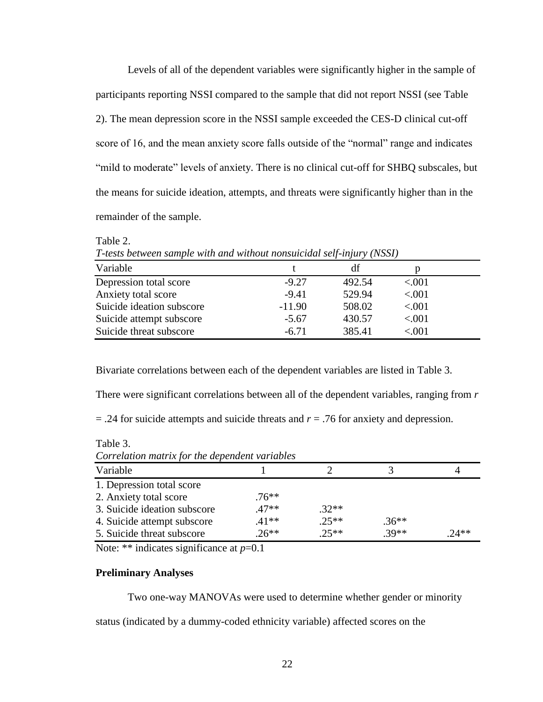Levels of all of the dependent variables were significantly higher in the sample of participants reporting NSSI compared to the sample that did not report NSSI (see Table 2). The mean depression score in the NSSI sample exceeded the CES-D clinical cut-off score of 16, and the mean anxiety score falls outside of the "normal" range and indicates "mild to moderate" levels of anxiety. There is no clinical cut-off for SHBQ subscales, but the means for suicide ideation, attempts, and threats were significantly higher than in the remainder of the sample.

| T-tests between sample with and without nonsuicidal self-injury (NSSI) |          |        |          |  |  |  |  |
|------------------------------------------------------------------------|----------|--------|----------|--|--|--|--|
| Variable                                                               |          | df     | р        |  |  |  |  |
| Depression total score                                                 | $-9.27$  | 492.54 | < .001   |  |  |  |  |
| Anxiety total score                                                    | $-9.41$  | 529.94 | < .001   |  |  |  |  |
| Suicide ideation subscore                                              | $-11.90$ | 508.02 | ${<}001$ |  |  |  |  |
| Suicide attempt subscore                                               | $-5.67$  | 430.57 | < .001   |  |  |  |  |
| Suicide threat subscore                                                | $-6.71$  | 385.41 | < 0.01   |  |  |  |  |

Table 2.

Bivariate correlations between each of the dependent variables are listed in Table 3.

There were significant correlations between all of the dependent variables, ranging from *r*

= .24 for suicide attempts and suicide threats and *r* = .76 for anxiety and depression.

Table 3.

| Correlation matrix for the dependent variables |          |         |         |         |  |  |  |
|------------------------------------------------|----------|---------|---------|---------|--|--|--|
| Variable                                       |          |         |         |         |  |  |  |
| 1. Depression total score                      |          |         |         |         |  |  |  |
| 2. Anxiety total score                         | $.76***$ |         |         |         |  |  |  |
| 3. Suicide ideation subscore                   | $47**$   | $.32**$ |         |         |  |  |  |
| 4. Suicide attempt subscore                    | $.41**$  | $.25**$ | $.36**$ |         |  |  |  |
| 5. Suicide threat subscore                     | $.26**$  | $.25**$ | $.39**$ | $.24**$ |  |  |  |

Note: \*\* indicates significance at  $p=0.1$ 

### **Preliminary Analyses**

Two one-way MANOVAs were used to determine whether gender or minority

status (indicated by a dummy-coded ethnicity variable) affected scores on the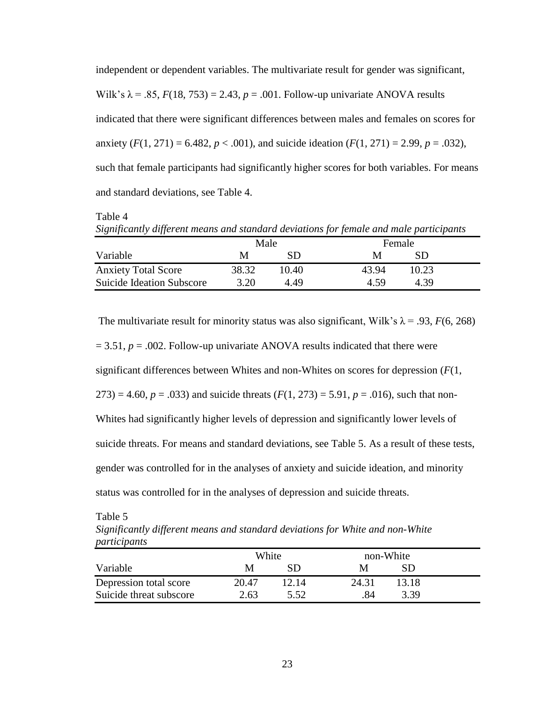independent or dependent variables. The multivariate result for gender was significant, Wilk's  $\lambda$  = .85,  $F(18, 753) = 2.43$ ,  $p = .001$ . Follow-up univariate ANOVA results indicated that there were significant differences between males and females on scores for anxiety  $(F(1, 271) = 6.482, p < .001)$ , and suicide ideation  $(F(1, 271) = 2.99, p = .032)$ , such that female participants had significantly higher scores for both variables. For means and standard deviations, see Table 4.

Table 4

*Significantly different means and standard deviations for female and male participants* 

|                                  | Male  |       |       | Female |  |
|----------------------------------|-------|-------|-------|--------|--|
| Variable                         | M     | SD    | M     | SD     |  |
| <b>Anxiety Total Score</b>       | 38.32 | 10.40 | 43.94 | 10.23  |  |
| <b>Suicide Ideation Subscore</b> | 3.20  | 4.49  | 4.59  | 4.39   |  |

The multivariate result for minority status was also significant, Wilk's  $\lambda$  = .93, *F*(6, 268)  $= 3.51, p = .002$ . Follow-up univariate ANOVA results indicated that there were significant differences between Whites and non-Whites on scores for depression (*F*(1,  $273$ ) = 4.60,  $p = .033$ ) and suicide threats  $(F(1, 273) = 5.91, p = .016)$ , such that non-Whites had significantly higher levels of depression and significantly lower levels of suicide threats. For means and standard deviations, see Table 5. As a result of these tests, gender was controlled for in the analyses of anxiety and suicide ideation, and minority status was controlled for in the analyses of depression and suicide threats.

Table 5

*Significantly different means and standard deviations for White and non-White participants*

|                         | White |       | non-White |       |
|-------------------------|-------|-------|-----------|-------|
| Variable                | M     | SD    |           |       |
| Depression total score  | 20.47 | 12.14 | 24.31     | 13.18 |
| Suicide threat subscore | 2.63  | 5.52  |           | 3.39  |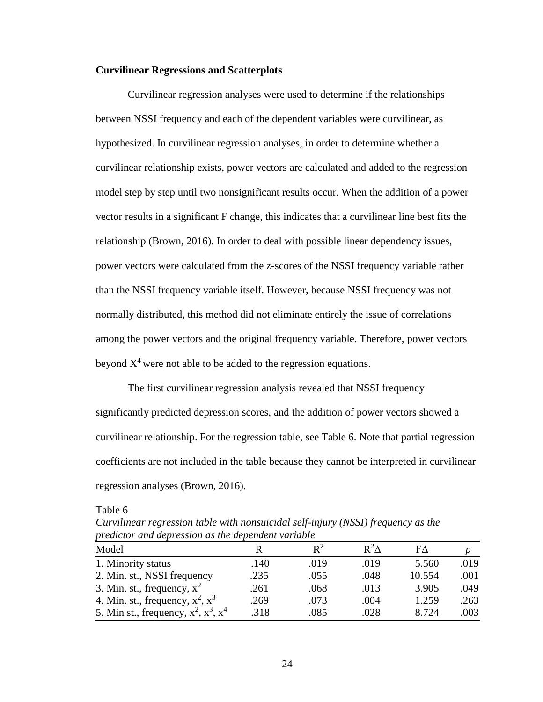#### **Curvilinear Regressions and Scatterplots**

Curvilinear regression analyses were used to determine if the relationships between NSSI frequency and each of the dependent variables were curvilinear, as hypothesized. In curvilinear regression analyses, in order to determine whether a curvilinear relationship exists, power vectors are calculated and added to the regression model step by step until two nonsignificant results occur. When the addition of a power vector results in a significant F change, this indicates that a curvilinear line best fits the relationship (Brown, 2016). In order to deal with possible linear dependency issues, power vectors were calculated from the z-scores of the NSSI frequency variable rather than the NSSI frequency variable itself. However, because NSSI frequency was not normally distributed, this method did not eliminate entirely the issue of correlations among the power vectors and the original frequency variable. Therefore, power vectors beyond  $X<sup>4</sup>$  were not able to be added to the regression equations.

The first curvilinear regression analysis revealed that NSSI frequency significantly predicted depression scores, and the addition of power vectors showed a curvilinear relationship. For the regression table, see Table 6. Note that partial regression coefficients are not included in the table because they cannot be interpreted in curvilinear regression analyses (Brown, 2016).

Table 6

*Curvilinear regression table with nonsuicidal self-injury (NSSI) frequency as the predictor and depression as the dependent variable*

| Model                                        |      | $\mathbf{R}^2$ | $R^2\Lambda$ | FΛ     |      |
|----------------------------------------------|------|----------------|--------------|--------|------|
| 1. Minority status                           | .140 | .019           | .019         | 5.560  | .019 |
| 2. Min. st., NSSI frequency                  | .235 | .055           | .048         | 10.554 | .001 |
| 3. Min. st., frequency, $x^2$                | .261 | .068           | .013         | 3.905  | .049 |
| 4. Min. st., frequency, $x^2$ , $x^3$        | .269 | .073           | .004         | 1.259  | .263 |
| 5. Min st., frequency, $x^2$ , $x^3$ , $x^4$ | .318 | .085           | .028         | 8.724  | .003 |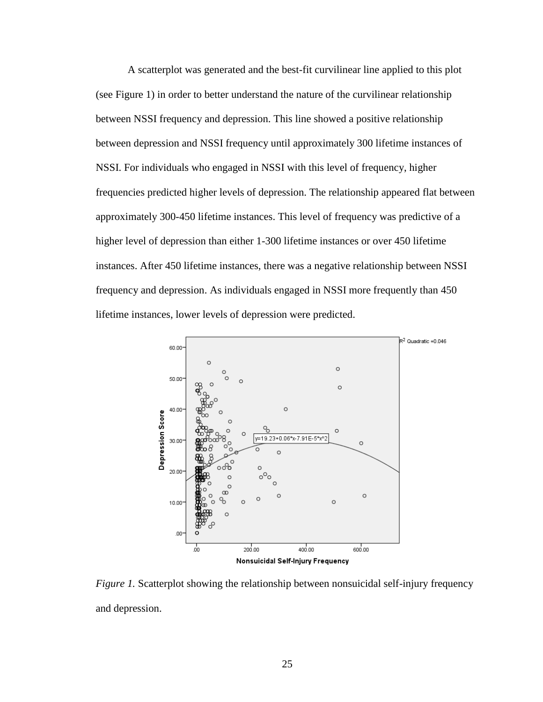A scatterplot was generated and the best-fit curvilinear line applied to this plot (see Figure 1) in order to better understand the nature of the curvilinear relationship between NSSI frequency and depression. This line showed a positive relationship between depression and NSSI frequency until approximately 300 lifetime instances of NSSI. For individuals who engaged in NSSI with this level of frequency, higher frequencies predicted higher levels of depression. The relationship appeared flat between approximately 300-450 lifetime instances. This level of frequency was predictive of a higher level of depression than either 1-300 lifetime instances or over 450 lifetime instances. After 450 lifetime instances, there was a negative relationship between NSSI frequency and depression. As individuals engaged in NSSI more frequently than 450 lifetime instances, lower levels of depression were predicted.



*Figure 1.* Scatterplot showing the relationship between nonsuicidal self-injury frequency and depression.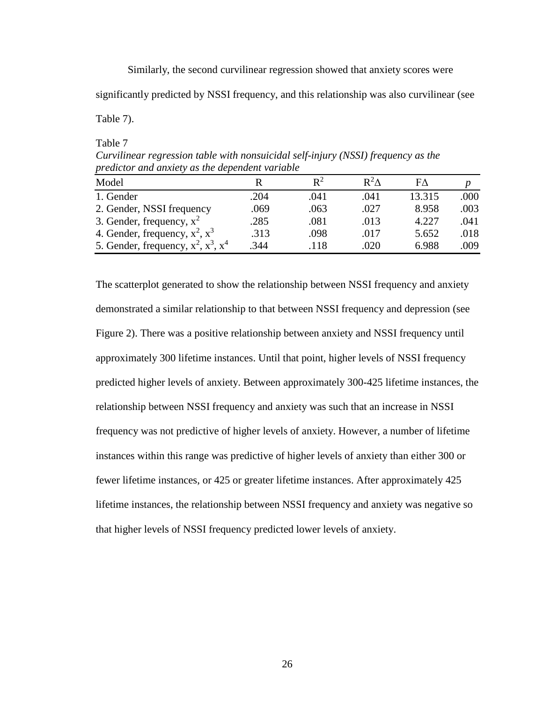Similarly, the second curvilinear regression showed that anxiety scores were

significantly predicted by NSSI frequency, and this relationship was also curvilinear (see

Table 7).

Table 7 *Curvilinear regression table with nonsuicidal self-injury (NSSI) frequency as the predictor and anxiety as the dependent variable*

| Model                                       |      | $\mathbb{R}^2$ | $R^2\Lambda$ | FΛ     |      |
|---------------------------------------------|------|----------------|--------------|--------|------|
| 1. Gender                                   | .204 | .041           | .041         | 13.315 | .000 |
| 2. Gender, NSSI frequency                   | .069 | .063           | .027         | 8.958  | .003 |
| 3. Gender, frequency, $x^2$                 | .285 | .081           | .013         | 4.227  | .041 |
| 4. Gender, frequency, $x^2$ , $x^3$         | .313 | .098           | .017         | 5.652  | .018 |
| 5. Gender, frequency, $x^2$ , $x^3$ , $x^4$ | 344  | .118           | .020         | 6.988  | .009 |

The scatterplot generated to show the relationship between NSSI frequency and anxiety demonstrated a similar relationship to that between NSSI frequency and depression (see Figure 2). There was a positive relationship between anxiety and NSSI frequency until approximately 300 lifetime instances. Until that point, higher levels of NSSI frequency predicted higher levels of anxiety. Between approximately 300-425 lifetime instances, the relationship between NSSI frequency and anxiety was such that an increase in NSSI frequency was not predictive of higher levels of anxiety. However, a number of lifetime instances within this range was predictive of higher levels of anxiety than either 300 or fewer lifetime instances, or 425 or greater lifetime instances. After approximately 425 lifetime instances, the relationship between NSSI frequency and anxiety was negative so that higher levels of NSSI frequency predicted lower levels of anxiety.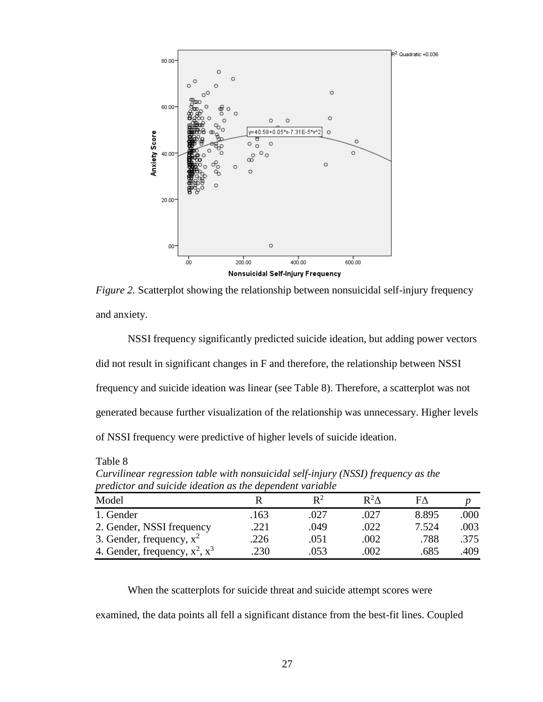

*Figure 2.* Scatterplot showing the relationship between nonsuicidal self-injury frequency and anxiety.

NSSI frequency significantly predicted suicide ideation, but adding power vectors did not result in significant changes in F and therefore, the relationship between NSSI frequency and suicide ideation was linear (see Table 8). Therefore, a scatterplot was not generated because further visualization of the relationship was unnecessary. Higher levels of NSSI frequency were predictive of higher levels of suicide ideation.

Model R  $R^2$  $R^2\Delta$  $F\Delta$  *p* 1. Gender .163 .027 .027 8.895 .000 2. Gender, NSSI frequency .221 .049 .022 7.524 .003 3. Gender, frequency,  $x^2$  .226 .051 .002 .788 .375 4. Gender, frequency,  $x^2$ ,  $x^3$ .230 .053 .002 .685 .409

*Curvilinear regression table with nonsuicidal self-injury (NSSI) frequency as the predictor and suicide ideation as the dependent variable*

Table 8

When the scatterplots for suicide threat and suicide attempt scores were examined, the data points all fell a significant distance from the best-fit lines. Coupled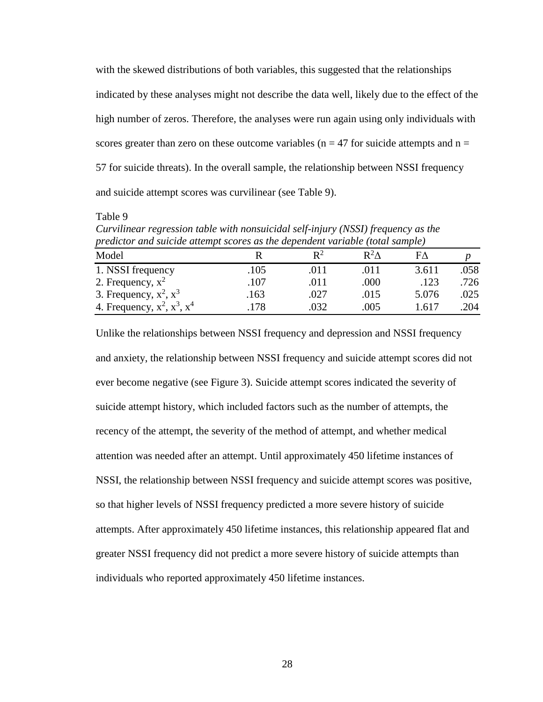with the skewed distributions of both variables, this suggested that the relationships indicated by these analyses might not describe the data well, likely due to the effect of the high number of zeros. Therefore, the analyses were run again using only individuals with scores greater than zero on these outcome variables ( $n = 47$  for suicide attempts and  $n =$ 57 for suicide threats). In the overall sample, the relationship between NSSI frequency and suicide attempt scores was curvilinear (see Table 9).

Table 9

*Curvilinear regression table with nonsuicidal self-injury (NSSI) frequency as the predictor and suicide attempt scores as the dependent variable (total sample)*

| Model                               |      | $\mathbf{p}^2$ | $\mathbf{R}^2\Lambda$ |       |      |
|-------------------------------------|------|----------------|-----------------------|-------|------|
| 1. NSSI frequency                   | .105 | .011           | .011                  | 3.611 | .058 |
| 2. Frequency, $x^2$                 | .107 | .011           | .000                  | .123  | .726 |
| 3. Frequency, $x^2$ , $x^3$         | .163 | .027           | .015                  | 5.076 | .025 |
| 4. Frequency, $x^2$ , $x^3$ , $x^4$ | 178  | 032            | .005                  | .617  | .204 |

Unlike the relationships between NSSI frequency and depression and NSSI frequency and anxiety, the relationship between NSSI frequency and suicide attempt scores did not ever become negative (see Figure 3). Suicide attempt scores indicated the severity of suicide attempt history, which included factors such as the number of attempts, the recency of the attempt, the severity of the method of attempt, and whether medical attention was needed after an attempt. Until approximately 450 lifetime instances of NSSI, the relationship between NSSI frequency and suicide attempt scores was positive, so that higher levels of NSSI frequency predicted a more severe history of suicide attempts. After approximately 450 lifetime instances, this relationship appeared flat and greater NSSI frequency did not predict a more severe history of suicide attempts than individuals who reported approximately 450 lifetime instances.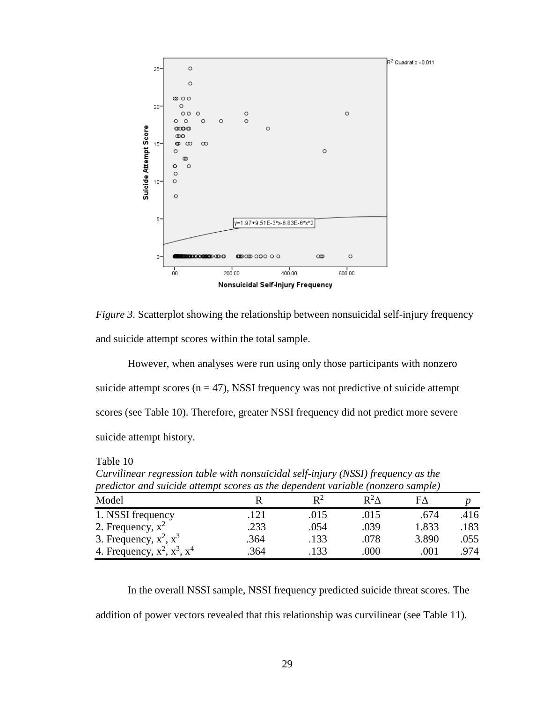

*Figure 3*. Scatterplot showing the relationship between nonsuicidal self-injury frequency and suicide attempt scores within the total sample.

However, when analyses were run using only those participants with nonzero suicide attempt scores  $(n = 47)$ , NSSI frequency was not predictive of suicide attempt scores (see Table 10). Therefore, greater NSSI frequency did not predict more severe suicide attempt history.

*predictor and suicide attempt scores as the dependent variable (nonzero sample)* Model R  $R^2$  $R^2\Delta$  $F\Delta$  *p* 1. NSSI frequency .121 .015 .015 .674 .416 2. Frequency,  $x^2$  .233 .054 .039 1.833 .183 3. Frequency,  $x^2$ ,  $x^3$  .364 .133 .078 3.890 .055 4. Frequency,  $x^2$ ,  $x^3$ ,  $x^4$ .364 .133 .000 .001 .974

Table 10 *Curvilinear regression table with nonsuicidal self-injury (NSSI) frequency as the* 

In the overall NSSI sample, NSSI frequency predicted suicide threat scores. The addition of power vectors revealed that this relationship was curvilinear (see Table 11).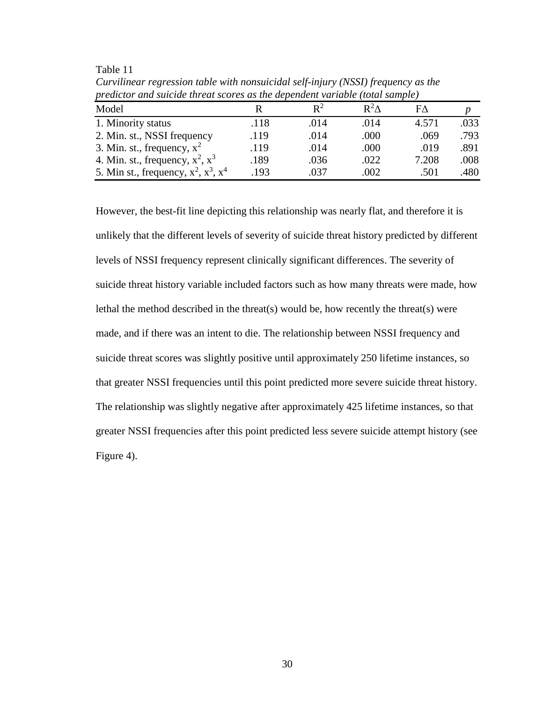| predictor and suicide inreal scores as the dependent variable (fold) sumple) |      |                |              |       |      |  |
|------------------------------------------------------------------------------|------|----------------|--------------|-------|------|--|
| Model                                                                        |      | $\mathsf{R}^2$ | $R^2\Lambda$ | FΛ    |      |  |
| 1. Minority status                                                           | .118 | .014           | .014         | 4.571 | .033 |  |
| 2. Min. st., NSSI frequency                                                  | .119 | .014           | .000         | .069  | .793 |  |
| 3. Min. st., frequency, $x^2$                                                | .119 | .014           | .000         | .019  | .891 |  |
| 4. Min. st., frequency, $x^2$ , $x^3$                                        | .189 | .036           | .022         | 7.208 | .008 |  |
| 5. Min st., frequency, $x^2$ , $x^3$ , $x^4$                                 | .193 | .037           | .002         | .501  | .480 |  |

Table 11 *Curvilinear regression table with nonsuicidal self-injury (NSSI) frequency as the predictor and suicide threat scores as the dependent variable (total sample)*

However, the best-fit line depicting this relationship was nearly flat, and therefore it is unlikely that the different levels of severity of suicide threat history predicted by different levels of NSSI frequency represent clinically significant differences. The severity of suicide threat history variable included factors such as how many threats were made, how lethal the method described in the threat(s) would be, how recently the threat(s) were made, and if there was an intent to die. The relationship between NSSI frequency and suicide threat scores was slightly positive until approximately 250 lifetime instances, so that greater NSSI frequencies until this point predicted more severe suicide threat history. The relationship was slightly negative after approximately 425 lifetime instances, so that greater NSSI frequencies after this point predicted less severe suicide attempt history (see Figure 4).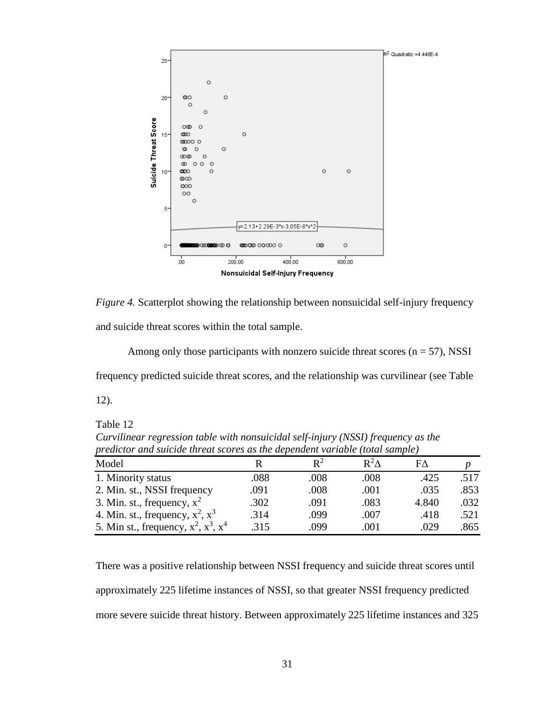

*Figure 4.* Scatterplot showing the relationship between nonsuicidal self-injury frequency and suicide threat scores within the total sample.

Among only those participants with nonzero suicide threat scores  $(n = 57)$ , NSSI frequency predicted suicide threat scores, and the relationship was curvilinear (see Table

12).

Table 12

| predictor and suicide infeat scores as the dependent variable (total sample) |      |                |              |       |      |
|------------------------------------------------------------------------------|------|----------------|--------------|-------|------|
| Model                                                                        |      | $\mathbf{R}^2$ | $R^2\Lambda$ | FΛ    |      |
| 1. Minority status                                                           | .088 | .008           | .008         | .425  | .517 |
| 2. Min. st., NSSI frequency                                                  | .091 | .008           | .001         | .035  | .853 |
| 3. Min. st., frequency, $x^2$                                                | .302 | .091           | .083         | 4.840 | .032 |
| 4. Min. st., frequency, $x^2$ , $x^3$                                        | .314 | .099           | .007         | .418  | .521 |
| 5. Min st., frequency, $x^2$ , $x^3$ , $x^4$                                 | .315 | .099           | .001         | .029  | .865 |

*Curvilinear regression table with nonsuicidal self-injury (NSSI) frequency as the predictor and suicide threat scores as the dependent variable (total sample)*

There was a positive relationship between NSSI frequency and suicide threat scores until approximately 225 lifetime instances of NSSI, so that greater NSSI frequency predicted more severe suicide threat history. Between approximately 225 lifetime instances and 325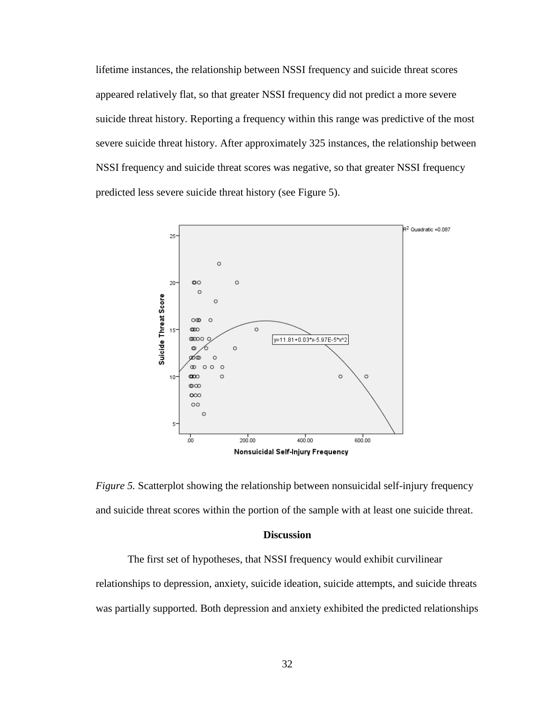lifetime instances, the relationship between NSSI frequency and suicide threat scores appeared relatively flat, so that greater NSSI frequency did not predict a more severe suicide threat history. Reporting a frequency within this range was predictive of the most severe suicide threat history. After approximately 325 instances, the relationship between NSSI frequency and suicide threat scores was negative, so that greater NSSI frequency predicted less severe suicide threat history (see Figure 5).



*Figure 5.* Scatterplot showing the relationship between nonsuicidal self-injury frequency and suicide threat scores within the portion of the sample with at least one suicide threat.

## **Discussion**

The first set of hypotheses, that NSSI frequency would exhibit curvilinear relationships to depression, anxiety, suicide ideation, suicide attempts, and suicide threats was partially supported. Both depression and anxiety exhibited the predicted relationships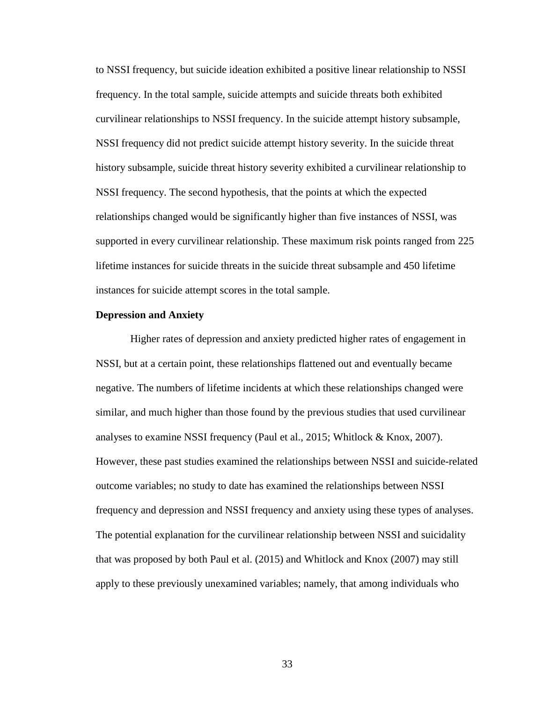to NSSI frequency, but suicide ideation exhibited a positive linear relationship to NSSI frequency. In the total sample, suicide attempts and suicide threats both exhibited curvilinear relationships to NSSI frequency. In the suicide attempt history subsample, NSSI frequency did not predict suicide attempt history severity. In the suicide threat history subsample, suicide threat history severity exhibited a curvilinear relationship to NSSI frequency. The second hypothesis, that the points at which the expected relationships changed would be significantly higher than five instances of NSSI, was supported in every curvilinear relationship. These maximum risk points ranged from 225 lifetime instances for suicide threats in the suicide threat subsample and 450 lifetime instances for suicide attempt scores in the total sample.

#### **Depression and Anxiety**

Higher rates of depression and anxiety predicted higher rates of engagement in NSSI, but at a certain point, these relationships flattened out and eventually became negative. The numbers of lifetime incidents at which these relationships changed were similar, and much higher than those found by the previous studies that used curvilinear analyses to examine NSSI frequency (Paul et al., 2015; Whitlock & Knox, 2007). However, these past studies examined the relationships between NSSI and suicide-related outcome variables; no study to date has examined the relationships between NSSI frequency and depression and NSSI frequency and anxiety using these types of analyses. The potential explanation for the curvilinear relationship between NSSI and suicidality that was proposed by both Paul et al. (2015) and Whitlock and Knox (2007) may still apply to these previously unexamined variables; namely, that among individuals who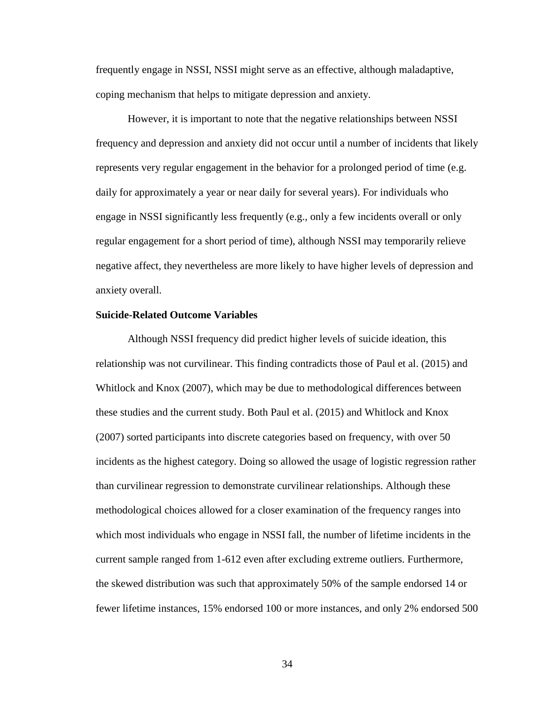frequently engage in NSSI, NSSI might serve as an effective, although maladaptive, coping mechanism that helps to mitigate depression and anxiety.

However, it is important to note that the negative relationships between NSSI frequency and depression and anxiety did not occur until a number of incidents that likely represents very regular engagement in the behavior for a prolonged period of time (e.g. daily for approximately a year or near daily for several years). For individuals who engage in NSSI significantly less frequently (e.g., only a few incidents overall or only regular engagement for a short period of time), although NSSI may temporarily relieve negative affect, they nevertheless are more likely to have higher levels of depression and anxiety overall.

## **Suicide-Related Outcome Variables**

Although NSSI frequency did predict higher levels of suicide ideation, this relationship was not curvilinear. This finding contradicts those of Paul et al. (2015) and Whitlock and Knox (2007), which may be due to methodological differences between these studies and the current study. Both Paul et al. (2015) and Whitlock and Knox (2007) sorted participants into discrete categories based on frequency, with over 50 incidents as the highest category. Doing so allowed the usage of logistic regression rather than curvilinear regression to demonstrate curvilinear relationships. Although these methodological choices allowed for a closer examination of the frequency ranges into which most individuals who engage in NSSI fall, the number of lifetime incidents in the current sample ranged from 1-612 even after excluding extreme outliers. Furthermore, the skewed distribution was such that approximately 50% of the sample endorsed 14 or fewer lifetime instances, 15% endorsed 100 or more instances, and only 2% endorsed 500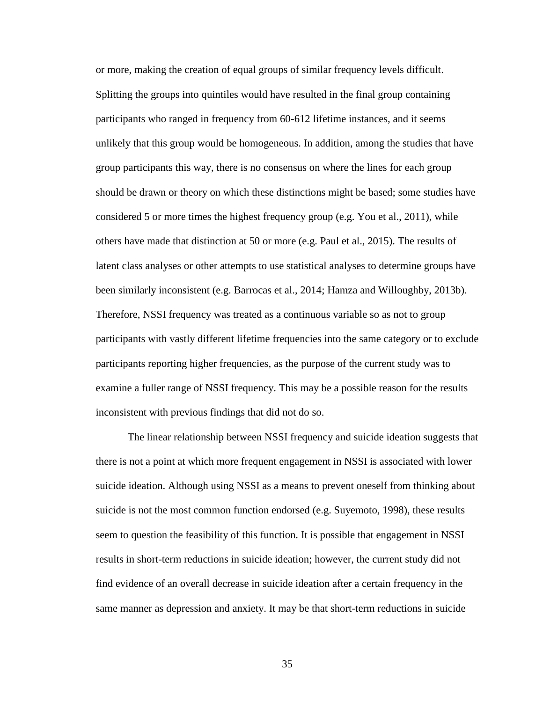or more, making the creation of equal groups of similar frequency levels difficult. Splitting the groups into quintiles would have resulted in the final group containing participants who ranged in frequency from 60-612 lifetime instances, and it seems unlikely that this group would be homogeneous. In addition, among the studies that have group participants this way, there is no consensus on where the lines for each group should be drawn or theory on which these distinctions might be based; some studies have considered 5 or more times the highest frequency group (e.g. You et al., 2011), while others have made that distinction at 50 or more (e.g. Paul et al., 2015). The results of latent class analyses or other attempts to use statistical analyses to determine groups have been similarly inconsistent (e.g. Barrocas et al., 2014; Hamza and Willoughby, 2013b). Therefore, NSSI frequency was treated as a continuous variable so as not to group participants with vastly different lifetime frequencies into the same category or to exclude participants reporting higher frequencies, as the purpose of the current study was to examine a fuller range of NSSI frequency. This may be a possible reason for the results inconsistent with previous findings that did not do so.

The linear relationship between NSSI frequency and suicide ideation suggests that there is not a point at which more frequent engagement in NSSI is associated with lower suicide ideation. Although using NSSI as a means to prevent oneself from thinking about suicide is not the most common function endorsed (e.g. Suyemoto, 1998), these results seem to question the feasibility of this function. It is possible that engagement in NSSI results in short-term reductions in suicide ideation; however, the current study did not find evidence of an overall decrease in suicide ideation after a certain frequency in the same manner as depression and anxiety. It may be that short-term reductions in suicide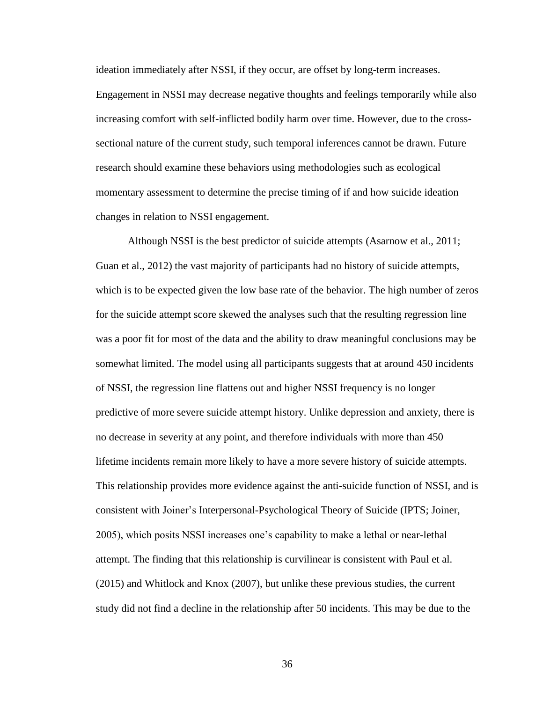ideation immediately after NSSI, if they occur, are offset by long-term increases. Engagement in NSSI may decrease negative thoughts and feelings temporarily while also increasing comfort with self-inflicted bodily harm over time. However, due to the crosssectional nature of the current study, such temporal inferences cannot be drawn. Future research should examine these behaviors using methodologies such as ecological momentary assessment to determine the precise timing of if and how suicide ideation changes in relation to NSSI engagement.

Although NSSI is the best predictor of suicide attempts (Asarnow et al., 2011; Guan et al., 2012) the vast majority of participants had no history of suicide attempts, which is to be expected given the low base rate of the behavior. The high number of zeros for the suicide attempt score skewed the analyses such that the resulting regression line was a poor fit for most of the data and the ability to draw meaningful conclusions may be somewhat limited. The model using all participants suggests that at around 450 incidents of NSSI, the regression line flattens out and higher NSSI frequency is no longer predictive of more severe suicide attempt history. Unlike depression and anxiety, there is no decrease in severity at any point, and therefore individuals with more than 450 lifetime incidents remain more likely to have a more severe history of suicide attempts. This relationship provides more evidence against the anti-suicide function of NSSI, and is consistent with Joiner's Interpersonal-Psychological Theory of Suicide (IPTS; Joiner, 2005), which posits NSSI increases one's capability to make a lethal or near-lethal attempt. The finding that this relationship is curvilinear is consistent with Paul et al. (2015) and Whitlock and Knox (2007), but unlike these previous studies, the current study did not find a decline in the relationship after 50 incidents. This may be due to the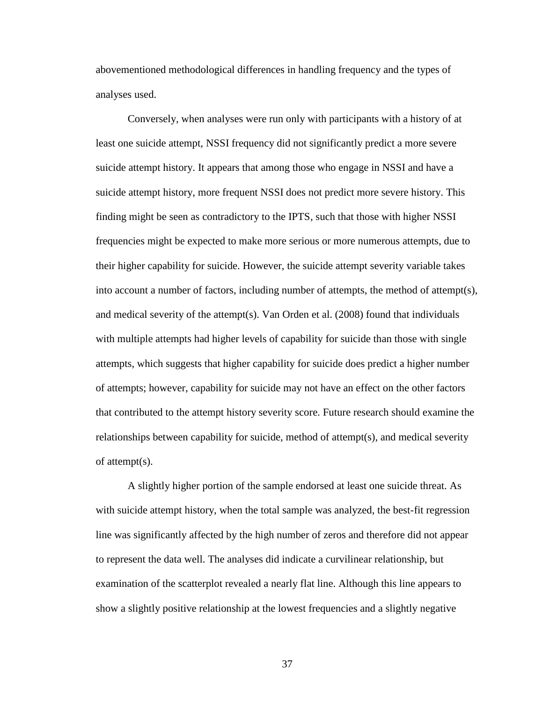abovementioned methodological differences in handling frequency and the types of analyses used.

Conversely, when analyses were run only with participants with a history of at least one suicide attempt, NSSI frequency did not significantly predict a more severe suicide attempt history. It appears that among those who engage in NSSI and have a suicide attempt history, more frequent NSSI does not predict more severe history. This finding might be seen as contradictory to the IPTS, such that those with higher NSSI frequencies might be expected to make more serious or more numerous attempts, due to their higher capability for suicide. However, the suicide attempt severity variable takes into account a number of factors, including number of attempts, the method of attempt(s), and medical severity of the attempt(s). Van Orden et al. (2008) found that individuals with multiple attempts had higher levels of capability for suicide than those with single attempts, which suggests that higher capability for suicide does predict a higher number of attempts; however, capability for suicide may not have an effect on the other factors that contributed to the attempt history severity score. Future research should examine the relationships between capability for suicide, method of attempt(s), and medical severity of attempt(s).

A slightly higher portion of the sample endorsed at least one suicide threat. As with suicide attempt history, when the total sample was analyzed, the best-fit regression line was significantly affected by the high number of zeros and therefore did not appear to represent the data well. The analyses did indicate a curvilinear relationship, but examination of the scatterplot revealed a nearly flat line. Although this line appears to show a slightly positive relationship at the lowest frequencies and a slightly negative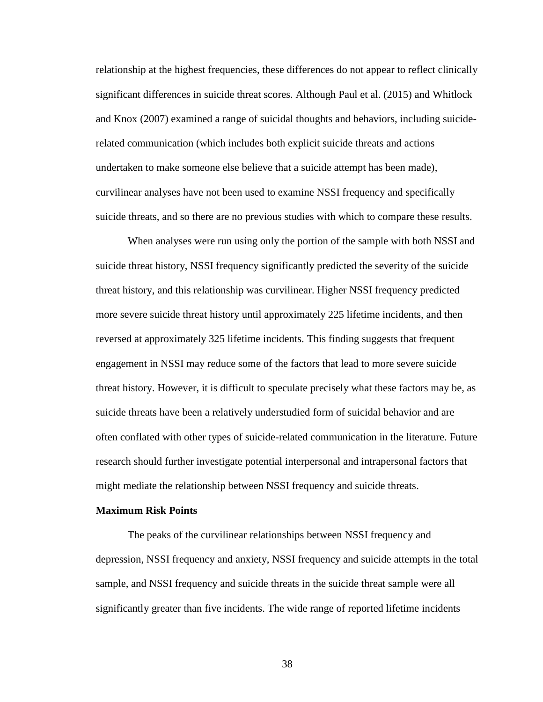relationship at the highest frequencies, these differences do not appear to reflect clinically significant differences in suicide threat scores. Although Paul et al. (2015) and Whitlock and Knox (2007) examined a range of suicidal thoughts and behaviors, including suiciderelated communication (which includes both explicit suicide threats and actions undertaken to make someone else believe that a suicide attempt has been made), curvilinear analyses have not been used to examine NSSI frequency and specifically suicide threats, and so there are no previous studies with which to compare these results.

When analyses were run using only the portion of the sample with both NSSI and suicide threat history, NSSI frequency significantly predicted the severity of the suicide threat history, and this relationship was curvilinear. Higher NSSI frequency predicted more severe suicide threat history until approximately 225 lifetime incidents, and then reversed at approximately 325 lifetime incidents. This finding suggests that frequent engagement in NSSI may reduce some of the factors that lead to more severe suicide threat history. However, it is difficult to speculate precisely what these factors may be, as suicide threats have been a relatively understudied form of suicidal behavior and are often conflated with other types of suicide-related communication in the literature. Future research should further investigate potential interpersonal and intrapersonal factors that might mediate the relationship between NSSI frequency and suicide threats.

### **Maximum Risk Points**

The peaks of the curvilinear relationships between NSSI frequency and depression, NSSI frequency and anxiety, NSSI frequency and suicide attempts in the total sample, and NSSI frequency and suicide threats in the suicide threat sample were all significantly greater than five incidents. The wide range of reported lifetime incidents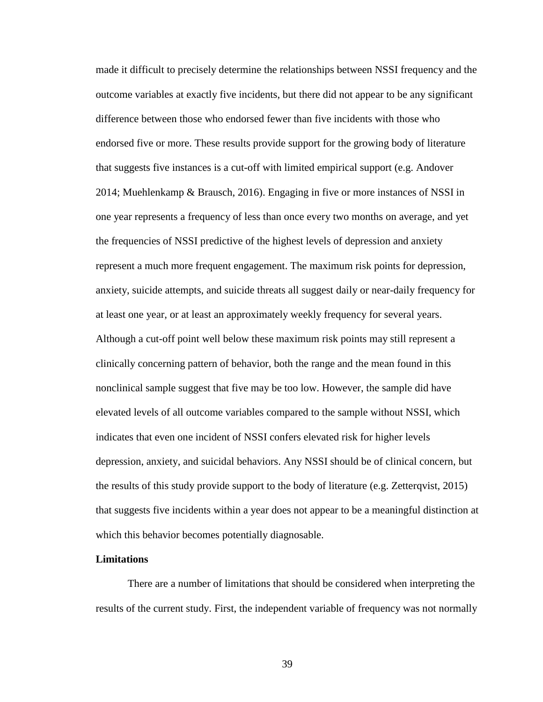made it difficult to precisely determine the relationships between NSSI frequency and the outcome variables at exactly five incidents, but there did not appear to be any significant difference between those who endorsed fewer than five incidents with those who endorsed five or more. These results provide support for the growing body of literature that suggests five instances is a cut-off with limited empirical support (e.g. Andover 2014; Muehlenkamp & Brausch, 2016). Engaging in five or more instances of NSSI in one year represents a frequency of less than once every two months on average, and yet the frequencies of NSSI predictive of the highest levels of depression and anxiety represent a much more frequent engagement. The maximum risk points for depression, anxiety, suicide attempts, and suicide threats all suggest daily or near-daily frequency for at least one year, or at least an approximately weekly frequency for several years. Although a cut-off point well below these maximum risk points may still represent a clinically concerning pattern of behavior, both the range and the mean found in this nonclinical sample suggest that five may be too low. However, the sample did have elevated levels of all outcome variables compared to the sample without NSSI, which indicates that even one incident of NSSI confers elevated risk for higher levels depression, anxiety, and suicidal behaviors. Any NSSI should be of clinical concern, but the results of this study provide support to the body of literature (e.g. Zetterqvist, 2015) that suggests five incidents within a year does not appear to be a meaningful distinction at which this behavior becomes potentially diagnosable.

#### **Limitations**

There are a number of limitations that should be considered when interpreting the results of the current study. First, the independent variable of frequency was not normally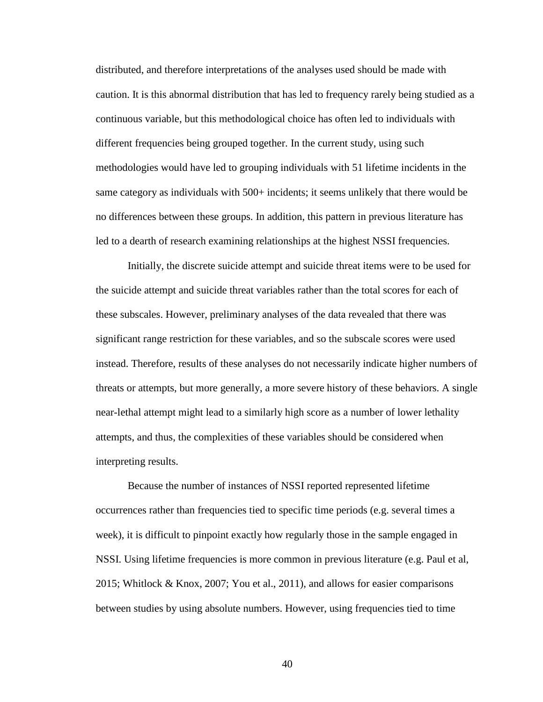distributed, and therefore interpretations of the analyses used should be made with caution. It is this abnormal distribution that has led to frequency rarely being studied as a continuous variable, but this methodological choice has often led to individuals with different frequencies being grouped together. In the current study, using such methodologies would have led to grouping individuals with 51 lifetime incidents in the same category as individuals with 500+ incidents; it seems unlikely that there would be no differences between these groups. In addition, this pattern in previous literature has led to a dearth of research examining relationships at the highest NSSI frequencies.

Initially, the discrete suicide attempt and suicide threat items were to be used for the suicide attempt and suicide threat variables rather than the total scores for each of these subscales. However, preliminary analyses of the data revealed that there was significant range restriction for these variables, and so the subscale scores were used instead. Therefore, results of these analyses do not necessarily indicate higher numbers of threats or attempts, but more generally, a more severe history of these behaviors. A single near-lethal attempt might lead to a similarly high score as a number of lower lethality attempts, and thus, the complexities of these variables should be considered when interpreting results.

Because the number of instances of NSSI reported represented lifetime occurrences rather than frequencies tied to specific time periods (e.g. several times a week), it is difficult to pinpoint exactly how regularly those in the sample engaged in NSSI. Using lifetime frequencies is more common in previous literature (e.g. Paul et al, 2015; Whitlock & Knox, 2007; You et al., 2011), and allows for easier comparisons between studies by using absolute numbers. However, using frequencies tied to time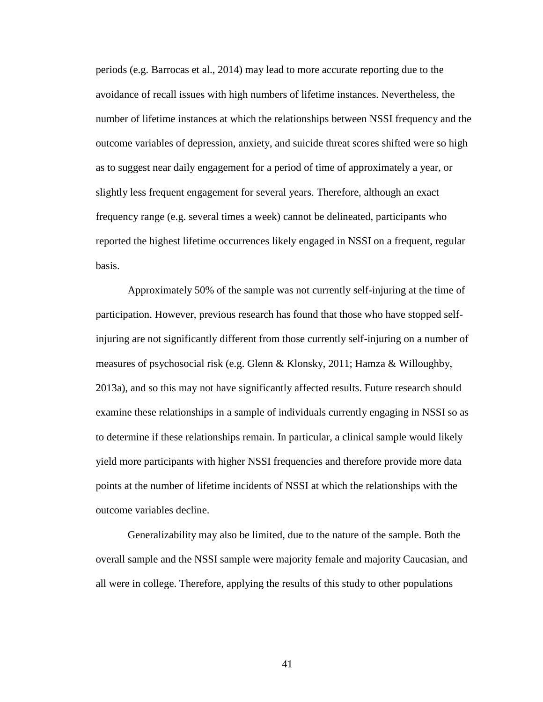periods (e.g. Barrocas et al., 2014) may lead to more accurate reporting due to the avoidance of recall issues with high numbers of lifetime instances. Nevertheless, the number of lifetime instances at which the relationships between NSSI frequency and the outcome variables of depression, anxiety, and suicide threat scores shifted were so high as to suggest near daily engagement for a period of time of approximately a year, or slightly less frequent engagement for several years. Therefore, although an exact frequency range (e.g. several times a week) cannot be delineated, participants who reported the highest lifetime occurrences likely engaged in NSSI on a frequent, regular basis.

Approximately 50% of the sample was not currently self-injuring at the time of participation. However, previous research has found that those who have stopped selfinjuring are not significantly different from those currently self-injuring on a number of measures of psychosocial risk (e.g. Glenn & Klonsky, 2011; Hamza & Willoughby, 2013a), and so this may not have significantly affected results. Future research should examine these relationships in a sample of individuals currently engaging in NSSI so as to determine if these relationships remain. In particular, a clinical sample would likely yield more participants with higher NSSI frequencies and therefore provide more data points at the number of lifetime incidents of NSSI at which the relationships with the outcome variables decline.

Generalizability may also be limited, due to the nature of the sample. Both the overall sample and the NSSI sample were majority female and majority Caucasian, and all were in college. Therefore, applying the results of this study to other populations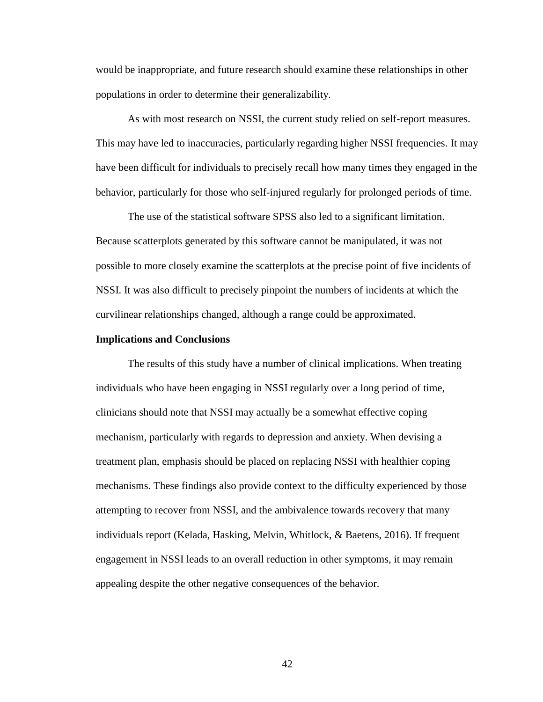would be inappropriate, and future research should examine these relationships in other populations in order to determine their generalizability.

As with most research on NSSI, the current study relied on self-report measures. This may have led to inaccuracies, particularly regarding higher NSSI frequencies. It may have been difficult for individuals to precisely recall how many times they engaged in the behavior, particularly for those who self-injured regularly for prolonged periods of time.

The use of the statistical software SPSS also led to a significant limitation. Because scatterplots generated by this software cannot be manipulated, it was not possible to more closely examine the scatterplots at the precise point of five incidents of NSSI. It was also difficult to precisely pinpoint the numbers of incidents at which the curvilinear relationships changed, although a range could be approximated.

#### **Implications and Conclusions**

The results of this study have a number of clinical implications. When treating individuals who have been engaging in NSSI regularly over a long period of time, clinicians should note that NSSI may actually be a somewhat effective coping mechanism, particularly with regards to depression and anxiety. When devising a treatment plan, emphasis should be placed on replacing NSSI with healthier coping mechanisms. These findings also provide context to the difficulty experienced by those attempting to recover from NSSI, and the ambivalence towards recovery that many individuals report (Kelada, Hasking, Melvin, Whitlock, & Baetens, 2016). If frequent engagement in NSSI leads to an overall reduction in other symptoms, it may remain appealing despite the other negative consequences of the behavior.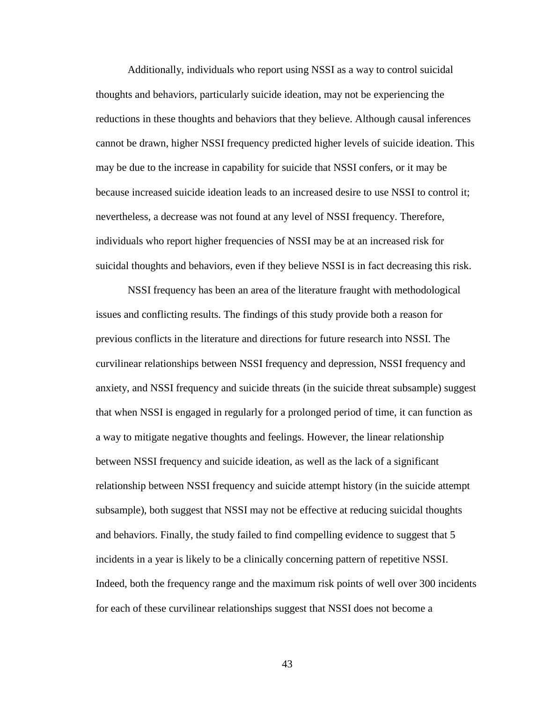Additionally, individuals who report using NSSI as a way to control suicidal thoughts and behaviors, particularly suicide ideation, may not be experiencing the reductions in these thoughts and behaviors that they believe. Although causal inferences cannot be drawn, higher NSSI frequency predicted higher levels of suicide ideation. This may be due to the increase in capability for suicide that NSSI confers, or it may be because increased suicide ideation leads to an increased desire to use NSSI to control it; nevertheless, a decrease was not found at any level of NSSI frequency. Therefore, individuals who report higher frequencies of NSSI may be at an increased risk for suicidal thoughts and behaviors, even if they believe NSSI is in fact decreasing this risk.

NSSI frequency has been an area of the literature fraught with methodological issues and conflicting results. The findings of this study provide both a reason for previous conflicts in the literature and directions for future research into NSSI. The curvilinear relationships between NSSI frequency and depression, NSSI frequency and anxiety, and NSSI frequency and suicide threats (in the suicide threat subsample) suggest that when NSSI is engaged in regularly for a prolonged period of time, it can function as a way to mitigate negative thoughts and feelings. However, the linear relationship between NSSI frequency and suicide ideation, as well as the lack of a significant relationship between NSSI frequency and suicide attempt history (in the suicide attempt subsample), both suggest that NSSI may not be effective at reducing suicidal thoughts and behaviors. Finally, the study failed to find compelling evidence to suggest that 5 incidents in a year is likely to be a clinically concerning pattern of repetitive NSSI. Indeed, both the frequency range and the maximum risk points of well over 300 incidents for each of these curvilinear relationships suggest that NSSI does not become a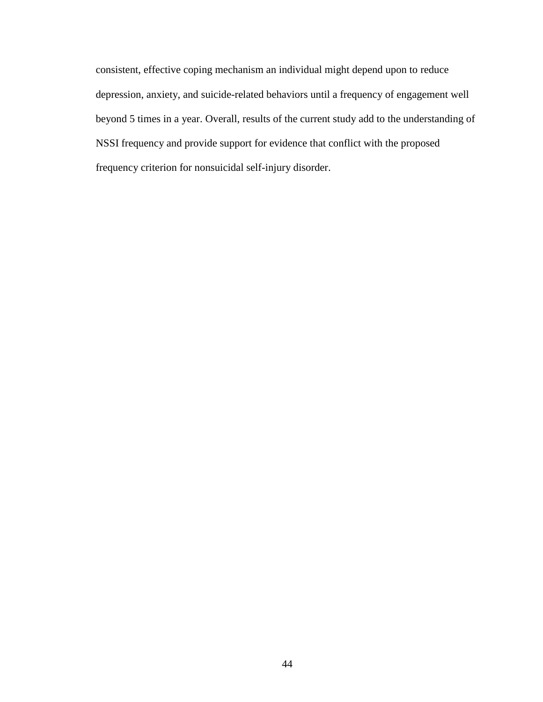consistent, effective coping mechanism an individual might depend upon to reduce depression, anxiety, and suicide-related behaviors until a frequency of engagement well beyond 5 times in a year. Overall, results of the current study add to the understanding of NSSI frequency and provide support for evidence that conflict with the proposed frequency criterion for nonsuicidal self-injury disorder.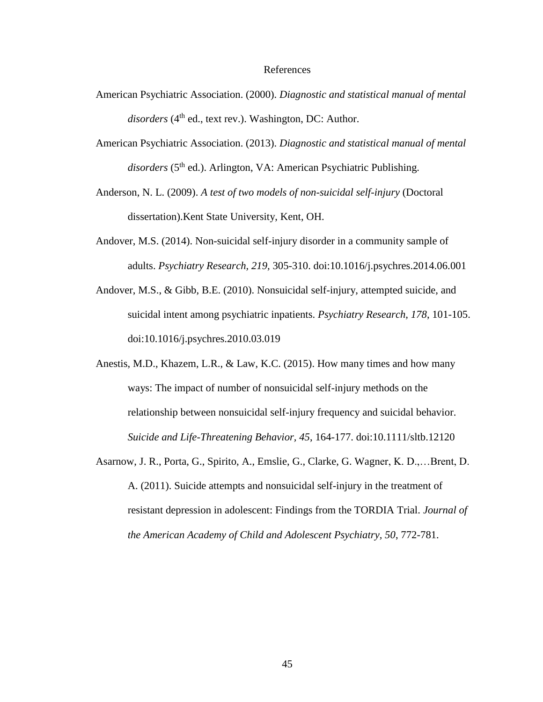#### References

- American Psychiatric Association. (2000). *Diagnostic and statistical manual of mental*  disorders (4<sup>th</sup> ed., text rev.). Washington, DC: Author.
- American Psychiatric Association. (2013). *Diagnostic and statistical manual of mental*  disorders (5<sup>th</sup> ed.). Arlington, VA: American Psychiatric Publishing.
- Anderson, N. L. (2009). *A test of two models of non-suicidal self-injury* (Doctoral dissertation).Kent State University, Kent, OH.
- Andover, M.S. (2014). Non-suicidal self-injury disorder in a community sample of adults. *Psychiatry Research, 219,* 305-310. doi:10.1016/j.psychres.2014.06.001
- Andover, M.S., & Gibb, B.E. (2010). Nonsuicidal self-injury, attempted suicide, and suicidal intent among psychiatric inpatients. *Psychiatry Research, 178*, 101-105. doi:10.1016/j.psychres.2010.03.019
- Anestis, M.D., Khazem, L.R., & Law, K.C. (2015). How many times and how many ways: The impact of number of nonsuicidal self-injury methods on the relationship between nonsuicidal self-injury frequency and suicidal behavior. *Suicide and Life-Threatening Behavior, 45*, 164-177. doi:10.1111/sltb.12120
- Asarnow, J. R., Porta, G., Spirito, A., Emslie, G., Clarke, G. Wagner, K. D.,…Brent, D. A. (2011). Suicide attempts and nonsuicidal self-injury in the treatment of resistant depression in adolescent: Findings from the TORDIA Trial. *Journal of the American Academy of Child and Adolescent Psychiatry, 50*, 772-781.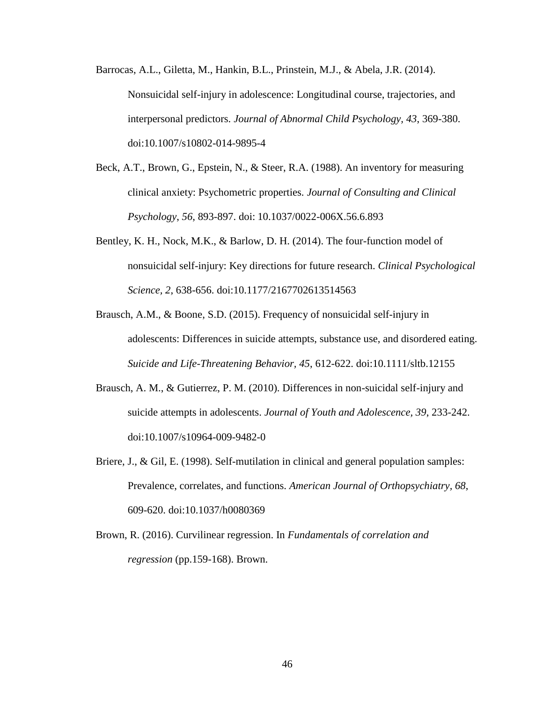- Barrocas, A.L., Giletta, M., Hankin, B.L., Prinstein, M.J., & Abela, J.R. (2014). Nonsuicidal self-injury in adolescence: Longitudinal course, trajectories, and interpersonal predictors. *Journal of Abnormal Child Psychology, 43*, 369-380. doi:10.1007/s10802-014-9895-4
- Beck, A.T., Brown, G., Epstein, N., & Steer, R.A. (1988). An inventory for measuring clinical anxiety: Psychometric properties. *Journal of Consulting and Clinical Psychology*, *56*, 893-897. doi: 10.1037/0022-006X.56.6.893
- Bentley, K. H., Nock, M.K., & Barlow, D. H. (2014). The four-function model of nonsuicidal self-injury: Key directions for future research. *Clinical Psychological Science, 2*, 638-656. doi:10.1177/2167702613514563
- Brausch, A.M., & Boone, S.D. (2015). Frequency of nonsuicidal self-injury in adolescents: Differences in suicide attempts, substance use, and disordered eating. *Suicide and Life-Threatening Behavior, 45*, 612-622. doi:10.1111/sltb.12155
- Brausch, A. M., & Gutierrez, P. M. (2010). Differences in non-suicidal self-injury and suicide attempts in adolescents. *Journal of Youth and Adolescence, 39*, 233-242. doi:10.1007/s10964-009-9482-0
- Briere, J., & Gil, E. (1998). Self-mutilation in clinical and general population samples: Prevalence, correlates, and functions. *American Journal of Orthopsychiatry, 68*, 609-620. doi:10.1037/h0080369
- Brown, R. (2016). Curvilinear regression. In *Fundamentals of correlation and regression* (pp.159-168). Brown.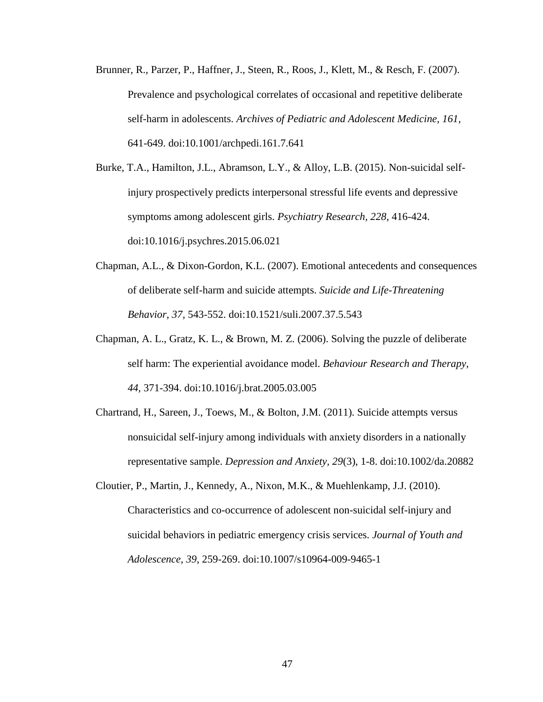- Brunner, R., Parzer, P., Haffner, J., Steen, R., Roos, J., Klett, M., & Resch, F. (2007). Prevalence and psychological correlates of occasional and repetitive deliberate self-harm in adolescents. *Archives of Pediatric and Adolescent Medicine, 161,* 641-649. doi:10.1001/archpedi.161.7.641
- Burke, T.A., Hamilton, J.L., Abramson, L.Y., & Alloy, L.B. (2015). Non-suicidal selfinjury prospectively predicts interpersonal stressful life events and depressive symptoms among adolescent girls. *Psychiatry Research, 228,* 416-424. doi:10.1016/j.psychres.2015.06.021
- Chapman, A.L., & Dixon-Gordon, K.L. (2007). Emotional antecedents and consequences of deliberate self-harm and suicide attempts. *Suicide and Life-Threatening Behavior, 37,* 543-552. doi:10.1521/suli.2007.37.5.543
- Chapman, A. L., Gratz, K. L., & Brown, M. Z. (2006). Solving the puzzle of deliberate self harm: The experiential avoidance model. *Behaviour Research and Therapy, 44*, 371-394. doi:10.1016/j.brat.2005.03.005
- Chartrand, H., Sareen, J., Toews, M., & Bolton, J.M. (2011). Suicide attempts versus nonsuicidal self-injury among individuals with anxiety disorders in a nationally representative sample. *Depression and Anxiety, 29*(3), 1-8. doi:10.1002/da.20882
- Cloutier, P., Martin, J., Kennedy, A., Nixon, M.K., & Muehlenkamp, J.J. (2010). Characteristics and co-occurrence of adolescent non-suicidal self-injury and suicidal behaviors in pediatric emergency crisis services. *Journal of Youth and Adolescence, 39*, 259-269. doi:10.1007/s10964-009-9465-1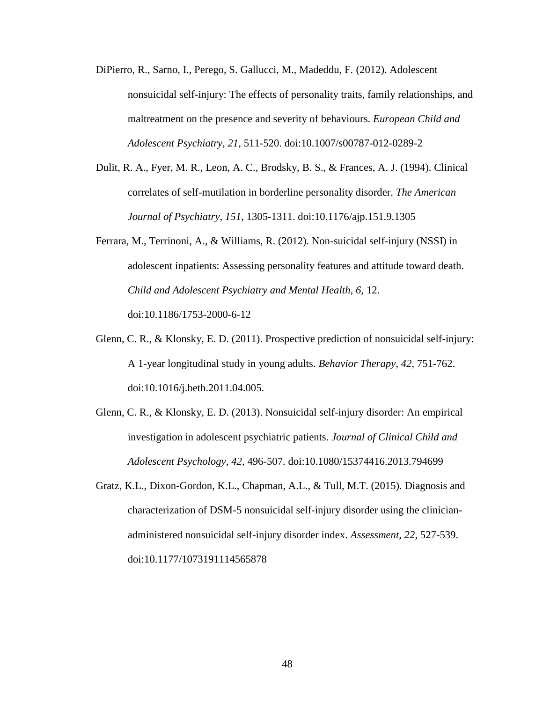- DiPierro, R., Sarno, I., Perego, S. Gallucci, M., Madeddu, F. (2012). Adolescent nonsuicidal self-injury: The effects of personality traits, family relationships, and maltreatment on the presence and severity of behaviours. *European Child and Adolescent Psychiatry, 21*, 511-520. doi:10.1007/s00787-012-0289-2
- Dulit, R. A., Fyer, M. R., Leon, A. C., Brodsky, B. S., & Frances, A. J. (1994). Clinical correlates of self-mutilation in borderline personality disorder. *The American Journal of Psychiatry, 151*, 1305-1311. doi:10.1176/ajp.151.9.1305
- Ferrara, M., Terrinoni, A., & Williams, R. (2012). Non-suicidal self-injury (NSSI) in adolescent inpatients: Assessing personality features and attitude toward death. *Child and Adolescent Psychiatry and Mental Health, 6,* 12. doi:10.1186/1753-2000-6-12
- Glenn, C. R., & Klonsky, E. D. (2011). Prospective prediction of nonsuicidal self-injury: A 1-year longitudinal study in young adults. *Behavior Therapy, 42,* 751-762. doi:10.1016/j.beth.2011.04.005.
- Glenn, C. R., & Klonsky, E. D. (2013). Nonsuicidal self-injury disorder: An empirical investigation in adolescent psychiatric patients. *Journal of Clinical Child and Adolescent Psychology, 42*, 496-507. doi:10.1080/15374416.2013.794699
- Gratz, K.L., Dixon-Gordon, K.L., Chapman, A.L., & Tull, M.T. (2015). Diagnosis and characterization of DSM-5 nonsuicidal self-injury disorder using the clinicianadministered nonsuicidal self-injury disorder index. *Assessment, 22*, 527-539. doi:10.1177/1073191114565878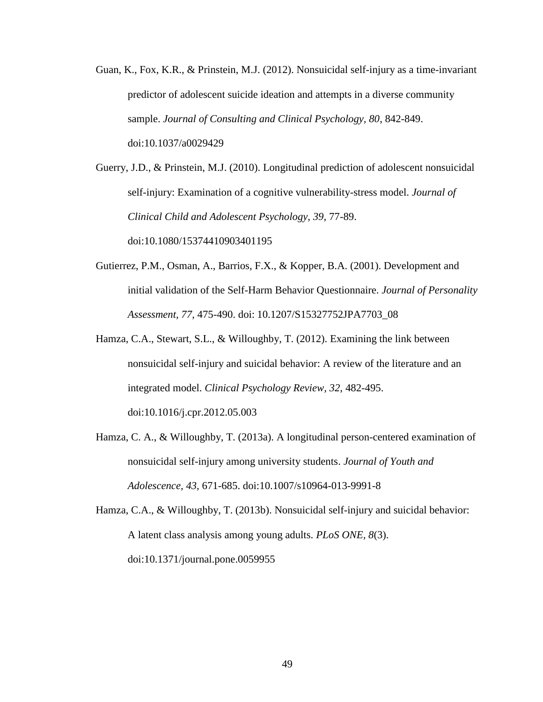Guan, K., Fox, K.R., & Prinstein, M.J. (2012). Nonsuicidal self-injury as a time-invariant predictor of adolescent suicide ideation and attempts in a diverse community sample. *Journal of Consulting and Clinical Psychology, 80*, 842-849. doi:10.1037/a0029429

Guerry, J.D., & Prinstein, M.J. (2010). Longitudinal prediction of adolescent nonsuicidal self-injury: Examination of a cognitive vulnerability-stress model. *Journal of Clinical Child and Adolescent Psychology, 39*, 77-89. doi:10.1080/15374410903401195

- Gutierrez, P.M., Osman, A., Barrios, F.X., & Kopper, B.A. (2001). Development and initial validation of the Self-Harm Behavior Questionnaire. *Journal of Personality Assessment, 77*, 475-490. doi: 10.1207/S15327752JPA7703\_08
- Hamza, C.A., Stewart, S.L., & Willoughby, T. (2012). Examining the link between nonsuicidal self-injury and suicidal behavior: A review of the literature and an integrated model. *Clinical Psychology Review, 32*, 482-495. doi:10.1016/j.cpr.2012.05.003
- Hamza, C. A., & Willoughby, T. (2013a). A longitudinal person-centered examination of nonsuicidal self-injury among university students. *Journal of Youth and Adolescence, 43,* 671-685. doi:10.1007/s10964-013-9991-8

Hamza, C.A., & Willoughby, T. (2013b). Nonsuicidal self-injury and suicidal behavior: A latent class analysis among young adults. *PLoS ONE, 8*(3). doi:10.1371/journal.pone.0059955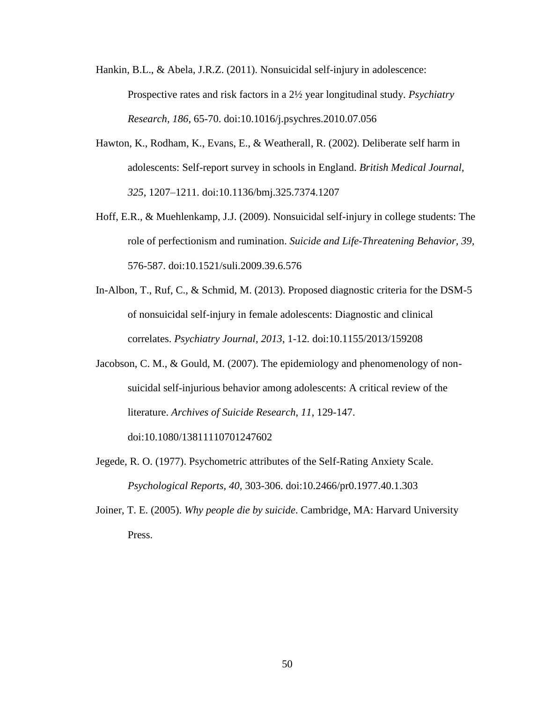Hankin, B.L., & Abela, J.R.Z. (2011). Nonsuicidal self-injury in adolescence: Prospective rates and risk factors in a 2½ year longitudinal study. *Psychiatry Research, 186*, 65-70. doi:10.1016/j.psychres.2010.07.056

- Hawton, K., Rodham, K., Evans, E., & Weatherall, R. (2002). Deliberate self harm in adolescents: Self-report survey in schools in England. *British Medical Journal, 325*, 1207–1211. doi:10.1136/bmj.325.7374.1207
- Hoff, E.R., & Muehlenkamp, J.J. (2009). Nonsuicidal self-injury in college students: The role of perfectionism and rumination. *Suicide and Life-Threatening Behavior, 39,* 576-587. doi:10.1521/suli.2009.39.6.576
- In-Albon, T., Ruf, C., & Schmid, M. (2013). Proposed diagnostic criteria for the DSM-5 of nonsuicidal self-injury in female adolescents: Diagnostic and clinical correlates. *Psychiatry Journal, 2013*, 1-12*.* doi:10.1155/2013/159208
- Jacobson, C. M., & Gould, M. (2007). The epidemiology and phenomenology of nonsuicidal self-injurious behavior among adolescents: A critical review of the literature. *Archives of Suicide Research*, *11*, 129-147.

doi:10.1080/13811110701247602

Jegede, R. O. (1977). Psychometric attributes of the Self-Rating Anxiety Scale. *Psychological Reports, 40*, 303-306. doi:10.2466/pr0.1977.40.1.303

Joiner, T. E. (2005). *Why people die by suicide*. Cambridge, MA: Harvard University Press.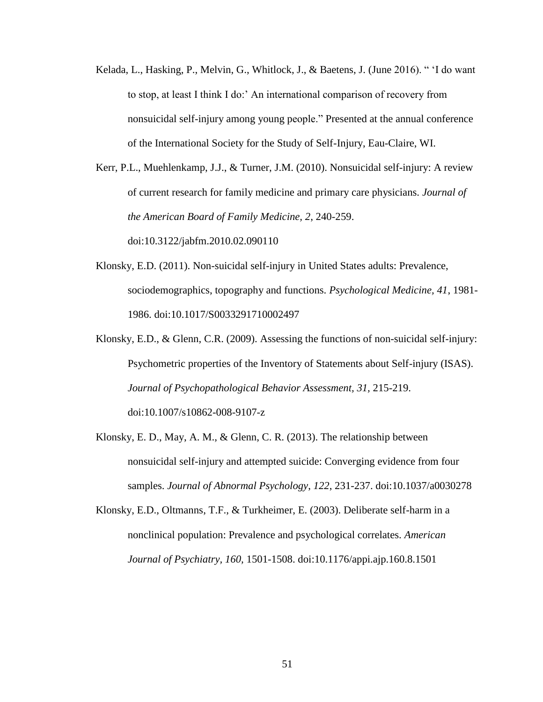- Kelada, L., Hasking, P., Melvin, G., Whitlock, J., & Baetens, J. (June 2016). " 'I do want to stop, at least I think I do:' An international comparison of recovery from nonsuicidal self-injury among young people." Presented at the annual conference of the International Society for the Study of Self-Injury, Eau-Claire, WI.
- Kerr, P.L., Muehlenkamp, J.J., & Turner, J.M. (2010). Nonsuicidal self-injury: A review of current research for family medicine and primary care physicians. *Journal of the American Board of Family Medicine, 2*, 240-259.

doi:10.3122/jabfm.2010.02.090110

- Klonsky, E.D. (2011). Non-suicidal self-injury in United States adults: Prevalence, sociodemographics, topography and functions. *Psychological Medicine, 41*, 1981- 1986. doi:10.1017/S0033291710002497
- Klonsky, E.D., & Glenn, C.R. (2009). Assessing the functions of non-suicidal self-injury: Psychometric properties of the Inventory of Statements about Self-injury (ISAS). *Journal of Psychopathological Behavior Assessment, 31,* 215-219. doi:10.1007/s10862-008-9107-z
- Klonsky, E. D., May, A. M., & Glenn, C. R. (2013). The relationship between nonsuicidal self-injury and attempted suicide: Converging evidence from four samples. *Journal of Abnormal Psychology*, *122*, 231-237. doi:10.1037/a0030278
- Klonsky, E.D., Oltmanns, T.F., & Turkheimer, E. (2003). Deliberate self-harm in a nonclinical population: Prevalence and psychological correlates. *American Journal of Psychiatry, 160,* 1501-1508. doi:10.1176/appi.ajp.160.8.1501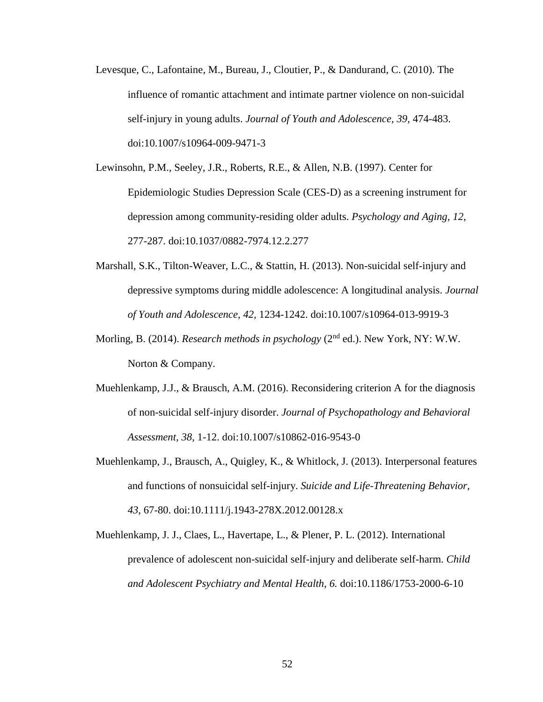Levesque, C., Lafontaine, M., Bureau, J., Cloutier, P., & Dandurand, C. (2010). The influence of romantic attachment and intimate partner violence on non-suicidal self-injury in young adults. *Journal of Youth and Adolescence, 39,* 474-483. doi:10.1007/s10964-009-9471-3

Lewinsohn, P.M., Seeley, J.R., Roberts, R.E., & Allen, N.B. (1997). Center for Epidemiologic Studies Depression Scale (CES-D) as a screening instrument for depression among community-residing older adults. *Psychology and Aging, 12*, 277-287. doi:10.1037/0882-7974.12.2.277

- Marshall, S.K., Tilton-Weaver, L.C., & Stattin, H. (2013). Non-suicidal self-injury and depressive symptoms during middle adolescence: A longitudinal analysis. *Journal of Youth and Adolescence, 42,* 1234-1242. doi:10.1007/s10964-013-9919-3
- Morling, B. (2014). *Research methods in psychology* (2<sup>nd</sup> ed.). New York, NY: W.W. Norton & Company.
- Muehlenkamp, J.J., & Brausch, A.M. (2016). Reconsidering criterion A for the diagnosis of non-suicidal self-injury disorder. *Journal of Psychopathology and Behavioral Assessment, 38,* 1-12. doi:10.1007/s10862-016-9543-0
- Muehlenkamp, J., Brausch, A., Quigley, K., & Whitlock, J. (2013). Interpersonal features and functions of nonsuicidal self-injury. *Suicide and Life-Threatening Behavior, 43*, 67-80. doi:10.1111/j.1943-278X.2012.00128.x
- Muehlenkamp, J. J., Claes, L., Havertape, L., & Plener, P. L. (2012). International prevalence of adolescent non-suicidal self-injury and deliberate self-harm. *Child and Adolescent Psychiatry and Mental Health*, *6.* doi:10.1186/1753-2000-6-10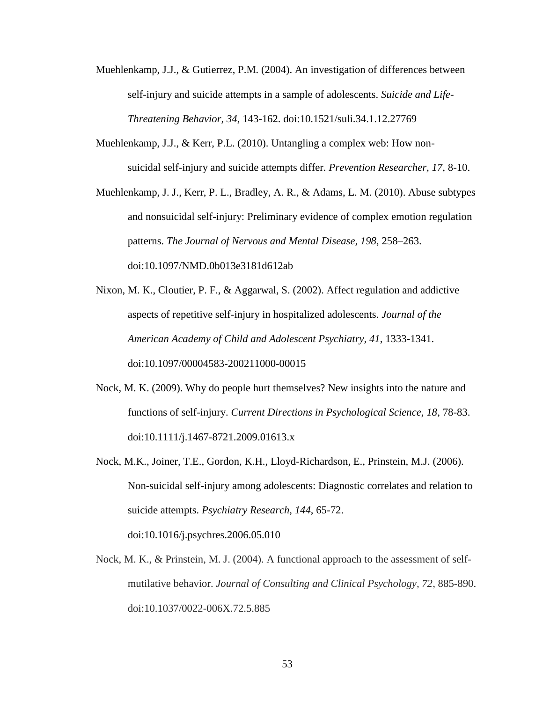- Muehlenkamp, J.J., & Gutierrez, P.M. (2004). An investigation of differences between self-injury and suicide attempts in a sample of adolescents. *Suicide and Life-Threatening Behavior, 34*, 143-162. doi:10.1521/suli.34.1.12.27769
- Muehlenkamp, J.J., & Kerr, P.L. (2010). Untangling a complex web: How nonsuicidal self-injury and suicide attempts differ. *Prevention Researcher, 17*, 8-10.
- Muehlenkamp, J. J., Kerr, P. L., Bradley, A. R., & Adams, L. M. (2010). Abuse subtypes and nonsuicidal self-injury: Preliminary evidence of complex emotion regulation patterns. *The Journal of Nervous and Mental Disease, 198*, 258–263. doi:10.1097/NMD.0b013e3181d612ab
- Nixon, M. K., Cloutier, P. F., & Aggarwal, S. (2002). Affect regulation and addictive aspects of repetitive self-injury in hospitalized adolescents. *Journal of the American Academy of Child and Adolescent Psychiatry, 41*, 1333-1341. doi:10.1097/00004583-200211000-00015
- Nock, M. K. (2009). Why do people hurt themselves? New insights into the nature and functions of self-injury. *Current Directions in Psychological Science, 18*, 78-83. doi:10.1111/j.1467-8721.2009.01613.x
- Nock, M.K., Joiner, T.E., Gordon, K.H., Lloyd-Richardson, E., Prinstein, M.J. (2006). Non-suicidal self-injury among adolescents: Diagnostic correlates and relation to suicide attempts. *Psychiatry Research, 144*, 65-72. doi:10.1016/j.psychres.2006.05.010
- Nock, M. K., & Prinstein, M. J. (2004). A functional approach to the assessment of selfmutilative behavior. *Journal of Consulting and Clinical Psychology, 72*, 885-890. doi:10.1037/0022-006X.72.5.885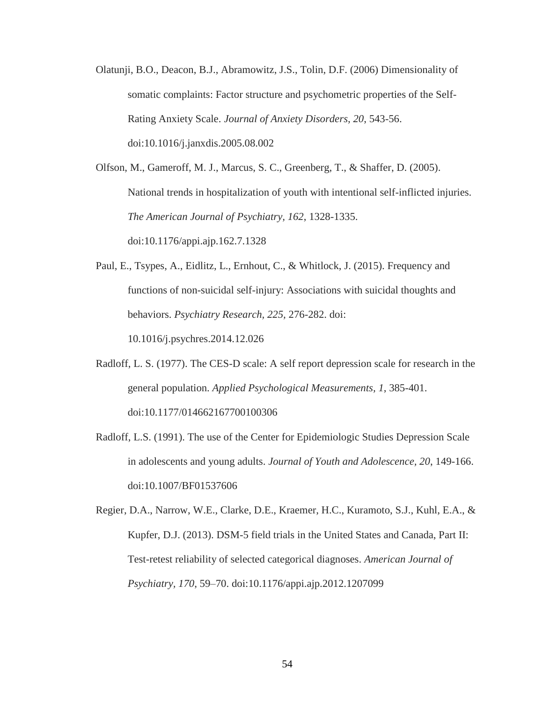Olatunji, B.O., Deacon, B.J., Abramowitz, J.S., Tolin, D.F. (2006) Dimensionality of somatic complaints: Factor structure and psychometric properties of the Self-Rating Anxiety Scale. *Journal of Anxiety Disorders, 20*, 543-56. doi:10.1016/j.janxdis.2005.08.002

Olfson, M., Gameroff, M. J., Marcus, S. C., Greenberg, T., & Shaffer, D. (2005). National trends in hospitalization of youth with intentional self-inflicted injuries. *The American Journal of Psychiatry, 162*, 1328-1335. doi:10.1176/appi.ajp.162.7.1328

Paul, E., Tsypes, A., Eidlitz, L., Ernhout, C., & Whitlock, J. (2015). Frequency and functions of non-suicidal self-injury: Associations with suicidal thoughts and behaviors. *Psychiatry Research, 225,* 276-282. doi:

10.1016/j.psychres.2014.12.026

- Radloff, L. S. (1977). The CES-D scale: A self report depression scale for research in the general population. *Applied Psychological Measurements, 1*, 385-401. doi:10.1177/014662167700100306
- Radloff, L.S. (1991). The use of the Center for Epidemiologic Studies Depression Scale in adolescents and young adults. *Journal of Youth and Adolescence, 20*, 149-166. doi:10.1007/BF01537606

Regier, D.A., Narrow, W.E., Clarke, D.E., Kraemer, H.C., Kuramoto, S.J., Kuhl, E.A., & Kupfer, D.J. (2013). DSM-5 field trials in the United States and Canada, Part II: Test-retest reliability of selected categorical diagnoses. *American Journal of Psychiatry, 170*, 59–70. doi:10.1176/appi.ajp.2012.1207099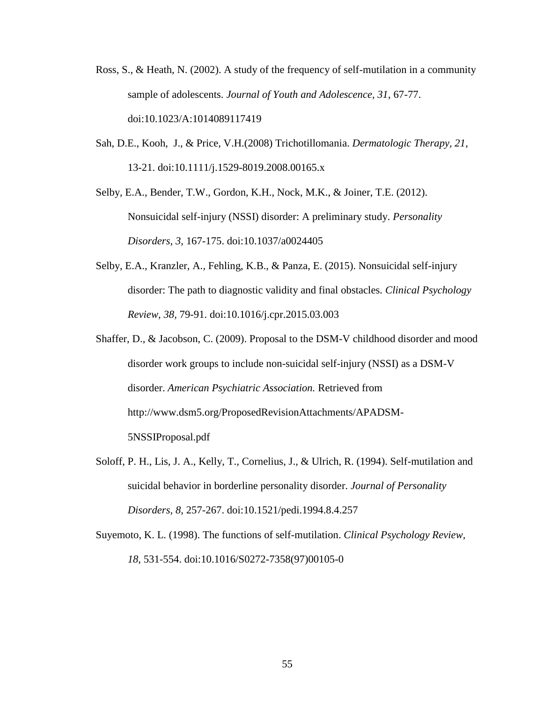- Ross, S., & Heath, N. (2002). A study of the frequency of self-mutilation in a community sample of adolescents. *Journal of Youth and Adolescence, 31*, 67-77. doi:10.1023/A:1014089117419
- Sah, D.E., Kooh, J., & Price, V.H.(2008) Trichotillomania. *Dermatologic Therapy, 21*, 13-21. doi:10.1111/j.1529-8019.2008.00165.x

Selby, E.A., Bender, T.W., Gordon, K.H., Nock, M.K., & Joiner, T.E. (2012). Nonsuicidal self-injury (NSSI) disorder: A preliminary study. *Personality Disorders, 3*, 167-175. doi:10.1037/a0024405

- Selby, E.A., Kranzler, A., Fehling, K.B., & Panza, E. (2015). Nonsuicidal self-injury disorder: The path to diagnostic validity and final obstacles. *Clinical Psychology Review, 38,* 79-91. doi:10.1016/j.cpr.2015.03.003
- Shaffer, D., & Jacobson, C. (2009). Proposal to the DSM-V childhood disorder and mood disorder work groups to include non-suicidal self-injury (NSSI) as a DSM-V disorder. *American Psychiatric Association.* Retrieved from http://www.dsm5.org/ProposedRevisionAttachments/APADSM-5NSSIProposal.pdf
- Soloff, P. H., Lis, J. A., Kelly, T., Cornelius, J., & Ulrich, R. (1994). Self-mutilation and suicidal behavior in borderline personality disorder. *Journal of Personality Disorders, 8*, 257-267. doi:10.1521/pedi.1994.8.4.257
- Suyemoto, K. L. (1998). The functions of self-mutilation. *Clinical Psychology Review, 18*, 531-554. doi:10.1016/S0272-7358(97)00105-0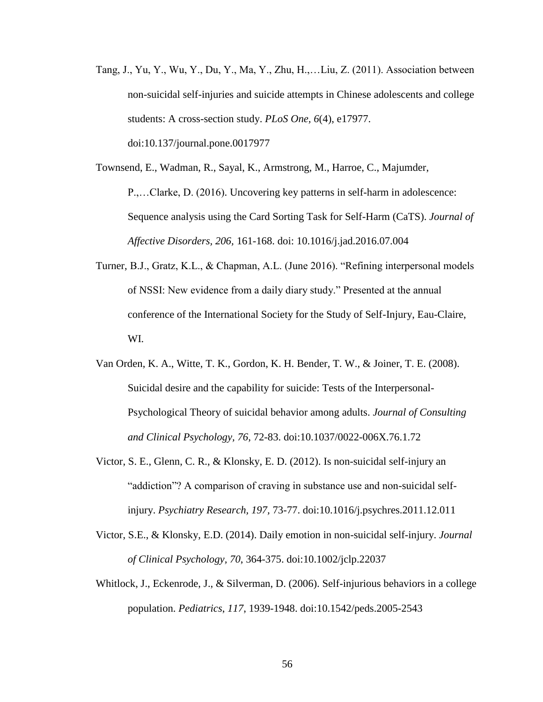Tang, J., Yu, Y., Wu, Y., Du, Y., Ma, Y., Zhu, H.,…Liu, Z. (2011). Association between non-suicidal self-injuries and suicide attempts in Chinese adolescents and college students: A cross-section study. *PLoS One, 6*(4), e17977. doi:10.137/journal.pone.0017977

Townsend, E., Wadman, R., Sayal, K., Armstrong, M., Harroe, C., Majumder, P.,…Clarke, D. (2016). Uncovering key patterns in self-harm in adolescence: Sequence analysis using the Card Sorting Task for Self-Harm (CaTS). *Journal of Affective Disorders, 206,* 161-168. doi: 10.1016/j.jad.2016.07.004

- Turner, B.J., Gratz, K.L., & Chapman, A.L. (June 2016). "Refining interpersonal models of NSSI: New evidence from a daily diary study." Presented at the annual conference of the International Society for the Study of Self-Injury, Eau-Claire, WI.
- Van Orden, K. A., Witte, T. K., Gordon, K. H. Bender, T. W., & Joiner, T. E. (2008). Suicidal desire and the capability for suicide: Tests of the Interpersonal-Psychological Theory of suicidal behavior among adults. *Journal of Consulting and Clinical Psychology, 76,* 72-83. doi:10.1037/0022-006X.76.1.72
- Victor, S. E., Glenn, C. R., & Klonsky, E. D. (2012). Is non-suicidal self-injury an "addiction"? A comparison of craving in substance use and non-suicidal selfinjury. *Psychiatry Research, 197,* 73-77. doi:10.1016/j.psychres.2011.12.011
- Victor, S.E., & Klonsky, E.D. (2014). Daily emotion in non-suicidal self-injury. *Journal of Clinical Psychology, 70*, 364-375. doi:10.1002/jclp.22037
- Whitlock, J., Eckenrode, J., & Silverman, D. (2006). Self-injurious behaviors in a college population. *Pediatrics*, *117*, 1939-1948. doi:10.1542/peds.2005-2543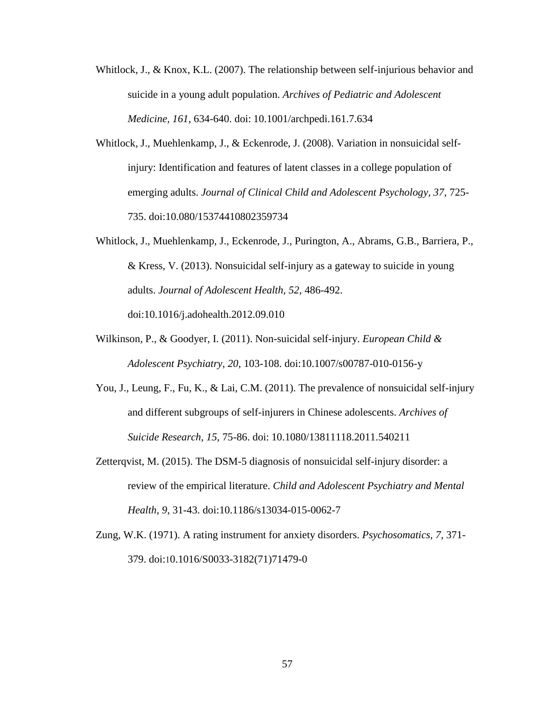- Whitlock, J., & Knox, K.L. (2007). The relationship between self-injurious behavior and suicide in a young adult population. *Archives of Pediatric and Adolescent Medicine, 161*, 634-640. doi: 10.1001/archpedi.161.7.634
- Whitlock, J., Muehlenkamp, J., & Eckenrode, J. (2008). Variation in nonsuicidal selfinjury: Identification and features of latent classes in a college population of emerging adults. *Journal of Clinical Child and Adolescent Psychology, 37*, 725- 735. doi:10.080/15374410802359734
- Whitlock, J., Muehlenkamp, J., Eckenrode, J., Purington, A., Abrams, G.B., Barriera, P., & Kress, V. (2013). Nonsuicidal self-injury as a gateway to suicide in young adults. *Journal of Adolescent Health, 52*, 486-492. doi:10.1016/j.adohealth.2012.09.010
- Wilkinson, P., & Goodyer, I. (2011). Non-suicidal self-injury. *European Child & Adolescent Psychiatry, 20*, 103-108. doi:10.1007/s00787-010-0156-y
- You, J., Leung, F., Fu, K., & Lai, C.M. (2011). The prevalence of nonsuicidal self-injury and different subgroups of self-injurers in Chinese adolescents. *Archives of Suicide Research, 15*, 75-86. doi: 10.1080/13811118.2011.540211
- Zetterqvist, M. (2015). The DSM-5 diagnosis of nonsuicidal self-injury disorder: a review of the empirical literature. *Child and Adolescent Psychiatry and Mental Health, 9*, 31-43. doi:10.1186/s13034-015-0062-7
- Zung, W.K. (1971). A rating instrument for anxiety disorders. *Psychosomatics, 7*, 371- 379. doi:10.1016/S0033-3182(71)71479-0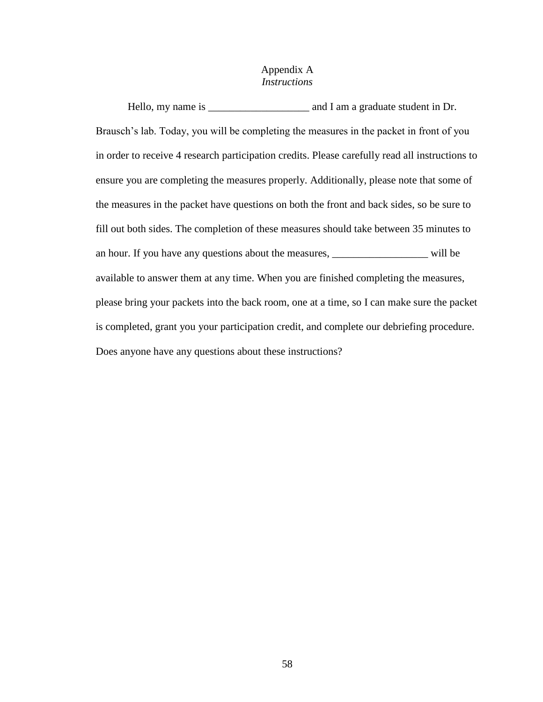# Appendix A *Instructions*

Hello, my name is \_\_\_\_\_\_\_\_\_\_\_\_\_\_\_\_\_\_\_\_\_\_\_\_\_ and I am a graduate student in Dr. Brausch's lab. Today, you will be completing the measures in the packet in front of you in order to receive 4 research participation credits. Please carefully read all instructions to ensure you are completing the measures properly. Additionally, please note that some of the measures in the packet have questions on both the front and back sides, so be sure to fill out both sides. The completion of these measures should take between 35 minutes to an hour. If you have any questions about the measures, \_\_\_\_\_\_\_\_\_\_\_\_\_\_\_\_\_\_\_\_\_ will be available to answer them at any time. When you are finished completing the measures, please bring your packets into the back room, one at a time, so I can make sure the packet is completed, grant you your participation credit, and complete our debriefing procedure. Does anyone have any questions about these instructions?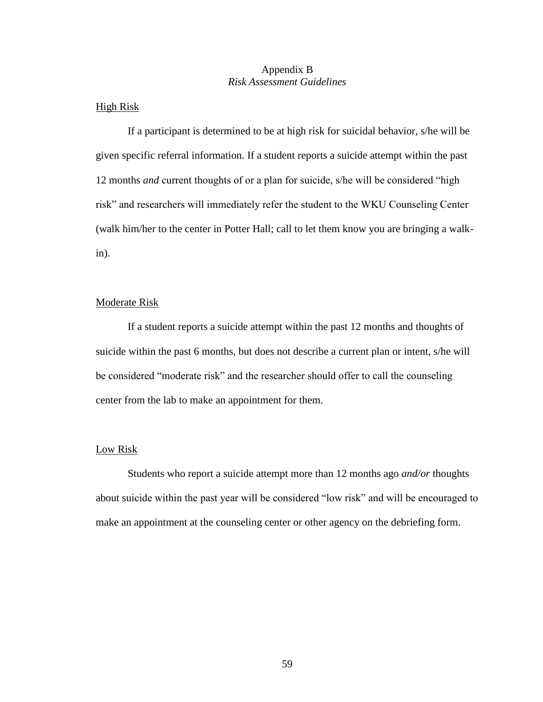## Appendix B *Risk Assessment Guidelines*

# High Risk

If a participant is determined to be at high risk for suicidal behavior, s/he will be given specific referral information. If a student reports a suicide attempt within the past 12 months *and* current thoughts of or a plan for suicide, s/he will be considered "high risk" and researchers will immediately refer the student to the WKU Counseling Center (walk him/her to the center in Potter Hall; call to let them know you are bringing a walkin).

## Moderate Risk

If a student reports a suicide attempt within the past 12 months and thoughts of suicide within the past 6 months, but does not describe a current plan or intent, s/he will be considered "moderate risk" and the researcher should offer to call the counseling center from the lab to make an appointment for them.

## Low Risk

Students who report a suicide attempt more than 12 months ago *and/or* thoughts about suicide within the past year will be considered "low risk" and will be encouraged to make an appointment at the counseling center or other agency on the debriefing form.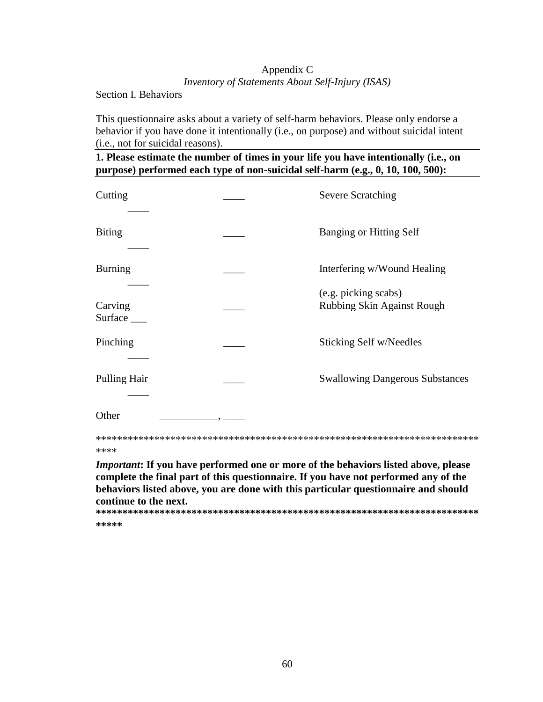# Appendix C *Inventory of Statements About Self-Injury (ISAS)*

Section I. Behaviors

This questionnaire asks about a variety of self-harm behaviors. Please only endorse a behavior if you have done it intentionally (i.e., on purpose) and without suicidal intent (i.e., not for suicidal reasons).

**1. Please estimate the number of times in your life you have intentionally (i.e., on purpose) performed each type of non-suicidal self-harm (e.g., 0, 10, 100, 500):**

| Cutting                                                                                                                                                                                                                                                                                                   |  | <b>Severe Scratching</b>                           |  |  |  |
|-----------------------------------------------------------------------------------------------------------------------------------------------------------------------------------------------------------------------------------------------------------------------------------------------------------|--|----------------------------------------------------|--|--|--|
| <b>Biting</b>                                                                                                                                                                                                                                                                                             |  | <b>Banging or Hitting Self</b>                     |  |  |  |
| <b>Burning</b>                                                                                                                                                                                                                                                                                            |  | Interfering w/Wound Healing                        |  |  |  |
| Carving<br>Surface                                                                                                                                                                                                                                                                                        |  | (e.g. picking scabs)<br>Rubbing Skin Against Rough |  |  |  |
| Pinching                                                                                                                                                                                                                                                                                                  |  | Sticking Self w/Needles                            |  |  |  |
| Pulling Hair                                                                                                                                                                                                                                                                                              |  | <b>Swallowing Dangerous Substances</b>             |  |  |  |
| Other                                                                                                                                                                                                                                                                                                     |  |                                                    |  |  |  |
| ****                                                                                                                                                                                                                                                                                                      |  |                                                    |  |  |  |
| <i>Important</i> : If you have performed one or more of the behaviors listed above, please<br>complete the final part of this questionnaire. If you have not performed any of the<br>behaviors listed above, you are done with this particular questionnaire and should<br>continue to the next.<br>***** |  |                                                    |  |  |  |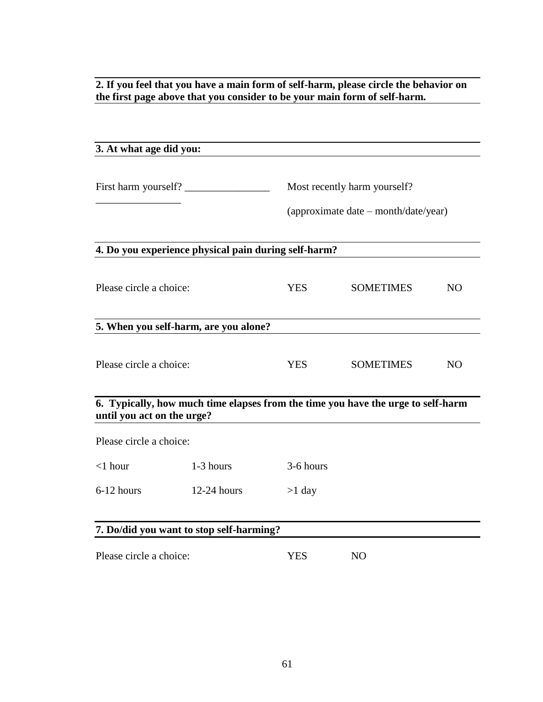**2. If you feel that you have a main form of self-harm, please circle the behavior on the first page above that you consider to be your main form of self-harm.**

| 3. At what age did you:                                                                                        |               |            |                                      |           |  |
|----------------------------------------------------------------------------------------------------------------|---------------|------------|--------------------------------------|-----------|--|
|                                                                                                                |               |            |                                      |           |  |
| First harm yourself?                                                                                           |               |            | Most recently harm yourself?         |           |  |
|                                                                                                                |               |            | (approximate date – month/date/year) |           |  |
| 4. Do you experience physical pain during self-harm?                                                           |               |            |                                      |           |  |
| Please circle a choice:                                                                                        |               | <b>YES</b> | <b>SOMETIMES</b>                     | <b>NO</b> |  |
| 5. When you self-harm, are you alone?                                                                          |               |            |                                      |           |  |
| Please circle a choice:                                                                                        |               | YES.       | <b>SOMETIMES</b>                     | <b>NO</b> |  |
| 6. Typically, how much time elapses from the time you have the urge to self-harm<br>until you act on the urge? |               |            |                                      |           |  |
| Please circle a choice:                                                                                        |               |            |                                      |           |  |
| $<$ 1 hour                                                                                                     | 1-3 hours     | 3-6 hours  |                                      |           |  |
| 6-12 hours                                                                                                     | $12-24$ hours | $>1$ day   |                                      |           |  |
|                                                                                                                |               |            |                                      |           |  |
| 7. Do/did you want to stop self-harming?                                                                       |               |            |                                      |           |  |
| Please circle a choice:                                                                                        |               | <b>YES</b> | <b>NO</b>                            |           |  |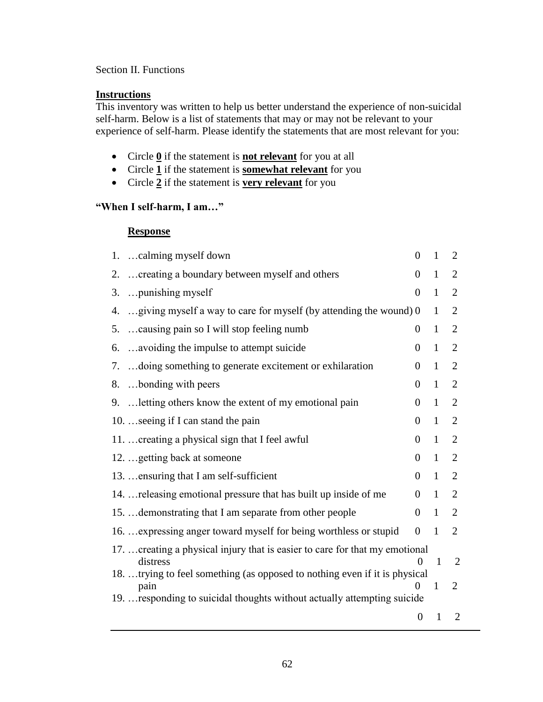# Section II. Functions

# **Instructions**

This inventory was written to help us better understand the experience of non-suicidal self-harm. Below is a list of statements that may or may not be relevant to your experience of self-harm. Please identify the statements that are most relevant for you:

- Circle **0** if the statement is **not relevant** for you at all
- Circle **1** if the statement is **somewhat relevant** for you
- Circle  $\overline{2}$  if the statement is **very relevant** for you

# **"When I self-harm, I am…"**

# **Response**

|    | 1. calming myself down                                                                   | $\theta$          | $\mathbf{1}$ | $\overline{2}$ |
|----|------------------------------------------------------------------------------------------|-------------------|--------------|----------------|
| 2. | creating a boundary between myself and others                                            | $\overline{0}$    | $\mathbf{1}$ | $\overline{2}$ |
| 3. | punishing myself                                                                         | $\overline{0}$    | $\mathbf{1}$ | $\overline{2}$ |
| 4. | giving myself a way to care for myself (by attending the wound) 0                        |                   | 1            | $\overline{2}$ |
| 5. | causing pain so I will stop feeling numb                                                 | $\overline{0}$    | $\mathbf{1}$ | $\overline{2}$ |
| 6. | avoiding the impulse to attempt suicide                                                  | $\theta$          | $\mathbf{1}$ | $\overline{2}$ |
| 7. | doing something to generate excitement or exhilaration                                   | $\overline{0}$    | $\mathbf{1}$ | $\overline{2}$ |
| 8. | bonding with peers                                                                       | $\Omega$          | $\mathbf{1}$ | $\overline{2}$ |
|    | 9.  letting others know the extent of my emotional pain                                  | $\Omega$          | $\mathbf{1}$ | $\overline{2}$ |
|    | 10.  seeing if I can stand the pain                                                      | $\overline{0}$    | $\mathbf{1}$ | $\overline{2}$ |
|    | 11.  creating a physical sign that I feel awful                                          | $\overline{0}$    | $\mathbf{1}$ | $\overline{2}$ |
|    | 12.  getting back at someone                                                             | $\theta$          | $\mathbf{1}$ | 2              |
|    | 13.  ensuring that I am self-sufficient                                                  | $\overline{0}$    | $\mathbf{1}$ | $\overline{2}$ |
|    | 14.  releasing emotional pressure that has built up inside of me                         | $\overline{0}$    | $\mathbf{1}$ | $\overline{2}$ |
|    | 15.  demonstrating that I am separate from other people                                  | $\overline{0}$    | 1            | $\overline{2}$ |
|    | 16.  expressing anger toward myself for being worthless or stupid                        | $\overline{0}$    | $\mathbf{1}$ | 2              |
|    | 17.  creating a physical injury that is easier to care for that my emotional<br>distress | $\mathbf{\Omega}$ | 1            | 2              |
|    | 18. trying to feel something (as opposed to nothing even if it is physical               |                   |              |                |
|    | pain<br>19.  responding to suicidal thoughts without actually attempting suicide         | 0                 | 1            | $\overline{2}$ |
|    |                                                                                          | $\boldsymbol{0}$  | $\mathbf{1}$ | $\overline{2}$ |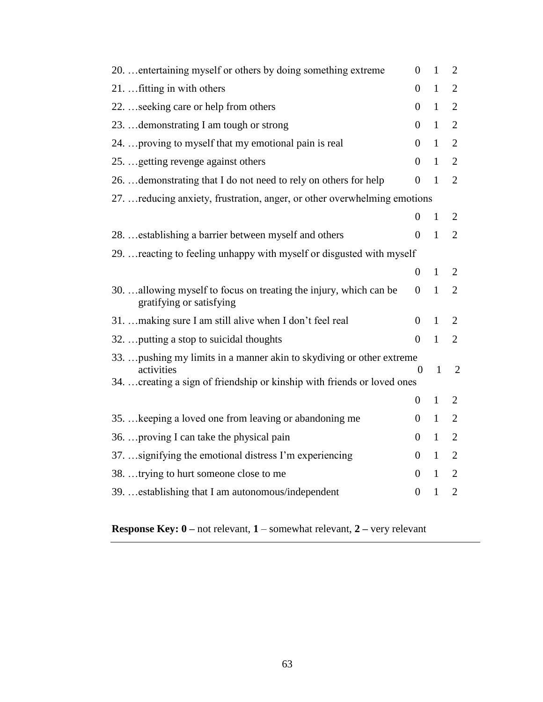| 20.  entertaining myself or others by doing something extreme                                 | $\overline{0}$   | $\mathbf{1}$ | 2              |
|-----------------------------------------------------------------------------------------------|------------------|--------------|----------------|
| 21.  fitting in with others                                                                   | $\overline{0}$   | $\mathbf{1}$ | $\overline{2}$ |
| 22.  seeking care or help from others                                                         | $\theta$         | $\mathbf{1}$ | $\overline{2}$ |
| 23.  demonstrating I am tough or strong                                                       | $\boldsymbol{0}$ | $\mathbf{1}$ | $\overline{2}$ |
| 24.  proving to myself that my emotional pain is real                                         | $\overline{0}$   | 1            | $\overline{2}$ |
| 25.  getting revenge against others                                                           | $\overline{0}$   | $\mathbf{1}$ | $\overline{2}$ |
| 26.  demonstrating that I do not need to rely on others for help                              | $\overline{0}$   | $\mathbf{1}$ | $\overline{2}$ |
| 27.  reducing anxiety, frustration, anger, or other overwhelming emotions                     |                  |              |                |
|                                                                                               | $\overline{0}$   | $\mathbf{1}$ | $\overline{2}$ |
| 28.  establishing a barrier between myself and others                                         | $\overline{0}$   | $\mathbf{1}$ | $\overline{2}$ |
| 29.  reacting to feeling unhappy with myself or disgusted with myself                         |                  |              |                |
|                                                                                               | $\overline{0}$   | 1            | 2              |
| 30. allowing myself to focus on treating the injury, which can be<br>gratifying or satisfying | $\overline{0}$   | $\mathbf{1}$ | $\overline{2}$ |
| 31.  making sure I am still alive when I don't feel real                                      | $\overline{0}$   | $\mathbf{1}$ | $\overline{2}$ |
| 32.  putting a stop to suicidal thoughts                                                      | $\theta$         | $\mathbf{1}$ | $\overline{2}$ |
| 33.  pushing my limits in a manner akin to skydiving or other extreme                         |                  |              |                |
| activities<br>34.  creating a sign of friendship or kinship with friends or loved ones        | $\Omega$         | $\mathbf{1}$ | $\overline{2}$ |
|                                                                                               | $\overline{0}$   | 1            | 2              |
| 35.  keeping a loved one from leaving or abandoning me                                        | $\overline{0}$   | $\mathbf{1}$ | $\mathbf{2}$   |
| 36.  proving I can take the physical pain                                                     | $\theta$         | $\mathbf{1}$ | $\overline{2}$ |
| 37.  signifying the emotional distress I'm experiencing                                       | $\boldsymbol{0}$ | $\mathbf{1}$ | $\overline{2}$ |
| 38. trying to hurt someone close to me                                                        | $\theta$         | $\mathbf{1}$ | $\overline{2}$ |
| 39.  establishing that I am autonomous/independent                                            | $\overline{0}$   | $\mathbf{1}$ | $\overline{2}$ |
|                                                                                               |                  |              |                |

**Response Key: 0 –** not relevant, **1** – somewhat relevant, **2 –** very relevant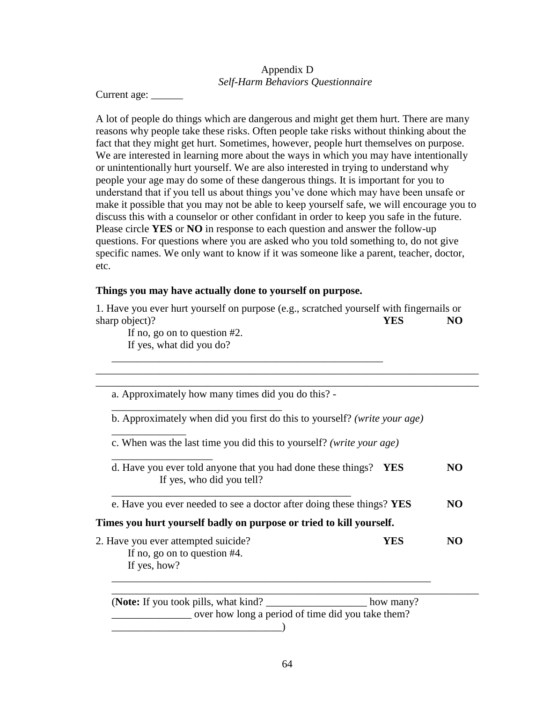# Appendix D *Self-Harm Behaviors Questionnaire*

Current age: \_\_\_\_\_\_

A lot of people do things which are dangerous and might get them hurt. There are many reasons why people take these risks. Often people take risks without thinking about the fact that they might get hurt. Sometimes, however, people hurt themselves on purpose. We are interested in learning more about the ways in which you may have intentionally or unintentionally hurt yourself. We are also interested in trying to understand why people your age may do some of these dangerous things. It is important for you to understand that if you tell us about things you've done which may have been unsafe or make it possible that you may not be able to keep yourself safe, we will encourage you to discuss this with a counselor or other confidant in order to keep you safe in the future. Please circle **YES** or **NO** in response to each question and answer the follow-up questions. For questions where you are asked who you told something to, do not give specific names. We only want to know if it was someone like a parent, teacher, doctor, etc.

## **Things you may have actually done to yourself on purpose.**

1. Have you ever hurt yourself on purpose (e.g., scratched yourself with fingernails or sharp object)? **YES NO** 

\_\_\_\_\_\_\_\_\_\_\_\_\_\_\_\_\_\_\_\_\_\_\_\_\_\_\_\_\_\_\_\_\_\_\_\_\_\_\_\_\_\_\_\_\_\_\_\_\_\_\_\_\_\_\_\_\_\_\_\_\_\_\_\_\_\_\_\_\_\_\_\_ \_\_\_\_\_\_\_\_\_\_\_\_\_\_\_\_\_\_\_\_\_\_\_\_\_\_\_\_\_\_\_\_\_\_\_\_\_\_\_\_\_\_\_\_\_\_\_\_\_\_\_\_\_\_\_\_\_\_\_\_\_\_\_\_\_\_\_\_\_\_\_\_

If no, go on to question #2. If yes, what did you do?

\_\_\_\_\_\_\_\_\_\_\_\_\_\_

a. Approximately how many times did you do this? - \_\_\_\_\_\_\_\_\_\_\_\_\_\_\_\_\_\_\_\_\_\_\_\_\_\_\_\_\_\_\_\_

\_\_\_\_\_\_\_\_\_\_\_\_\_\_\_\_\_\_\_\_\_\_\_\_\_\_\_\_\_\_\_\_\_\_\_\_\_\_\_\_\_\_\_\_\_\_\_\_\_\_\_

b. Approximately when did you first do this to yourself? *(write your age)*

c. When was the last time you did this to yourself? *(write your age)*

\_\_\_\_\_\_\_\_\_\_\_\_\_\_\_\_\_\_\_ d. Have you ever told anyone that you had done these things? **YES NO** If yes, who did you tell?

e. Have you ever needed to see a doctor after doing these things? **YES NO**

# **Times you hurt yourself badly on purpose or tried to kill yourself.**

\_\_\_\_\_\_\_\_\_\_\_\_\_\_\_\_\_\_\_\_\_\_\_\_\_\_\_\_\_\_\_\_\_\_\_\_\_\_\_\_\_\_\_\_\_

2. Have you ever attempted suicide? **YES NO** If no, go on to question #4. If yes, how?

(**Note:** If you took pills, what kind?  $h$  how many? \_\_\_\_\_\_\_\_\_\_\_\_\_\_\_ over how long a period of time did you take them? \_\_\_\_\_\_\_\_\_\_\_\_\_\_\_\_\_\_\_\_\_\_\_\_\_\_\_\_\_\_\_\_)

\_\_\_\_\_\_\_\_\_\_\_\_\_\_\_\_\_\_\_\_\_\_\_\_\_\_\_\_\_\_\_\_\_\_\_\_\_\_\_\_\_\_\_\_\_\_\_\_\_\_\_\_\_\_\_\_\_\_\_\_

\_\_\_\_\_\_\_\_\_\_\_\_\_\_\_\_\_\_\_\_\_\_\_\_\_\_\_\_\_\_\_\_\_\_\_\_\_\_\_\_\_\_\_\_\_\_\_\_\_\_\_\_\_\_\_\_\_\_\_\_\_\_\_\_\_\_\_\_\_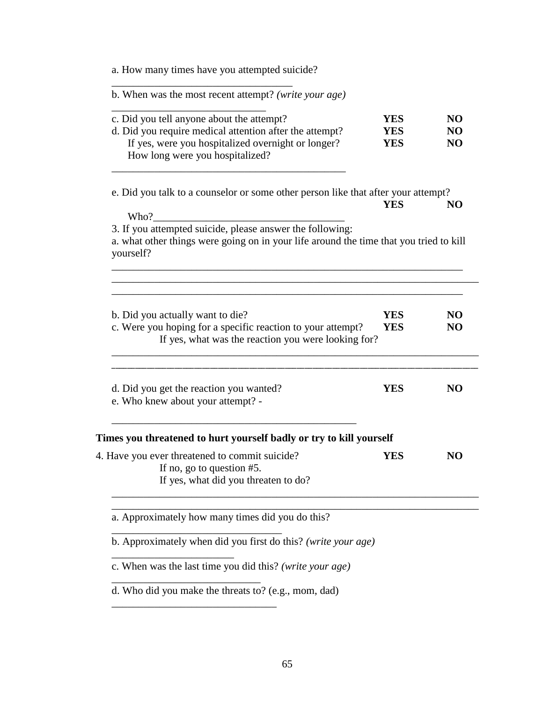| a. How many times have you attempted suicide?                                                                                                                                                 |                                        |                                                    |
|-----------------------------------------------------------------------------------------------------------------------------------------------------------------------------------------------|----------------------------------------|----------------------------------------------------|
| b. When was the most recent attempt? (write your age)                                                                                                                                         |                                        |                                                    |
| c. Did you tell anyone about the attempt?<br>d. Did you require medical attention after the attempt?<br>If yes, were you hospitalized overnight or longer?<br>How long were you hospitalized? | <b>YES</b><br><b>YES</b><br><b>YES</b> | N <sub>O</sub><br>N <sub>O</sub><br>N <sub>O</sub> |
| e. Did you talk to a counselor or some other person like that after your attempt?<br>Who?                                                                                                     | <b>YES</b>                             | NO                                                 |
| 3. If you attempted suicide, please answer the following:<br>a. what other things were going on in your life around the time that you tried to kill<br>yourself?                              |                                        |                                                    |
| b. Did you actually want to die?<br>c. Were you hoping for a specific reaction to your attempt?<br>If yes, what was the reaction you were looking for?                                        | <b>YES</b><br><b>YES</b>               | N <sub>O</sub><br>N <sub>O</sub>                   |
| d. Did you get the reaction you wanted?<br>e. Who knew about your attempt? -                                                                                                                  | YES                                    | N <sub>O</sub>                                     |
| Times you threatened to hurt yourself badly or try to kill yourself                                                                                                                           |                                        |                                                    |
| 4. Have you ever threatened to commit suicide?<br>If no, go to question #5.<br>If yes, what did you threaten to do?                                                                           | <b>YES</b>                             | N <sub>O</sub>                                     |
|                                                                                                                                                                                               |                                        |                                                    |
| a. Approximately how many times did you do this?                                                                                                                                              |                                        |                                                    |
| b. Approximately when did you first do this? (write your age)                                                                                                                                 |                                        |                                                    |
| c. When was the last time you did this? (write your age)                                                                                                                                      |                                        |                                                    |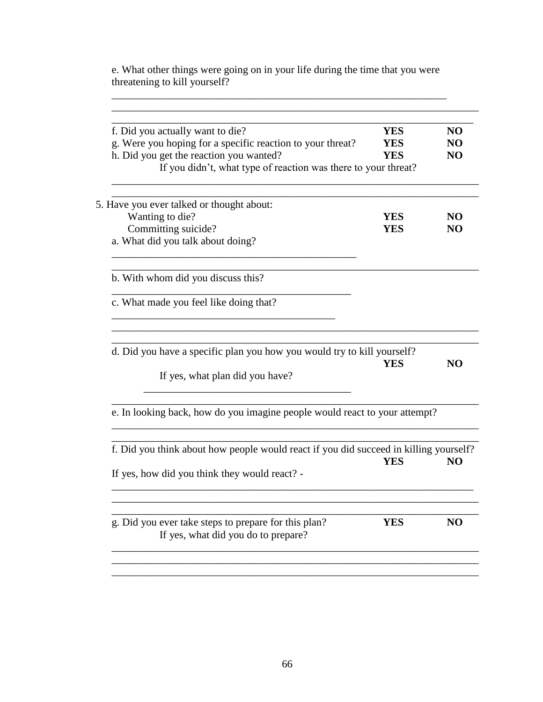e. What other things were going on in your life during the time that you were threatening to kill yourself?

\_\_\_\_\_\_\_\_\_\_\_\_\_\_\_\_\_\_\_\_\_\_\_\_\_\_\_\_\_\_\_\_\_\_\_\_\_\_\_\_\_\_\_\_\_\_\_\_\_\_\_\_\_\_\_\_\_\_\_\_\_\_\_

| f. Did you actually want to die?                                                                           | <b>YES</b> | N <sub>O</sub> |
|------------------------------------------------------------------------------------------------------------|------------|----------------|
| g. Were you hoping for a specific reaction to your threat?                                                 | <b>YES</b> | NO             |
| h. Did you get the reaction you wanted?                                                                    | YES        | N <sub>O</sub> |
| If you didn't, what type of reaction was there to your threat?                                             |            |                |
| 5. Have you ever talked or thought about:                                                                  |            |                |
| Wanting to die?                                                                                            | <b>YES</b> | NO             |
| Committing suicide?                                                                                        | <b>YES</b> | NO             |
| a. What did you talk about doing?                                                                          |            |                |
| b. With whom did you discuss this?                                                                         |            |                |
| c. What made you feel like doing that?                                                                     |            |                |
| d. Did you have a specific plan you how you would try to kill yourself?<br>If yes, what plan did you have? | <b>YES</b> | NO             |
| e. In looking back, how do you imagine people would react to your attempt?                                 |            |                |
| f. Did you think about how people would react if you did succeed in killing yourself?                      |            |                |
| If yes, how did you think they would react? -                                                              | <b>YES</b> | N <sub>O</sub> |
| g. Did you ever take steps to prepare for this plan?                                                       | <b>YES</b> | N <sub>O</sub> |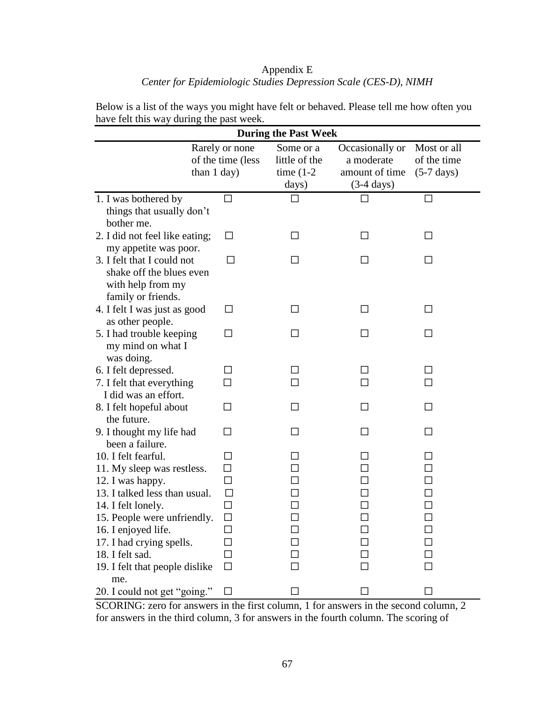## Appendix E *Center for Epidemiologic Studies Depression Scale (CES-D), NIMH*

| <b>During the Past Week</b>                       |                                                    |                                                     |                                                                         |                                                    |  |  |  |  |
|---------------------------------------------------|----------------------------------------------------|-----------------------------------------------------|-------------------------------------------------------------------------|----------------------------------------------------|--|--|--|--|
|                                                   | Rarely or none<br>of the time (less<br>than 1 day) | Some or a<br>little of the<br>time $(1-2)$<br>days) | Occasionally or<br>a moderate<br>amount of time<br>$(3-4 \text{ days})$ | Most or all<br>of the time<br>$(5-7 \text{ days})$ |  |  |  |  |
| 1. I was bothered by                              | $\Box$                                             |                                                     |                                                                         | П                                                  |  |  |  |  |
| things that usually don't                         |                                                    |                                                     |                                                                         |                                                    |  |  |  |  |
| bother me.                                        |                                                    |                                                     |                                                                         |                                                    |  |  |  |  |
| 2. I did not feel like eating;                    | □                                                  | ΙI                                                  | ΙI                                                                      |                                                    |  |  |  |  |
| my appetite was poor.                             |                                                    |                                                     |                                                                         |                                                    |  |  |  |  |
| 3. I felt that I could not                        |                                                    |                                                     |                                                                         |                                                    |  |  |  |  |
| shake off the blues even                          |                                                    |                                                     |                                                                         |                                                    |  |  |  |  |
| with help from my                                 |                                                    |                                                     |                                                                         |                                                    |  |  |  |  |
| family or friends.                                |                                                    |                                                     |                                                                         |                                                    |  |  |  |  |
| 4. I felt I was just as good                      | П                                                  | ΙI                                                  | ΙI                                                                      |                                                    |  |  |  |  |
| as other people.                                  |                                                    |                                                     |                                                                         |                                                    |  |  |  |  |
| 5. I had trouble keeping                          | П                                                  |                                                     |                                                                         |                                                    |  |  |  |  |
| my mind on what I                                 |                                                    |                                                     |                                                                         |                                                    |  |  |  |  |
| was doing.                                        | $\mathsf{L}$                                       |                                                     |                                                                         |                                                    |  |  |  |  |
| 6. I felt depressed.<br>7. I felt that everything |                                                    |                                                     |                                                                         |                                                    |  |  |  |  |
| I did was an effort.                              |                                                    |                                                     |                                                                         |                                                    |  |  |  |  |
| 8. I felt hopeful about                           | П                                                  | $\blacksquare$                                      | ΙI                                                                      |                                                    |  |  |  |  |
| the future.                                       |                                                    |                                                     |                                                                         |                                                    |  |  |  |  |
| 9. I thought my life had                          | П                                                  | $\mathsf{L}$                                        | ΙI                                                                      | $\Box$                                             |  |  |  |  |
| been a failure.                                   |                                                    |                                                     |                                                                         |                                                    |  |  |  |  |
| 10. I felt fearful.                               | ΙI                                                 |                                                     |                                                                         |                                                    |  |  |  |  |
| 11. My sleep was restless.                        | $\Box$                                             |                                                     |                                                                         |                                                    |  |  |  |  |
| 12. I was happy.                                  | $\Box$                                             |                                                     |                                                                         |                                                    |  |  |  |  |
| 13. I talked less than usual.                     | $\Box$                                             |                                                     |                                                                         |                                                    |  |  |  |  |
| 14. I felt lonely.                                | $\Box$                                             |                                                     |                                                                         |                                                    |  |  |  |  |
| 15. People were unfriendly.                       | $\Box$                                             | $\mathsf{L}$                                        |                                                                         |                                                    |  |  |  |  |
| 16. I enjoyed life.                               | $\sim$                                             |                                                     |                                                                         |                                                    |  |  |  |  |
| 17. I had crying spells.                          |                                                    |                                                     |                                                                         |                                                    |  |  |  |  |
| 18. I felt sad.                                   |                                                    |                                                     |                                                                         |                                                    |  |  |  |  |
| 19. I felt that people dislike                    | ΙI                                                 |                                                     |                                                                         |                                                    |  |  |  |  |
| me.                                               |                                                    |                                                     |                                                                         |                                                    |  |  |  |  |
| 20. I could not get "going."                      | $\overline{\phantom{a}}$                           |                                                     |                                                                         |                                                    |  |  |  |  |

Below is a list of the ways you might have felt or behaved. Please tell me how often you have felt this way during the past week.

SCORING: zero for answers in the first column, 1 for answers in the second column, 2 for answers in the third column, 3 for answers in the fourth column. The scoring of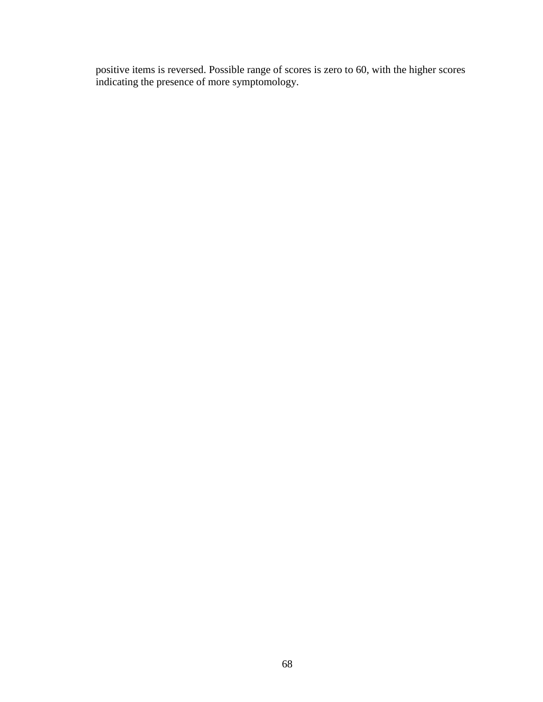positive items is reversed. Possible range of scores is zero to 60, with the higher scores indicating the presence of more symptomology.